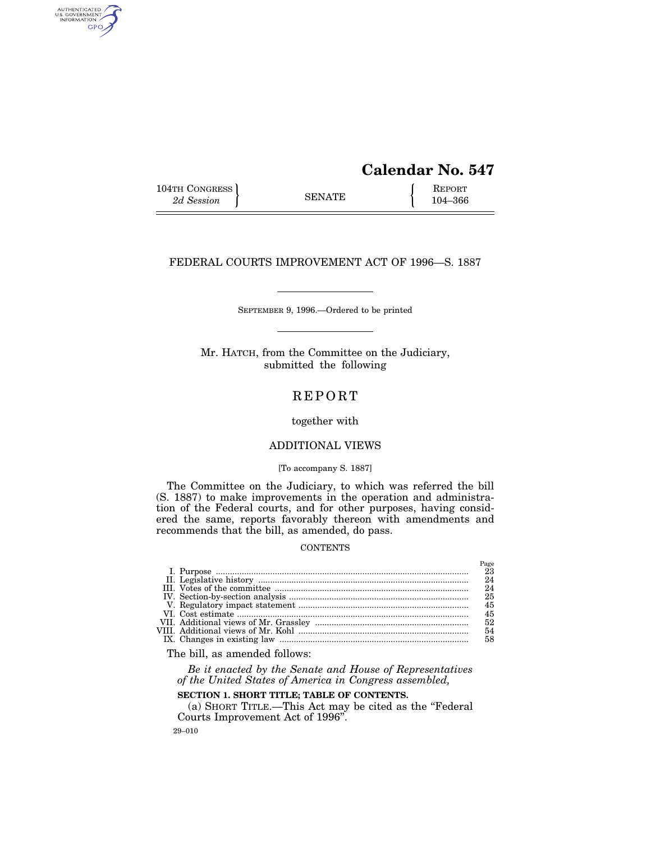# **Calendar No. 547**

Page

104TH CONGRESS SENATE SENATE REPORT 2d Session  $\left\{\right. \right.$  SENATE 104–366

AUTHENTICATED<br>U.S. GOVERNMENT<br>INFORMATION GPO

# FEDERAL COURTS IMPROVEMENT ACT OF 1996—S. 1887

SEPTEMBER 9, 1996.—Ordered to be printed

Mr. HATCH, from the Committee on the Judiciary, submitted the following

# REPORT

# together with

# ADDITIONAL VIEWS

# [To accompany S. 1887]

The Committee on the Judiciary, to which was referred the bill (S. 1887) to make improvements in the operation and administration of the Federal courts, and for other purposes, having considered the same, reports favorably thereon with amendments and recommends that the bill, as amended, do pass.

#### **CONTENTS**

|  | 24 |
|--|----|
|  | 24 |
|  | 25 |
|  | 45 |
|  | 45 |
|  | 52 |
|  | 54 |
|  | 58 |
|  |    |

The bill, as amended follows:

*Be it enacted by the Senate and House of Representatives of the United States of America in Congress assembled,*

# **SECTION 1. SHORT TITLE; TABLE OF CONTENTS.**

(a) SHORT TITLE.—This Act may be cited as the ''Federal Courts Improvement Act of 1996''.

29–010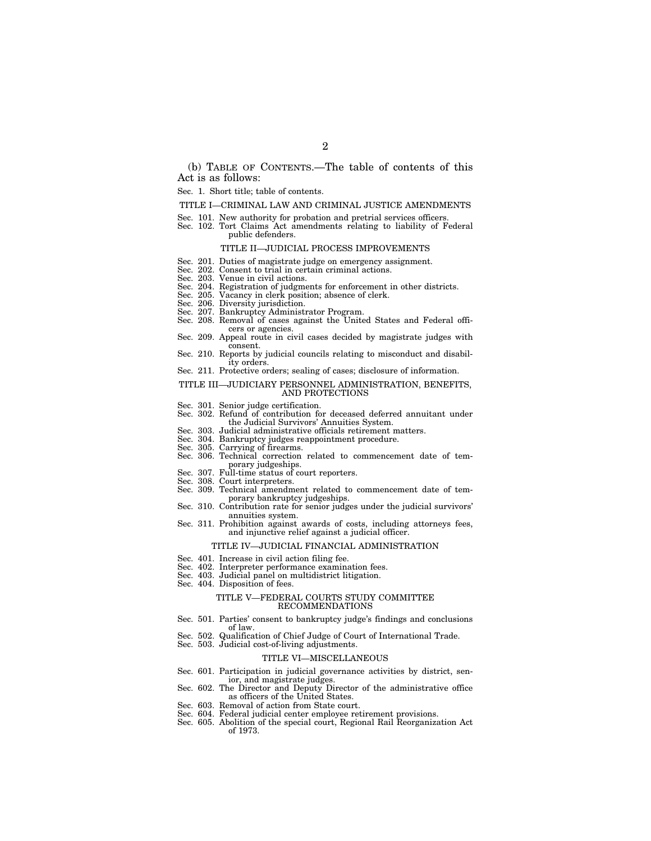(b) TABLE OF CONTENTS.—The table of contents of this Act is as follows:

# Sec. 1. Short title; table of contents.

#### TITLE I—CRIMINAL LAW AND CRIMINAL JUSTICE AMENDMENTS

- Sec. 101. New authority for probation and pretrial services officers.
- Sec. 102. Tort Claims Act amendments relating to liability of Federal public defenders.

#### TITLE II—JUDICIAL PROCESS IMPROVEMENTS

- Sec. 201. Duties of magistrate judge on emergency assignment.
- Sec. 202. Consent to trial in certain criminal actions.
- Sec. 203. Venue in civil actions.
- Sec. 204. Registration of judgments for enforcement in other districts.
- Sec. 205. Vacancy in clerk position; absence of clerk.
- 
- Sec. 206. Diversity jurisdiction. Sec. 207. Bankruptcy Administrator Program.
- Sec. 208. Removal of cases against the United States and Federal officers or agencies.
- Sec. 209. Appeal route in civil cases decided by magistrate judges with consent.
- Sec. 210. Reports by judicial councils relating to misconduct and disability orders.
- Sec. 211. Protective orders; sealing of cases; disclosure of information.

# TITLE III—JUDICIARY PERSONNEL ADMINISTRATION, BENEFITS, AND PROTECTIONS

- Sec. 301. Senior judge certification.
- Sec. 302. Refund of contribution for deceased deferred annuitant under the Judicial Survivors' Annuities System.
- Sec. 303. Judicial administrative officials retirement matters.
- Sec. 304. Bankruptcy judges reappointment procedure.
- 
- Sec. 305. Carrying of firearms. Sec. 306. Technical correction related to commencement date of temporary judgeships.
- Sec. 307. Full-time status of court reporters.
- Sec. 308. Court interpreters.
- Sec. 309. Technical amendment related to commencement date of temporary bankruptcy judgeships.
- Sec. 310. Contribution rate for senior judges under the judicial survivors' annuities system.
- Sec. 311. Prohibition against awards of costs, including attorneys fees, and injunctive relief against a judicial officer.

#### TITLE IV—JUDICIAL FINANCIAL ADMINISTRATION

- Sec. 401. Increase in civil action filing fee.
- 
- Sec. 402. Interpreter performance examination fees. Sec. 403. Judicial panel on multidistrict litigation.
- Sec. 404. Disposition of fees.

#### TITLE V—FEDERAL COURTS STUDY COMMITTEE RECOMMENDATIONS

- Sec. 501. Parties' consent to bankruptcy judge's findings and conclusions of law.
- Sec. 502. Qualification of Chief Judge of Court of International Trade.
- Sec. 503. Judicial cost-of-living adjustments.

#### TITLE VI—MISCELLANEOUS

- Sec. 601. Participation in judicial governance activities by district, senior, and magistrate judges.
- Sec. 602. The Director and Deputy Director of the administrative office as officers of the United States.
- Sec. 603. Removal of action from State court.
- Sec. 604. Federal judicial center employee retirement provisions.
- Sec. 605. Abolition of the special court, Regional Rail Reorganization Act of 1973.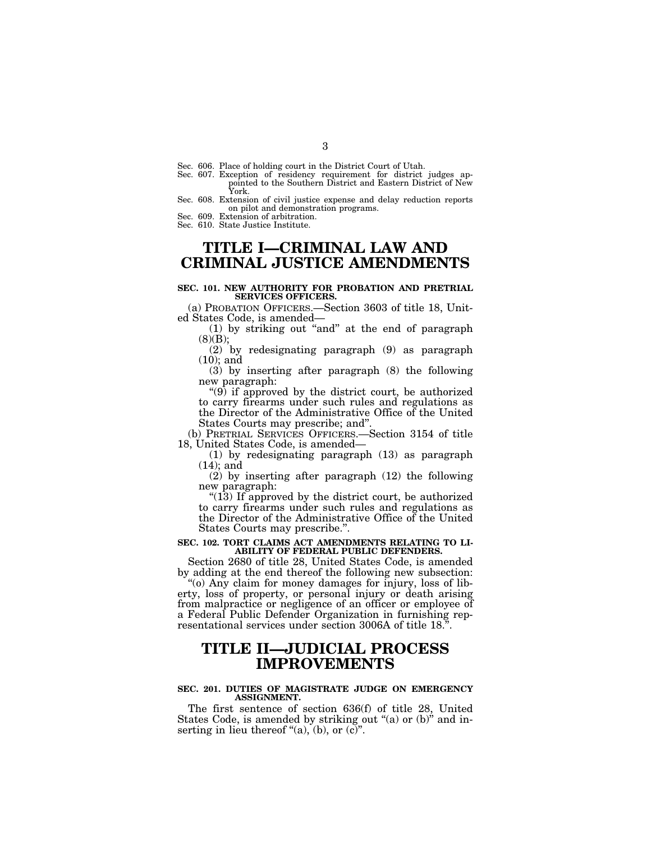- Sec. 606. Place of holding court in the District Court of Utah.
- Sec. 607. Exception of residency requirement for district judges appointed to the Southern District and Eastern District of New York.
- Sec. 608. Extension of civil justice expense and delay reduction reports on pilot and demonstration programs.
- Sec. 609. Extension of arbitration.

Sec. 610. State Justice Institute.

# **TITLE I—CRIMINAL LAW AND CRIMINAL JUSTICE AMENDMENTS**

#### **SEC. 101. NEW AUTHORITY FOR PROBATION AND PRETRIAL SERVICES OFFICERS.**

(a) PROBATION OFFICERS.—Section 3603 of title 18, United States Code, is amended—

 $(1)$  by striking out "and" at the end of paragraph  $(8)(B);$ 

(2) by redesignating paragraph (9) as paragraph (10); and

(3) by inserting after paragraph (8) the following new paragraph:

"(9) if approved by the district court, be authorized to carry firearms under such rules and regulations as the Director of the Administrative Office of the United States Courts may prescribe; and''.

(b) PRETRIAL SERVICES OFFICERS.—Section 3154 of title 18, United States Code, is amended—

(1) by redesignating paragraph (13) as paragraph (14); and

(2) by inserting after paragraph (12) the following new paragraph:

" $(13)$  If approved by the district court, be authorized to carry firearms under such rules and regulations as the Director of the Administrative Office of the United States Courts may prescribe.''.

#### **SEC. 102. TORT CLAIMS ACT AMENDMENTS RELATING TO LI-ABILITY OF FEDERAL PUBLIC DEFENDERS.**

Section 2680 of title 28, United States Code, is amended by adding at the end thereof the following new subsection:

''(o) Any claim for money damages for injury, loss of liberty, loss of property, or personal injury or death arising from malpractice or negligence of an officer or employee of a Federal Public Defender Organization in furnishing representational services under section 3006A of title 18.

# **TITLE II—JUDICIAL PROCESS IMPROVEMENTS**

#### **SEC. 201. DUTIES OF MAGISTRATE JUDGE ON EMERGENCY ASSIGNMENT.**

The first sentence of section 636(f) of title 28, United States Code, is amended by striking out "(a) or (b)" and inserting in lieu thereof "(a), (b), or  $(c)$ ".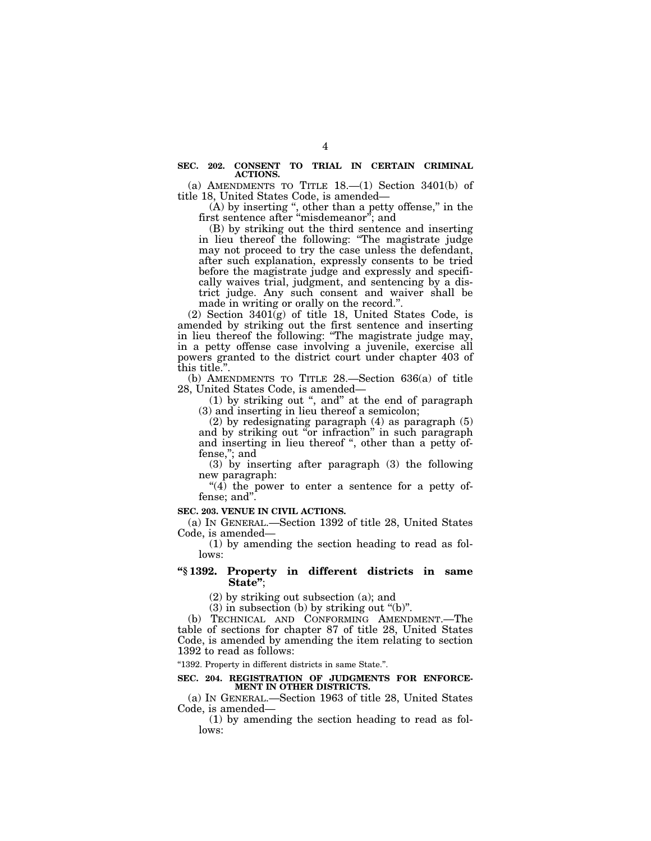#### **SEC. 202. CONSENT TO TRIAL IN CERTAIN CRIMINAL ACTIONS.**

(a) AMENDMENTS TO TITLE  $18$ .  $-(1)$  Section 3401(b) of title 18, United States Code, is amended—

(A) by inserting ", other than a petty offense," in the first sentence after ''misdemeanor''; and

(B) by striking out the third sentence and inserting in lieu thereof the following: "The magistrate judge may not proceed to try the case unless the defendant, after such explanation, expressly consents to be tried before the magistrate judge and expressly and specifically waives trial, judgment, and sentencing by a district judge. Any such consent and waiver shall be made in writing or orally on the record.''.

(2) Section  $3401\overline{g}$  of title 18, United States Code, is amended by striking out the first sentence and inserting in lieu thereof the following: ''The magistrate judge may, in a petty offense case involving a juvenile, exercise all powers granted to the district court under chapter 403 of this title.''.

(b) AMENDMENTS TO TITLE 28.—Section 636(a) of title 28, United States Code, is amended—

(1) by striking out '', and'' at the end of paragraph (3) and inserting in lieu thereof a semicolon;

(2) by redesignating paragraph (4) as paragraph (5) and by striking out ''or infraction'' in such paragraph and inserting in lieu thereof ", other than a petty offense,''; and

(3) by inserting after paragraph (3) the following new paragraph:

" $(4)$  the power to enter a sentence for a petty offense; and''.

**SEC. 203. VENUE IN CIVIL ACTIONS.**

(a) IN GENERAL.—Section 1392 of title 28, United States Code, is amended—

(1) by amending the section heading to read as follows:

## **''§ 1392. Property in different districts in same State''**;

(2) by striking out subsection (a); and

 $(3)$  in subsection (b) by striking out "(b)".

(b) TECHNICAL AND CONFORMING AMENDMENT.—The table of sections for chapter 87 of title 28, United States Code, is amended by amending the item relating to section 1392 to read as follows:

''1392. Property in different districts in same State.''.

# **SEC. 204. REGISTRATION OF JUDGMENTS FOR ENFORCE-MENT IN OTHER DISTRICTS.**

(a) IN GENERAL.—Section 1963 of title 28, United States Code, is amended—

(1) by amending the section heading to read as follows: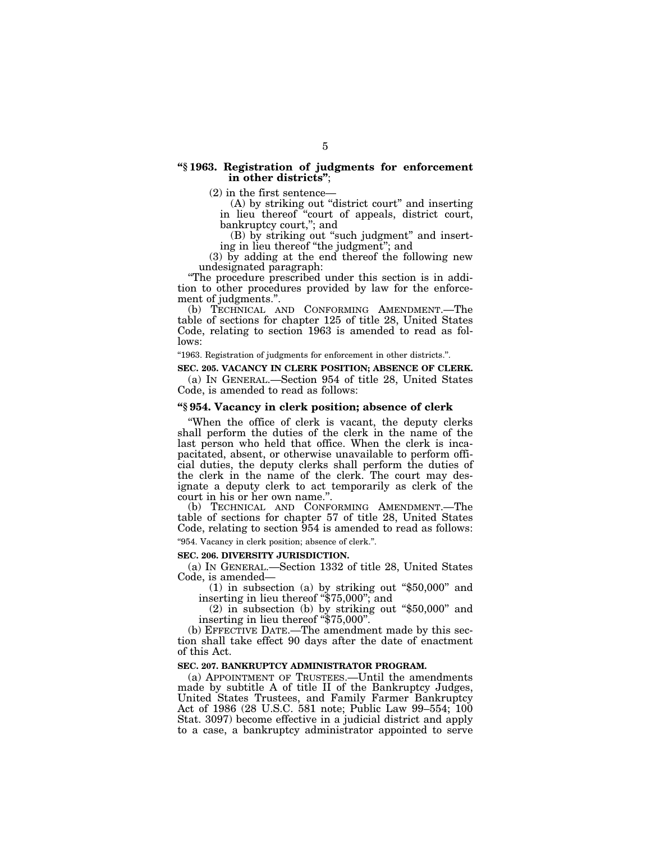## **''§ 1963. Registration of judgments for enforcement in other districts''**;

(2) in the first sentence—

(A) by striking out "district court" and inserting in lieu thereof ''court of appeals, district court, bankruptcy court,''; and

(B) by striking out ''such judgment'' and inserting in lieu thereof ''the judgment''; and

(3) by adding at the end thereof the following new undesignated paragraph:

''The procedure prescribed under this section is in addition to other procedures provided by law for the enforcement of judgments.''.

(b) TECHNICAL AND CONFORMING AMENDMENT.—The table of sections for chapter 125 of title 28, United States Code, relating to section 1963 is amended to read as follows:

''1963. Registration of judgments for enforcement in other districts.''.

**SEC. 205. VACANCY IN CLERK POSITION; ABSENCE OF CLERK.**

(a) IN GENERAL.—Section 954 of title 28, United States Code, is amended to read as follows:

# **''§ 954. Vacancy in clerk position; absence of clerk**

''When the office of clerk is vacant, the deputy clerks shall perform the duties of the clerk in the name of the last person who held that office. When the clerk is incapacitated, absent, or otherwise unavailable to perform official duties, the deputy clerks shall perform the duties of the clerk in the name of the clerk. The court may designate a deputy clerk to act temporarily as clerk of the court in his or her own name.''.

(b) TECHNICAL AND CONFORMING AMENDMENT.—The table of sections for chapter 57 of title 28, United States Code, relating to section 954 is amended to read as follows: ''954. Vacancy in clerk position; absence of clerk.''.

# **SEC. 206. DIVERSITY JURISDICTION.**

(a) IN GENERAL.—Section 1332 of title 28, United States Code, is amended—

(1) in subsection (a) by striking out ''\$50,000'' and inserting in lieu thereof ''\$75,000''; and

(2) in subsection (b) by striking out ''\$50,000'' and inserting in lieu thereof "\$75,000".

(b) EFFECTIVE DATE.—The amendment made by this section shall take effect 90 days after the date of enactment of this Act.

# **SEC. 207. BANKRUPTCY ADMINISTRATOR PROGRAM.**

(a) APPOINTMENT OF TRUSTEES.—Until the amendments made by subtitle A of title II of the Bankruptcy Judges, United States Trustees, and Family Farmer Bankruptcy Act of 1986 (28 U.S.C. 581 note; Public Law 99–554; 100 Stat. 3097) become effective in a judicial district and apply to a case, a bankruptcy administrator appointed to serve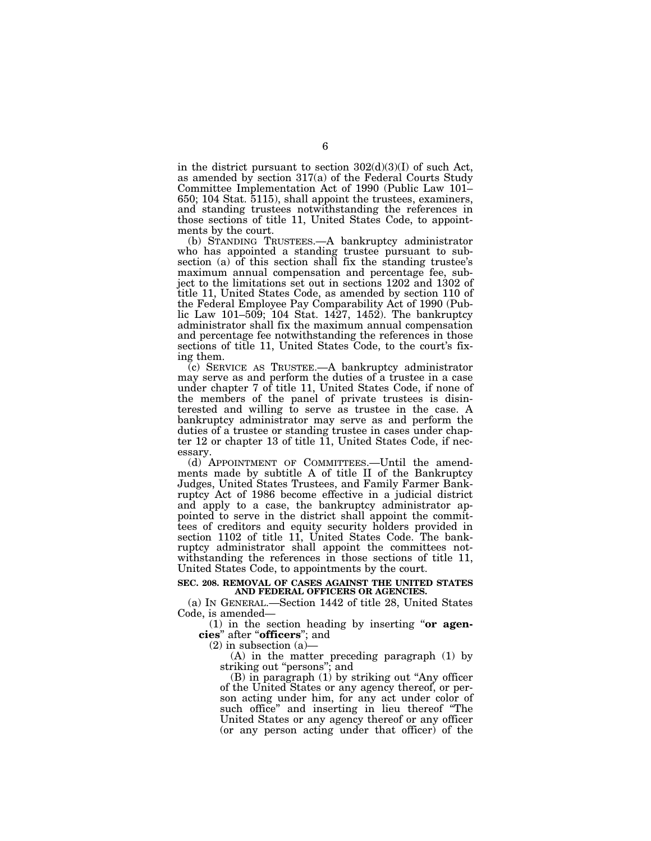in the district pursuant to section  $302(d)(3)(I)$  of such Act, as amended by section 317(a) of the Federal Courts Study Committee Implementation Act of 1990 (Public Law 101– 650; 104 Stat. 5115), shall appoint the trustees, examiners, and standing trustees notwithstanding the references in those sections of title 11, United States Code, to appointments by the court.

(b) STANDING TRUSTEES.—A bankruptcy administrator who has appointed a standing trustee pursuant to subsection (a) of this section shall fix the standing trustee's maximum annual compensation and percentage fee, subject to the limitations set out in sections 1202 and 1302 of title 11, United States Code, as amended by section 110 of the Federal Employee Pay Comparability Act of 1990 (Public Law 101–509; 104 Stat. 1427, 1452). The bankruptcy administrator shall fix the maximum annual compensation and percentage fee notwithstanding the references in those sections of title 11, United States Code, to the court's fixing them.

(c) SERVICE AS TRUSTEE.—A bankruptcy administrator may serve as and perform the duties of a trustee in a case under chapter 7 of title 11, United States Code, if none of the members of the panel of private trustees is disinterested and willing to serve as trustee in the case. A bankruptcy administrator may serve as and perform the duties of a trustee or standing trustee in cases under chapter 12 or chapter 13 of title 11, United States Code, if necessary.

(d) APPOINTMENT OF COMMITTEES.—Until the amendments made by subtitle A of title II of the Bankruptcy Judges, United States Trustees, and Family Farmer Bankruptcy Act of 1986 become effective in a judicial district and apply to a case, the bankruptcy administrator appointed to serve in the district shall appoint the committees of creditors and equity security holders provided in section 1102 of title 11, United States Code. The bankruptcy administrator shall appoint the committees notwithstanding the references in those sections of title 11, United States Code, to appointments by the court.

#### **SEC. 208. REMOVAL OF CASES AGAINST THE UNITED STATES AND FEDERAL OFFICERS OR AGENCIES.**

(a) IN GENERAL.—Section 1442 of title 28, United States Code, is amended—

(1) in the section heading by inserting ''**or agencies**'' after ''**officers**''; and

 $(2)$  in subsection  $(a)$ 

(A) in the matter preceding paragraph (1) by striking out "persons"; and

(B) in paragraph (1) by striking out ''Any officer of the United States or any agency thereof, or person acting under him, for any act under color of such office'' and inserting in lieu thereof ''The United States or any agency thereof or any officer (or any person acting under that officer) of the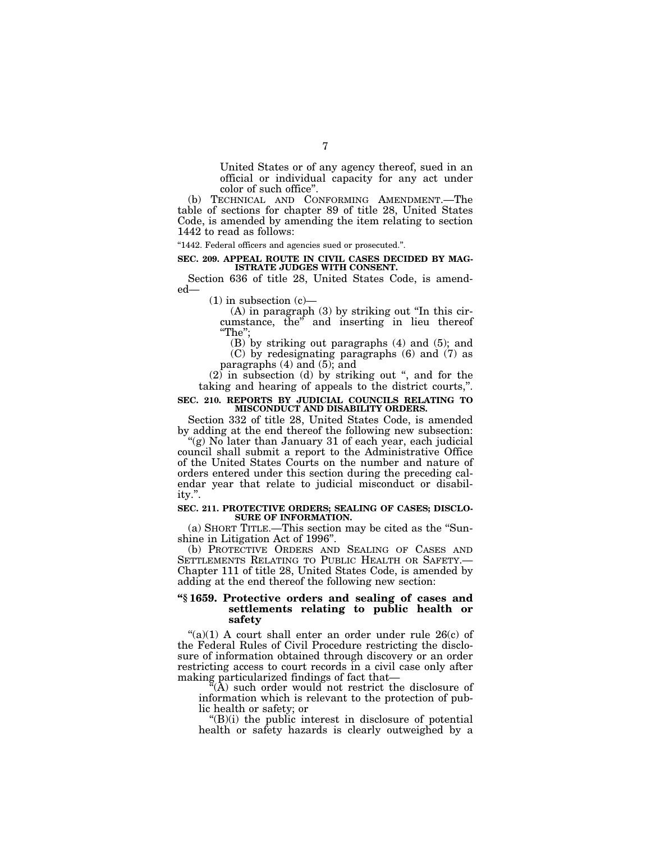United States or of any agency thereof, sued in an official or individual capacity for any act under color of such office''.

(b) TECHNICAL AND CONFORMING AMENDMENT.—The table of sections for chapter 89 of title 28, United States Code, is amended by amending the item relating to section 1442 to read as follows:

''1442. Federal officers and agencies sued or prosecuted.''.

#### **SEC. 209. APPEAL ROUTE IN CIVIL CASES DECIDED BY MAG-ISTRATE JUDGES WITH CONSENT.**

Section 636 of title 28, United States Code, is amended—

 $(1)$  in subsection  $(c)$ —

 $(A)$  in paragraph  $(B)$  by striking out "In this circumstance, the'' and inserting in lieu thereof ''The'';

(B) by striking out paragraphs (4) and (5); and (C) by redesignating paragraphs (6) and (7) as paragraphs  $(4)$  and  $(5)$ ; and

 $(2)$  in subsection (d) by striking out ", and for the taking and hearing of appeals to the district courts,''.

#### **SEC. 210. REPORTS BY JUDICIAL COUNCILS RELATING TO MISCONDUCT AND DISABILITY ORDERS.**

Section 332 of title 28, United States Code, is amended by adding at the end thereof the following new subsection:

''(g) No later than January 31 of each year, each judicial council shall submit a report to the Administrative Office of the United States Courts on the number and nature of orders entered under this section during the preceding calendar year that relate to judicial misconduct or disability.''.

#### **SEC. 211. PROTECTIVE ORDERS; SEALING OF CASES; DISCLO-SURE OF INFORMATION.**

(a) SHORT TITLE.—This section may be cited as the ''Sunshine in Litigation Act of 1996''.

(b) PROTECTIVE ORDERS AND SEALING OF CASES AND SETTLEMENTS RELATING TO PUBLIC HEALTH OR SAFETY.-Chapter 111 of title 28, United States Code, is amended by adding at the end thereof the following new section:

# **''§ 1659. Protective orders and sealing of cases and settlements relating to public health or safety**

" $(a)(1)$  A court shall enter an order under rule 26 $(c)$  of the Federal Rules of Civil Procedure restricting the disclosure of information obtained through discovery or an order restricting access to court records in a civil case only after making particularized findings of fact that—

''(A) such order would not restrict the disclosure of information which is relevant to the protection of public health or safety; or

 $\mathrm{H}(B)(i)$  the public interest in disclosure of potential health or safety hazards is clearly outweighed by a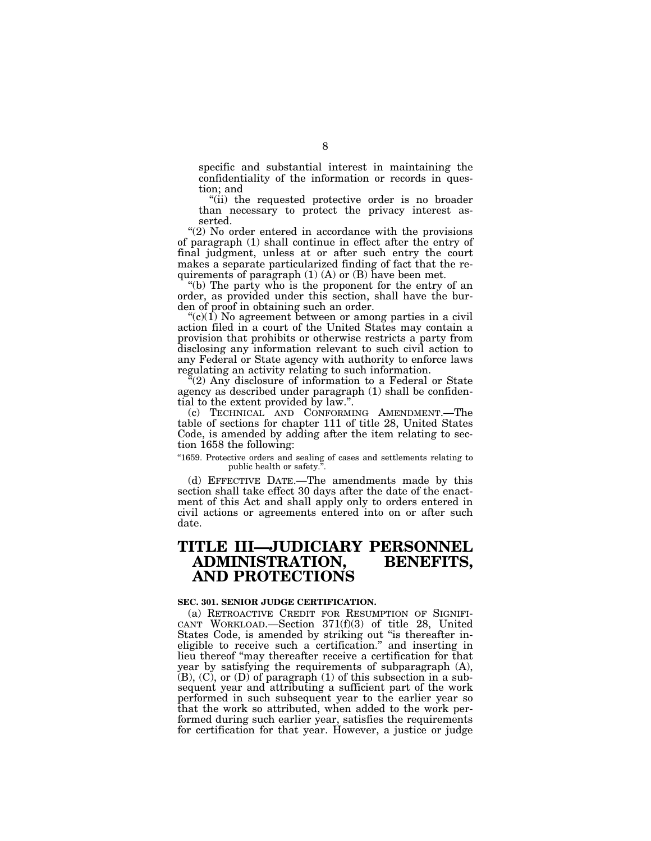specific and substantial interest in maintaining the confidentiality of the information or records in question; and

"(ii) the requested protective order is no broader than necessary to protect the privacy interest asserted.

"(2) No order entered in accordance with the provisions of paragraph (1) shall continue in effect after the entry of final judgment, unless at or after such entry the court makes a separate particularized finding of fact that the requirements of paragraph  $(1)$   $(A)$  or  $(B)$  have been met.

''(b) The party who is the proponent for the entry of an order, as provided under this section, shall have the burden of proof in obtaining such an order.

" $(c)(1)$  No agreement between or among parties in a civil action filed in a court of the United States may contain a provision that prohibits or otherwise restricts a party from disclosing any information relevant to such civil action to any Federal or State agency with authority to enforce laws regulating an activity relating to such information.

 $\Gamma(2)$  Any disclosure of information to a Federal or State agency as described under paragraph (1) shall be confidential to the extent provided by law.''.

(c) TECHNICAL AND CONFORMING AMENDMENT.—The table of sections for chapter 111 of title 28, United States Code, is amended by adding after the item relating to section 1658 the following:

"1659. Protective orders and sealing of cases and settlements relating to public health or safety.''.

(d) EFFECTIVE DATE.—The amendments made by this section shall take effect 30 days after the date of the enactment of this Act and shall apply only to orders entered in civil actions or agreements entered into on or after such date.

# **TITLE III—JUDICIARY PERSONNEL ADMINISTRATION, BENEFITS, AND PROTECTIONS**

# **SEC. 301. SENIOR JUDGE CERTIFICATION.**

(a) RETROACTIVE CREDIT FOR RESUMPTION OF SIGNIFI-CANT WORKLOAD.—Section 371(f)(3) of title 28, United States Code, is amended by striking out "is thereafter ineligible to receive such a certification.'' and inserting in lieu thereof ''may thereafter receive a certification for that year by satisfying the requirements of subparagraph (A), (B), (C), or (D) of paragraph (1) of this subsection in a subsequent year and attributing a sufficient part of the work performed in such subsequent year to the earlier year so that the work so attributed, when added to the work performed during such earlier year, satisfies the requirements for certification for that year. However, a justice or judge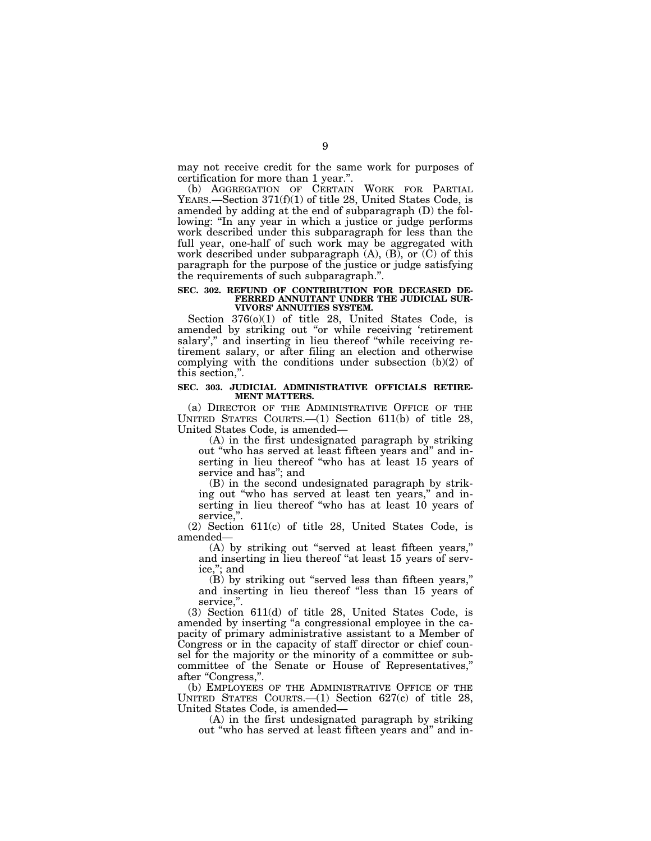may not receive credit for the same work for purposes of certification for more than 1 year.''.

(b) AGGREGATION OF CERTAIN WORK FOR PARTIAL YEARS.—Section 371(f)(1) of title 28, United States Code, is amended by adding at the end of subparagraph (D) the following: "In any year in which a justice or judge performs work described under this subparagraph for less than the full year, one-half of such work may be aggregated with work described under subparagraph  $(A)$ ,  $(B)$ , or  $(C)$  of this paragraph for the purpose of the justice or judge satisfying the requirements of such subparagraph.''.

#### **SEC. 302. REFUND OF CONTRIBUTION FOR DECEASED DE-FERRED ANNUITANT UNDER THE JUDICIAL SUR-VIVORS' ANNUITIES SYSTEM.**

Section 376(o)(1) of title 28, United States Code, is amended by striking out "or while receiving 'retirement salary'," and inserting in lieu thereof "while receiving retirement salary, or after filing an election and otherwise complying with the conditions under subsection  $(b)(2)$  of this section,''.

#### **SEC. 303. JUDICIAL ADMINISTRATIVE OFFICIALS RETIRE-MENT MATTERS.**

(a) DIRECTOR OF THE ADMINISTRATIVE OFFICE OF THE UNITED STATES COURTS.—(1) Section 611(b) of title 28, United States Code, is amended—

(A) in the first undesignated paragraph by striking out ''who has served at least fifteen years and'' and inserting in lieu thereof ''who has at least 15 years of service and has''; and

(B) in the second undesignated paragraph by striking out ''who has served at least ten years,'' and inserting in lieu thereof ''who has at least 10 years of service,".

(2) Section 611(c) of title 28, United States Code, is amended—

(A) by striking out ''served at least fifteen years,'' and inserting in lieu thereof "at least 15 years of service,''; and

(B) by striking out ''served less than fifteen years,'' and inserting in lieu thereof ''less than 15 years of service,".

(3) Section 611(d) of title 28, United States Code, is amended by inserting ''a congressional employee in the capacity of primary administrative assistant to a Member of Congress or in the capacity of staff director or chief counsel for the majority or the minority of a committee or subcommittee of the Senate or House of Representatives,'' after "Congress,".

(b) EMPLOYEES OF THE ADMINISTRATIVE OFFICE OF THE UNITED STATES COURTS.— $(1)$  Section 627 $(c)$  of title 28, United States Code, is amended—

(A) in the first undesignated paragraph by striking out ''who has served at least fifteen years and'' and in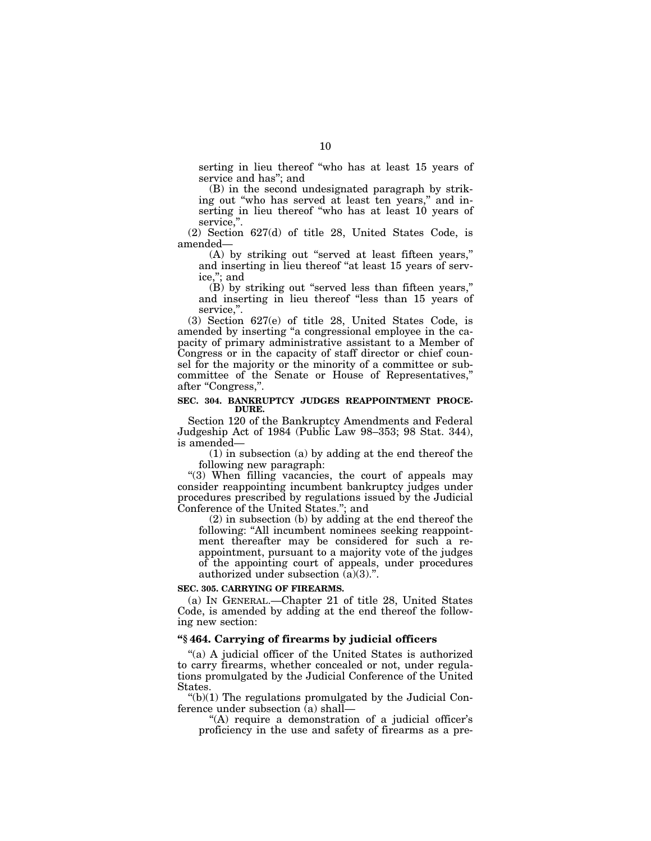serting in lieu thereof ''who has at least 15 years of service and has''; and

(B) in the second undesignated paragraph by striking out "who has served at least ten years," and inserting in lieu thereof "who has at least 10 years of service,".

(2) Section 627(d) of title 28, United States Code, is amended—

(A) by striking out ''served at least fifteen years,'' and inserting in lieu thereof ''at least 15 years of service,''; and

(B) by striking out ''served less than fifteen years,'' and inserting in lieu thereof "less than 15 years of service,".

(3) Section 627(e) of title 28, United States Code, is amended by inserting ''a congressional employee in the capacity of primary administrative assistant to a Member of Congress or in the capacity of staff director or chief counsel for the majority or the minority of a committee or subcommittee of the Senate or House of Representatives,'' after "Congress,".

#### **SEC. 304. BANKRUPTCY JUDGES REAPPOINTMENT PROCE-DURE.**

Section 120 of the Bankruptcy Amendments and Federal Judgeship Act of 1984 (Public Law 98–353; 98 Stat. 344), is amended—

(1) in subsection (a) by adding at the end thereof the following new paragraph:

"(3) When filling vacancies, the court of appeals may consider reappointing incumbent bankruptcy judges under procedures prescribed by regulations issued by the Judicial Conference of the United States.''; and

(2) in subsection (b) by adding at the end thereof the following: "All incumbent nominees seeking reappointment thereafter may be considered for such a reappointment, pursuant to a majority vote of the judges of the appointing court of appeals, under procedures authorized under subsection (a)(3).''.

# **SEC. 305. CARRYING OF FIREARMS.**

(a) IN GENERAL.—Chapter 21 of title 28, United States Code, is amended by adding at the end thereof the following new section:

#### **''§ 464. Carrying of firearms by judicial officers**

''(a) A judicial officer of the United States is authorized to carry firearms, whether concealed or not, under regulations promulgated by the Judicial Conference of the United States.

 $\degree$ (b)(1) The regulations promulgated by the Judicial Conference under subsection (a) shall—

"(A) require a demonstration of a judicial officer's proficiency in the use and safety of firearms as a pre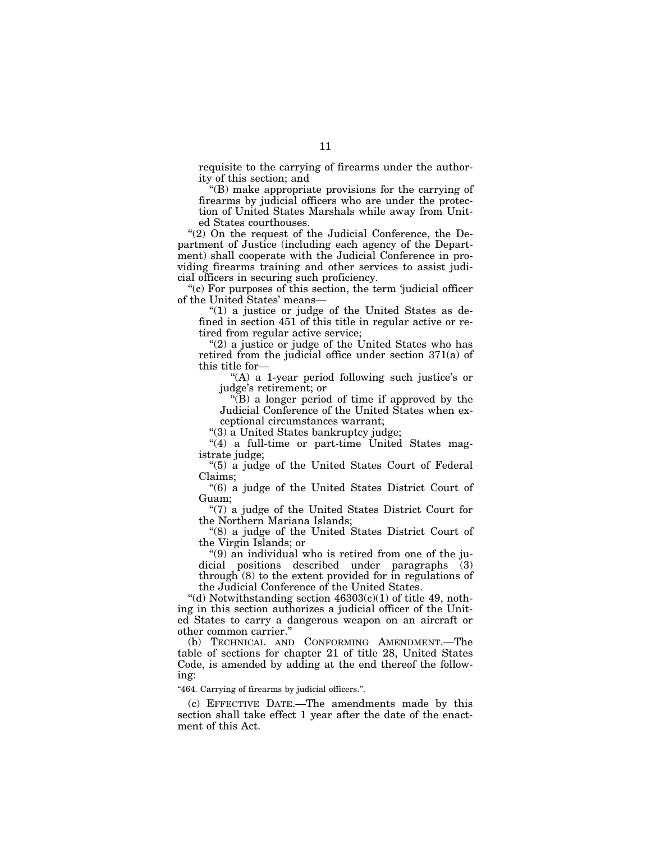requisite to the carrying of firearms under the authority of this section; and

''(B) make appropriate provisions for the carrying of firearms by judicial officers who are under the protection of United States Marshals while away from United States courthouses.

" $(2)$  On the request of the Judicial Conference, the Department of Justice (including each agency of the Department) shall cooperate with the Judicial Conference in providing firearms training and other services to assist judicial officers in securing such proficiency.

"(c) For purposes of this section, the term 'judicial officer of the United States' means—

" $(1)$  a justice or judge of the United States as defined in section 451 of this title in regular active or retired from regular active service;

"(2) a justice or judge of the United States who has retired from the judicial office under section 371(a) of this title for—

''(A) a 1-year period following such justice's or judge's retirement; or

''(B) a longer period of time if approved by the Judicial Conference of the United States when exceptional circumstances warrant;

''(3) a United States bankruptcy judge;

"(4) a full-time or part-time United States magistrate judge;

''(5) a judge of the United States Court of Federal Claims;

''(6) a judge of the United States District Court of Guam;

"(7) a judge of the United States District Court for the Northern Mariana Islands;

''(8) a judge of the United States District Court of the Virgin Islands; or

''(9) an individual who is retired from one of the judicial positions described under paragraphs (3) through (8) to the extent provided for in regulations of the Judicial Conference of the United States.

"(d) Notwithstanding section  $46303(c)(1)$  of title 49, nothing in this section authorizes a judicial officer of the United States to carry a dangerous weapon on an aircraft or other common carrier.''

(b) TECHNICAL AND CONFORMING AMENDMENT.—The table of sections for chapter 21 of title 28, United States Code, is amended by adding at the end thereof the following:

"464. Carrying of firearms by judicial officers.".

(c) EFFECTIVE DATE.—The amendments made by this section shall take effect 1 year after the date of the enactment of this Act.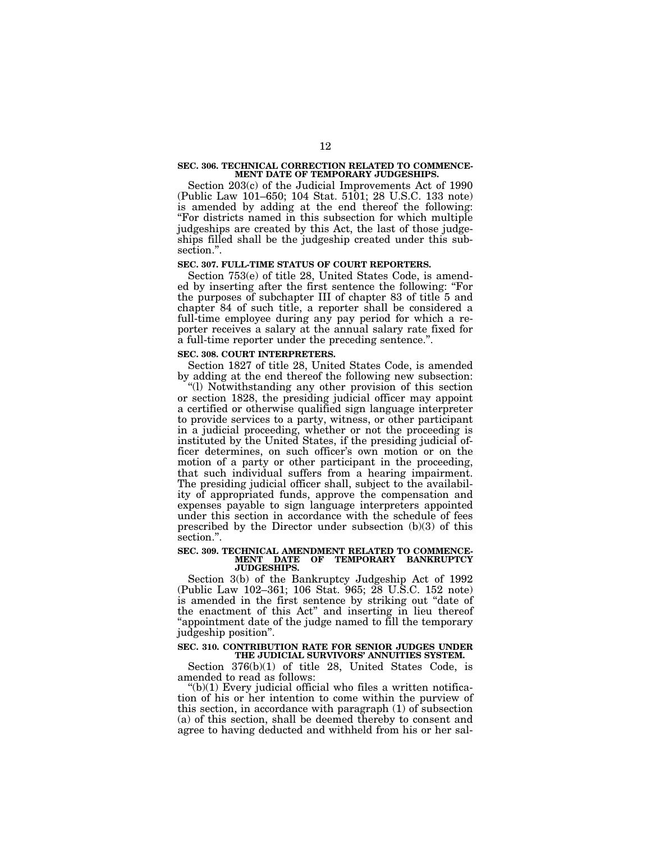#### **SEC. 306. TECHNICAL CORRECTION RELATED TO COMMENCE-MENT DATE OF TEMPORARY JUDGESHIPS.**

Section 203(c) of the Judicial Improvements Act of 1990 (Public Law 101–650; 104 Stat. 5101; 28 U.S.C. 133 note) is amended by adding at the end thereof the following: ''For districts named in this subsection for which multiple judgeships are created by this Act, the last of those judgeships filled shall be the judgeship created under this subsection.''.

#### **SEC. 307. FULL-TIME STATUS OF COURT REPORTERS.**

Section 753(e) of title 28, United States Code, is amended by inserting after the first sentence the following: ''For the purposes of subchapter III of chapter 83 of title 5 and chapter 84 of such title, a reporter shall be considered a full-time employee during any pay period for which a reporter receives a salary at the annual salary rate fixed for a full-time reporter under the preceding sentence.''.

#### **SEC. 308. COURT INTERPRETERS.**

Section 1827 of title 28, United States Code, is amended by adding at the end thereof the following new subsection:

''(l) Notwithstanding any other provision of this section or section 1828, the presiding judicial officer may appoint a certified or otherwise qualified sign language interpreter to provide services to a party, witness, or other participant in a judicial proceeding, whether or not the proceeding is instituted by the United States, if the presiding judicial officer determines, on such officer's own motion or on the motion of a party or other participant in the proceeding, that such individual suffers from a hearing impairment. The presiding judicial officer shall, subject to the availability of appropriated funds, approve the compensation and expenses payable to sign language interpreters appointed under this section in accordance with the schedule of fees prescribed by the Director under subsection (b)(3) of this section.''.

#### **SEC. 309. TECHNICAL AMENDMENT RELATED TO COMMENCE-MENT DATE OF TEMPORARY BANKRUPTCY JUDGESHIPS.**

Section 3(b) of the Bankruptcy Judgeship Act of 1992 (Public Law 102–361; 106 Stat. 965; 28 U.S.C. 152 note) is amended in the first sentence by striking out "date of the enactment of this Act'' and inserting in lieu thereof ''appointment date of the judge named to fill the temporary judgeship position''.

#### **SEC. 310. CONTRIBUTION RATE FOR SENIOR JUDGES UNDER THE JUDICIAL SURVIVORS' ANNUITIES SYSTEM.**

Section 376(b)(1) of title 28, United States Code, is amended to read as follows:

 $*(b)(1)$  Every judicial official who files a written notification of his or her intention to come within the purview of this section, in accordance with paragraph (1) of subsection (a) of this section, shall be deemed thereby to consent and agree to having deducted and withheld from his or her sal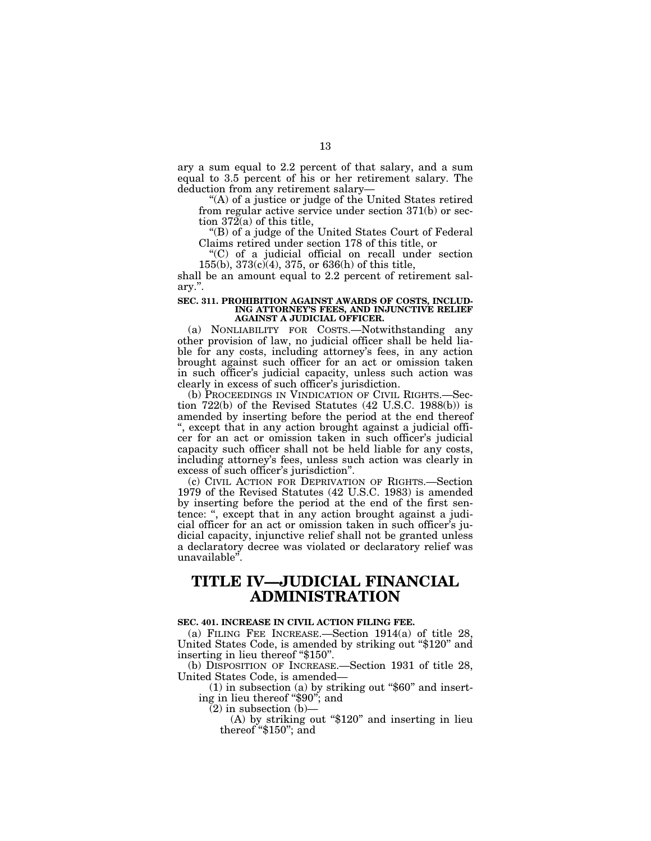ary a sum equal to 2.2 percent of that salary, and a sum equal to 3.5 percent of his or her retirement salary. The deduction from any retirement salary—

''(A) of a justice or judge of the United States retired from regular active service under section 371(b) or section 372(a) of this title,

''(B) of a judge of the United States Court of Federal Claims retired under section 178 of this title, or

''(C) of a judicial official on recall under section 155(b), 373(c)(4), 375, or 636(h) of this title,

shall be an amount equal to 2.2 percent of retirement salary.''.

#### **SEC. 311. PROHIBITION AGAINST AWARDS OF COSTS, INCLUD-ING ATTORNEY'S FEES, AND INJUNCTIVE RELIEF AGAINST A JUDICIAL OFFICER.**

(a) NONLIABILITY FOR COSTS.—Notwithstanding any other provision of law, no judicial officer shall be held liable for any costs, including attorney's fees, in any action brought against such officer for an act or omission taken in such officer's judicial capacity, unless such action was clearly in excess of such officer's jurisdiction.

(b) PROCEEDINGS IN VINDICATION OF CIVIL RIGHTS.—Section 722(b) of the Revised Statutes (42 U.S.C. 1988(b)) is amended by inserting before the period at the end thereof '', except that in any action brought against a judicial officer for an act or omission taken in such officer's judicial capacity such officer shall not be held liable for any costs, including attorney's fees, unless such action was clearly in excess of such officer's jurisdiction''.

(c) CIVIL ACTION FOR DEPRIVATION OF RIGHTS.—Section 1979 of the Revised Statutes (42 U.S.C. 1983) is amended by inserting before the period at the end of the first sentence: ", except that in any action brought against a judicial officer for an act or omission taken in such officer's judicial capacity, injunctive relief shall not be granted unless a declaratory decree was violated or declaratory relief was unavailable''.

# **TITLE IV—JUDICIAL FINANCIAL ADMINISTRATION**

#### **SEC. 401. INCREASE IN CIVIL ACTION FILING FEE.**

(a) FILING FEE INCREASE.—Section 1914(a) of title 28, United States Code, is amended by striking out "\$120" and inserting in lieu thereof ''\$150''.

(b) DISPOSITION OF INCREASE.—Section 1931 of title 28, United States Code, is amended—

 $(1)$  in subsection  $(a)$  by striking out "\$60" and inserting in lieu thereof "\$90"; and

 $(2)$  in subsection  $(b)$ —

(A) by striking out "\$120" and inserting in lieu thereof "\$150"; and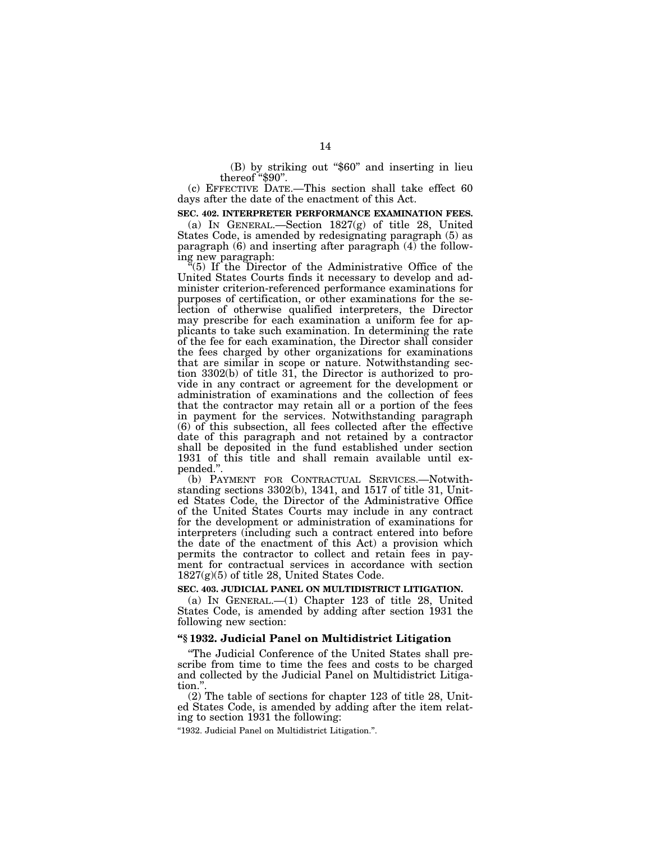(B) by striking out "\$60" and inserting in lieu thereof "\$90".

(c) EFFECTIVE DATE.—This section shall take effect 60 days after the date of the enactment of this Act.

#### **SEC. 402. INTERPRETER PERFORMANCE EXAMINATION FEES.**

(a) IN GENERAL.—Section 1827(g) of title 28, United States Code, is amended by redesignating paragraph (5) as paragraph  $(6)$  and inserting after paragraph  $(4)$  the following new paragraph:

 $\tilde{f}(5)$  If the Director of the Administrative Office of the United States Courts finds it necessary to develop and administer criterion-referenced performance examinations for purposes of certification, or other examinations for the selection of otherwise qualified interpreters, the Director may prescribe for each examination a uniform fee for applicants to take such examination. In determining the rate of the fee for each examination, the Director shall consider the fees charged by other organizations for examinations that are similar in scope or nature. Notwithstanding section 3302(b) of title 31, the Director is authorized to provide in any contract or agreement for the development or administration of examinations and the collection of fees that the contractor may retain all or a portion of the fees in payment for the services. Notwithstanding paragraph (6) of this subsection, all fees collected after the effective date of this paragraph and not retained by a contractor shall be deposited in the fund established under section 1931 of this title and shall remain available until expended.''.

(b) PAYMENT FOR CONTRACTUAL SERVICES.—Notwithstanding sections 3302(b), 1341, and 1517 of title 31, United States Code, the Director of the Administrative Office of the United States Courts may include in any contract for the development or administration of examinations for interpreters (including such a contract entered into before the date of the enactment of this Act) a provision which permits the contractor to collect and retain fees in payment for contractual services in accordance with section 1827(g)(5) of title 28, United States Code.

#### **SEC. 403. JUDICIAL PANEL ON MULTIDISTRICT LITIGATION.**

(a) IN GENERAL.—(1) Chapter 123 of title 28, United States Code, is amended by adding after section 1931 the following new section:

#### **''§ 1932. Judicial Panel on Multidistrict Litigation**

''The Judicial Conference of the United States shall prescribe from time to time the fees and costs to be charged and collected by the Judicial Panel on Multidistrict Litigation.''.

(2) The table of sections for chapter 123 of title 28, United States Code, is amended by adding after the item relating to section 1931 the following:

''1932. Judicial Panel on Multidistrict Litigation.''.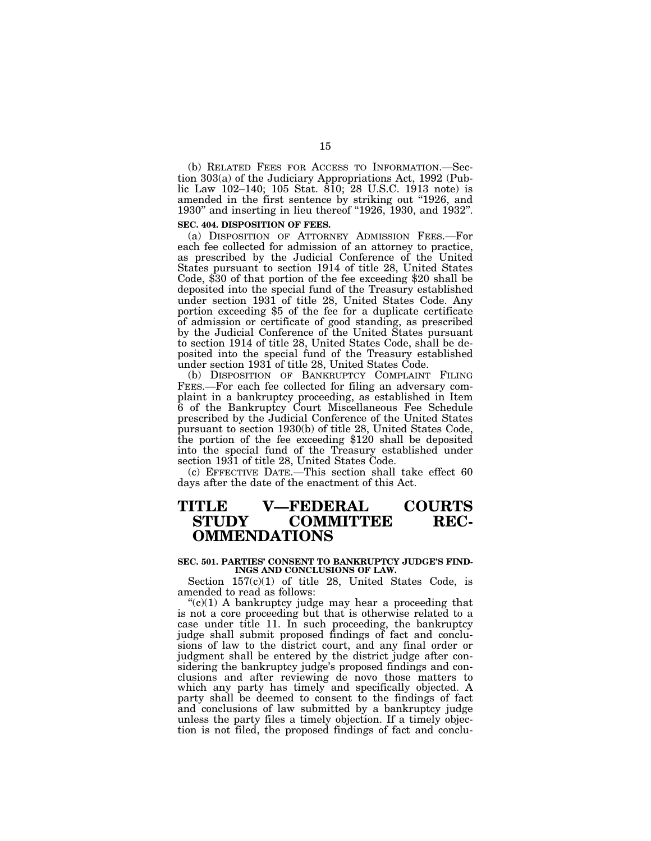(b) RELATED FEES FOR ACCESS TO INFORMATION.—Section 303(a) of the Judiciary Appropriations Act, 1992 (Public Law 102–140; 105 Stat. 810; 28 U.S.C. 1913 note) is amended in the first sentence by striking out "1926, and 1930'' and inserting in lieu thereof ''1926, 1930, and 1932''.

# **SEC. 404. DISPOSITION OF FEES.**

(a) DISPOSITION OF ATTORNEY ADMISSION FEES.—For each fee collected for admission of an attorney to practice, as prescribed by the Judicial Conference of the United States pursuant to section 1914 of title 28, United States Code, \$30 of that portion of the fee exceeding \$20 shall be deposited into the special fund of the Treasury established under section 1931 of title 28, United States Code. Any portion exceeding \$5 of the fee for a duplicate certificate of admission or certificate of good standing, as prescribed by the Judicial Conference of the United States pursuant to section 1914 of title 28, United States Code, shall be deposited into the special fund of the Treasury established under section 1931 of title 28, United States Code.

(b) DISPOSITION OF BANKRUPTCY COMPLAINT FILING FEES.—For each fee collected for filing an adversary complaint in a bankruptcy proceeding, as established in Item 6 of the Bankruptcy Court Miscellaneous Fee Schedule prescribed by the Judicial Conference of the United States pursuant to section 1930(b) of title 28, United States Code, the portion of the fee exceeding \$120 shall be deposited into the special fund of the Treasury established under section 1931 of title 28, United States Code.

(c) EFFECTIVE DATE.—This section shall take effect 60 days after the date of the enactment of this Act.

# **TITLE V—FEDERAL COURTS** COMMITTEE REC-**OMMENDATIONS**

#### **SEC. 501. PARTIES' CONSENT TO BANKRUPTCY JUDGE'S FIND-INGS AND CONCLUSIONS OF LAW.**

Section 157(c)(1) of title 28, United States Code, is amended to read as follows:

 $C(1)$  A bankruptcy judge may hear a proceeding that is not a core proceeding but that is otherwise related to a case under title 11. In such proceeding, the bankruptcy judge shall submit proposed findings of fact and conclusions of law to the district court, and any final order or judgment shall be entered by the district judge after considering the bankruptcy judge's proposed findings and conclusions and after reviewing de novo those matters to which any party has timely and specifically objected. A party shall be deemed to consent to the findings of fact and conclusions of law submitted by a bankruptcy judge unless the party files a timely objection. If a timely objection is not filed, the proposed findings of fact and conclu-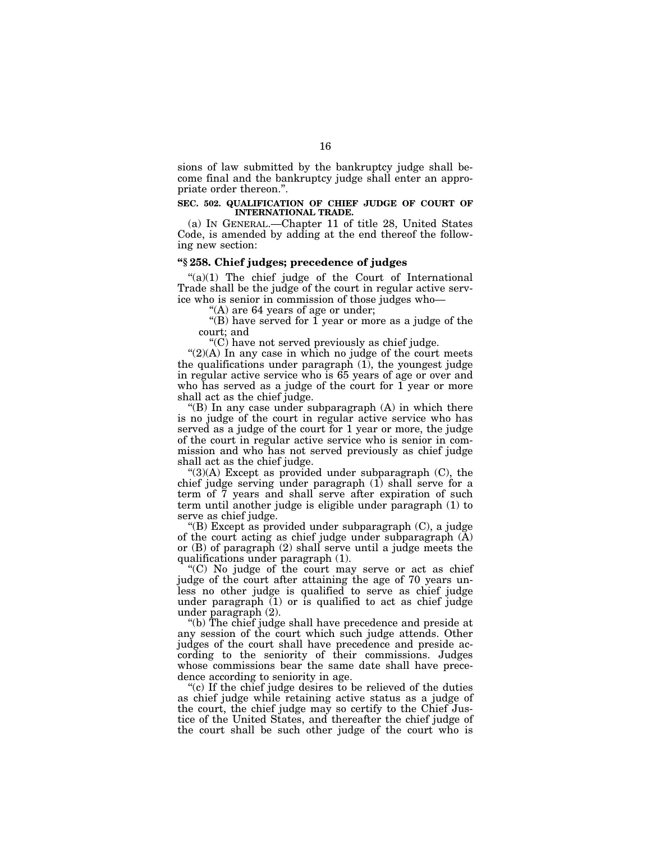sions of law submitted by the bankruptcy judge shall become final and the bankruptcy judge shall enter an appropriate order thereon.''.

#### **SEC. 502. QUALIFICATION OF CHIEF JUDGE OF COURT OF INTERNATIONAL TRADE.**

(a) IN GENERAL.—Chapter 11 of title 28, United States Code, is amended by adding at the end thereof the following new section:

# **''§ 258. Chief judges; precedence of judges**

 $\degree$ (a)(1) The chief judge of the Court of International Trade shall be the judge of the court in regular active service who is senior in commission of those judges who—

''(A) are 64 years of age or under;

"(B) have served for  $\tilde{1}$  year or more as a judge of the court; and

''(C) have not served previously as chief judge.

 $''(2)$ (A) In any case in which no judge of the court meets the qualifications under paragraph (1), the youngest judge in regular active service who is 65 years of age or over and who has served as a judge of the court for 1 year or more shall act as the chief judge.

"(B) In any case under subparagraph  $(A)$  in which there is no judge of the court in regular active service who has served as a judge of the court for 1 year or more, the judge of the court in regular active service who is senior in commission and who has not served previously as chief judge shall act as the chief judge.

" $(3)(A)$  Except as provided under subparagraph  $(C)$ , the chief judge serving under paragraph (1) shall serve for a term of 7 years and shall serve after expiration of such term until another judge is eligible under paragraph (1) to serve as chief judge.

"(B) Except as provided under subparagraph (C), a judge of the court acting as chief judge under subparagraph (A) or (B) of paragraph (2) shall serve until a judge meets the qualifications under paragraph (1).

''(C) No judge of the court may serve or act as chief judge of the court after attaining the age of 70 years unless no other judge is qualified to serve as chief judge under paragraph (1) or is qualified to act as chief judge under paragraph (2).

''(b) The chief judge shall have precedence and preside at any session of the court which such judge attends. Other judges of the court shall have precedence and preside according to the seniority of their commissions. Judges whose commissions bear the same date shall have precedence according to seniority in age.

"(c) If the chief judge desires to be relieved of the duties as chief judge while retaining active status as a judge of the court, the chief judge may so certify to the Chief Justice of the United States, and thereafter the chief judge of the court shall be such other judge of the court who is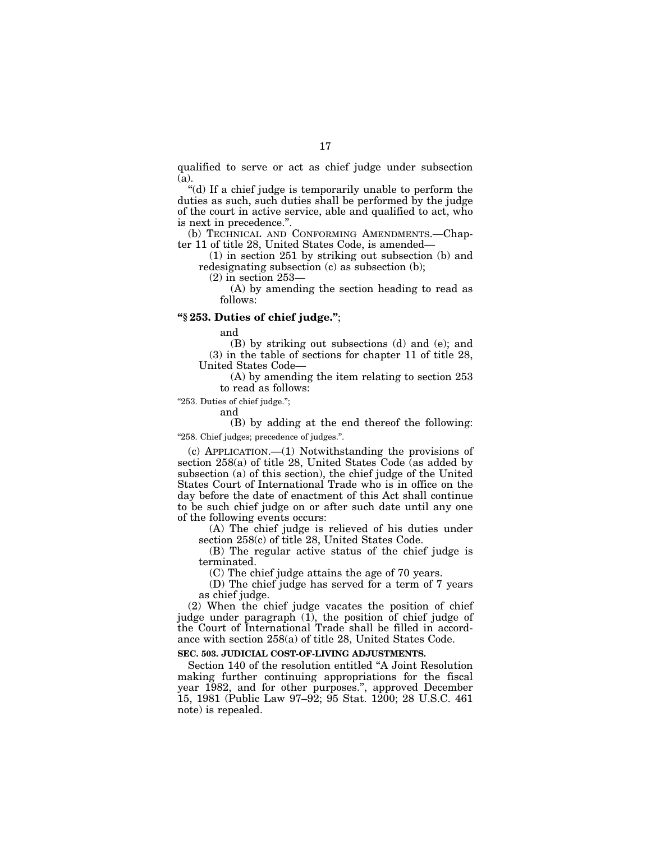qualified to serve or act as chief judge under subsection (a).

''(d) If a chief judge is temporarily unable to perform the duties as such, such duties shall be performed by the judge of the court in active service, able and qualified to act, who is next in precedence.''.

(b) TECHNICAL AND CONFORMING AMENDMENTS.—Chapter 11 of title 28, United States Code, is amended—

(1) in section 251 by striking out subsection (b) and redesignating subsection (c) as subsection (b);

(2) in section 253—

(A) by amending the section heading to read as follows:

# **''§ 253. Duties of chief judge.''**;

and

(B) by striking out subsections (d) and (e); and (3) in the table of sections for chapter 11 of title 28, United States Code—

(A) by amending the item relating to section 253 to read as follows:

"253. Duties of chief judge.";

#### and

(B) by adding at the end thereof the following: "258. Chief judges; precedence of judges.".

(c) APPLICATION.—(1) Notwithstanding the provisions of section 258(a) of title 28, United States Code (as added by subsection (a) of this section), the chief judge of the United States Court of International Trade who is in office on the day before the date of enactment of this Act shall continue to be such chief judge on or after such date until any one of the following events occurs:

(A) The chief judge is relieved of his duties under section 258(c) of title 28, United States Code.

(B) The regular active status of the chief judge is terminated.

(C) The chief judge attains the age of 70 years.

(D) The chief judge has served for a term of 7 years as chief judge.

(2) When the chief judge vacates the position of chief judge under paragraph (1), the position of chief judge of the Court of International Trade shall be filled in accordance with section 258(a) of title 28, United States Code.

# **SEC. 503. JUDICIAL COST-OF-LIVING ADJUSTMENTS.**

Section 140 of the resolution entitled ''A Joint Resolution making further continuing appropriations for the fiscal year 1982, and for other purposes.'', approved December 15, 1981 (Public Law 97–92; 95 Stat. 1200; 28 U.S.C. 461 note) is repealed.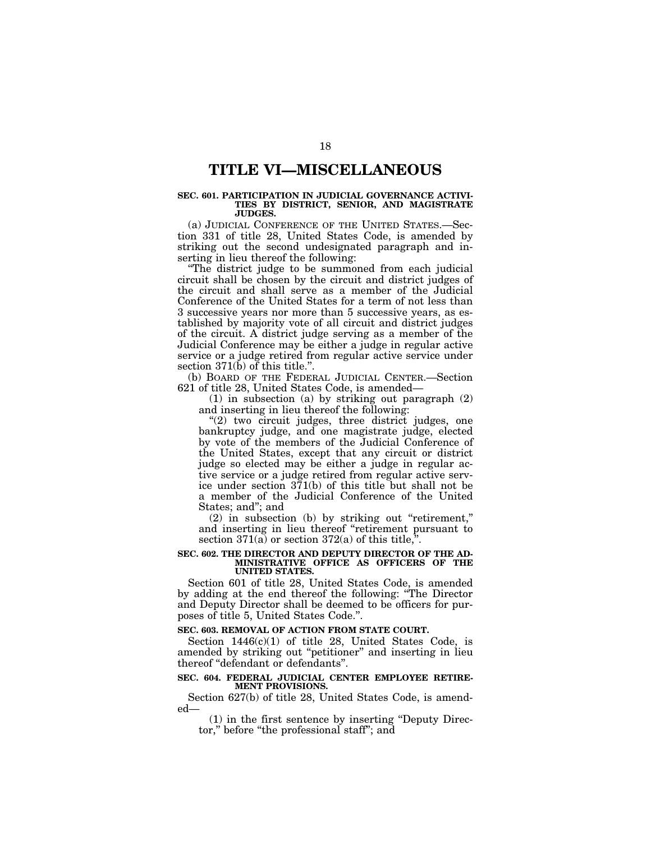# **TITLE VI—MISCELLANEOUS**

#### **SEC. 601. PARTICIPATION IN JUDICIAL GOVERNANCE ACTIVI-TIES BY DISTRICT, SENIOR, AND MAGISTRATE JUDGES.**

(a) JUDICIAL CONFERENCE OF THE UNITED STATES.—Section 331 of title 28, United States Code, is amended by striking out the second undesignated paragraph and inserting in lieu thereof the following:

''The district judge to be summoned from each judicial circuit shall be chosen by the circuit and district judges of the circuit and shall serve as a member of the Judicial Conference of the United States for a term of not less than 3 successive years nor more than 5 successive years, as established by majority vote of all circuit and district judges of the circuit. A district judge serving as a member of the Judicial Conference may be either a judge in regular active service or a judge retired from regular active service under section 371(b) of this title.".

(b) BOARD OF THE FEDERAL JUDICIAL CENTER.—Section 621 of title 28, United States Code, is amended—

(1) in subsection (a) by striking out paragraph (2) and inserting in lieu thereof the following:

"(2) two circuit judges, three district judges, one bankruptcy judge, and one magistrate judge, elected by vote of the members of the Judicial Conference of the United States, except that any circuit or district judge so elected may be either a judge in regular active service or a judge retired from regular active service under section 371(b) of this title but shall not be a member of the Judicial Conference of the United States; and''; and

(2) in subsection (b) by striking out ''retirement,'' and inserting in lieu thereof ''retirement pursuant to section  $371(a)$  or section  $372(a)$  of this title,".

#### **SEC. 602. THE DIRECTOR AND DEPUTY DIRECTOR OF THE AD-MINISTRATIVE OFFICE AS OFFICERS OF THE UNITED STATES.**

Section 601 of title 28, United States Code, is amended by adding at the end thereof the following: ''The Director and Deputy Director shall be deemed to be officers for purposes of title 5, United States Code.''.

#### **SEC. 603. REMOVAL OF ACTION FROM STATE COURT.**

Section  $1446(c)(1)$  of title 28, United States Code, is amended by striking out ''petitioner'' and inserting in lieu thereof ''defendant or defendants''.

#### **SEC. 604. FEDERAL JUDICIAL CENTER EMPLOYEE RETIRE-MENT PROVISIONS.**

Section 627(b) of title 28, United States Code, is amended—

(1) in the first sentence by inserting ''Deputy Director,'' before ''the professional staff''; and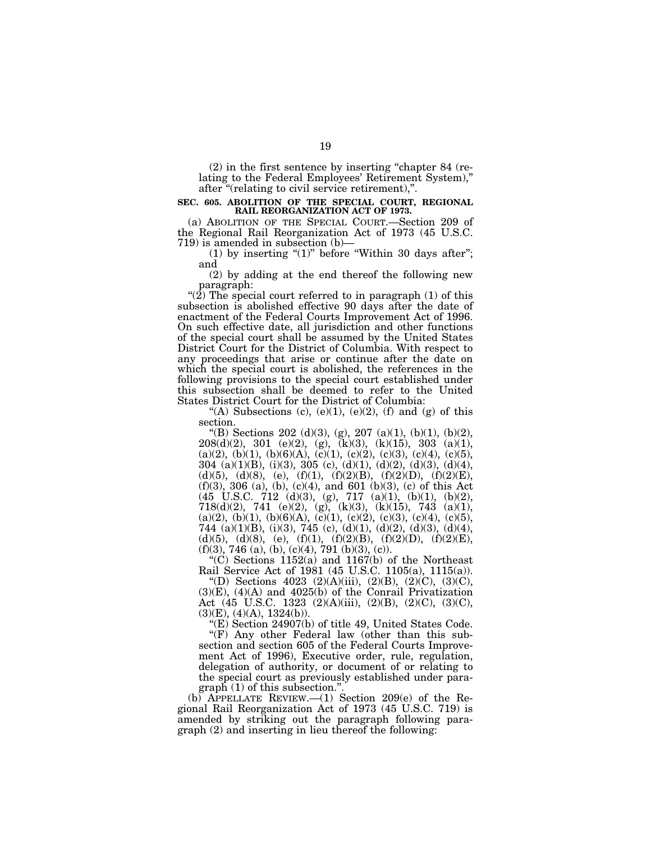(2) in the first sentence by inserting ''chapter 84 (relating to the Federal Employees' Retirement System),'' after "(relating to civil service retirement),".

#### **SEC. 605. ABOLITION OF THE SPECIAL COURT, REGIONAL RAIL REORGANIZATION ACT OF 1973.**

(a) ABOLITION OF THE SPECIAL COURT.—Section 209 of the Regional Rail Reorganization Act of 1973 (45 U.S.C. 719) is amended in subsection (b)—

(1) by inserting " $(1)$ " before "Within 30 days after"; and

(2) by adding at the end thereof the following new paragraph:

"(2) The special court referred to in paragraph (1) of this subsection is abolished effective 90 days after the date of enactment of the Federal Courts Improvement Act of 1996. On such effective date, all jurisdiction and other functions of the special court shall be assumed by the United States District Court for the District of Columbia. With respect to any proceedings that arise or continue after the date on which the special court is abolished, the references in the following provisions to the special court established under this subsection shall be deemed to refer to the United States District Court for the District of Columbia:

"(A) Subsections (c),  $(e)(1)$ ,  $(e)(2)$ ,  $(f)$  and  $(g)$  of this section.

"(B) Sections 202 (d)(3), (g), 207 (a)(1), (b)(1), (b)(2), 208(d)(2), 301 (e)(2), (g), (k)(3), (k)(15), 303 (a)(1),  $(a)(2), (b)(1), (b)(6)(A), (c)(1), (c)(2), (c)(3), (c)(4), (c)(5),$  $304$  (a)(1)(B), (i)(3),  $305$  (c), (d)(1), (d)(2), (d)(3), (d)(4), (d)(5), (d)(8), (e), (f)(1), (f)(2)(B), (f)(2)(D), (f)(2)(E), (f)(3), 306 (a), (b), (c)(4), and 601 (b)(3), (c) of this Act (45 U.S.C. 712 (d)(3), (g), 717 (a)(1), (b)(1), (b)(2), 718(d)(2), 741 (e)(2), (g), (k)(3), (k)(15), 743 (a)(1), (a)(2), (b)(1), (b)(6)(A), (c)(1), (c)(2), (c)(3), (c)(4), (c)(5), 744 (a)(1)(B), (i)(3), 745 (c), (d)(1), (d)(2), (d)(3), (d)(4), (d)(5), (d)(8), (e), (f)(1), (f)(2)(B), (f)(2)(D), (f)(2)(E),  $(f)(3)$ , 746 (a), (b), (c)(4), 791 (b)(3), (c)).

"(C) Sections  $1152(a)$  and  $1167(b)$  of the Northeast Rail Service Act of 1981 (45 U.S.C. 1105(a), 1115(a)).

"(D) Sections 4023 (2)(A)(iii), (2)(B), (2)(C), (3)(C), (3)(E), (4)(A) and 4025(b) of the Conrail Privatization Act (45 U.S.C. 1323 (2)(A)(iii), (2)(B), (2)(C), (3)(C),  $(3)(E)$ ,  $(4)(A)$ ,  $1324(b)$ ).

''(E) Section 24907(b) of title 49, United States Code.

"(F) Any other Federal law (other than this subsection and section 605 of the Federal Courts Improvement Act of 1996), Executive order, rule, regulation, delegation of authority, or document of or relating to the special court as previously established under para $graph (1)$  of this subsection."

(b) APPELLATE REVIEW.—(1) Section 209(e) of the Regional Rail Reorganization Act of 1973 (45 U.S.C. 719) is amended by striking out the paragraph following paragraph (2) and inserting in lieu thereof the following: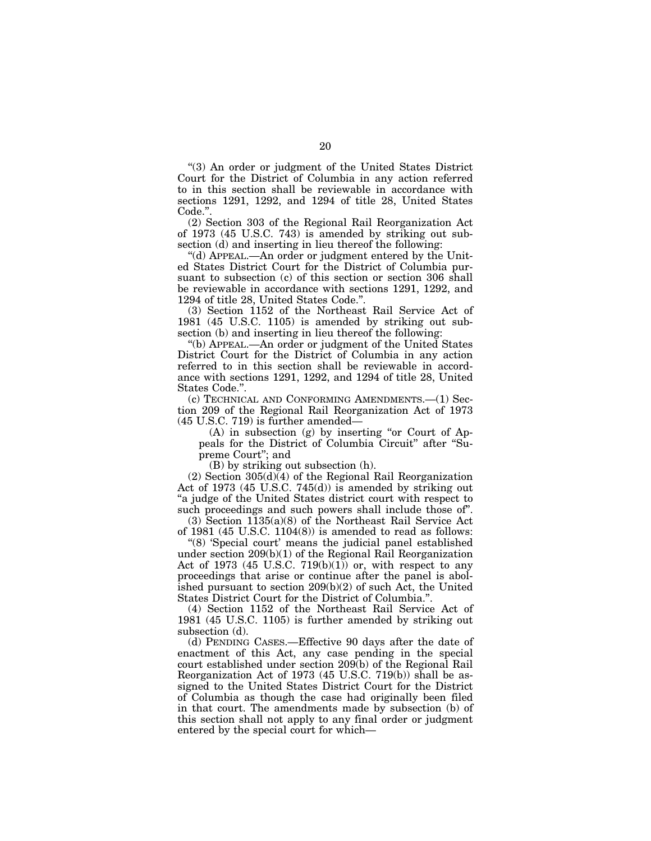''(3) An order or judgment of the United States District Court for the District of Columbia in any action referred to in this section shall be reviewable in accordance with sections 1291, 1292, and 1294 of title 28, United States Code.''.

(2) Section 303 of the Regional Rail Reorganization Act of 1973 (45 U.S.C. 743) is amended by striking out subsection (d) and inserting in lieu thereof the following:

''(d) APPEAL.—An order or judgment entered by the United States District Court for the District of Columbia pursuant to subsection (c) of this section or section 306 shall be reviewable in accordance with sections 1291, 1292, and 1294 of title 28, United States Code.''.

(3) Section 1152 of the Northeast Rail Service Act of 1981 (45 U.S.C. 1105) is amended by striking out subsection (b) and inserting in lieu thereof the following:

''(b) APPEAL.—An order or judgment of the United States District Court for the District of Columbia in any action referred to in this section shall be reviewable in accordance with sections 1291, 1292, and 1294 of title 28, United States Code.''.

(c) TECHNICAL AND CONFORMING AMENDMENTS.—(1) Section 209 of the Regional Rail Reorganization Act of 1973 (45 U.S.C. 719) is further amended—

 $(A)$  in subsection  $(g)$  by inserting "or Court of Appeals for the District of Columbia Circuit" after "Supreme Court''; and

(B) by striking out subsection (h).

(2) Section 305(d)(4) of the Regional Rail Reorganization Act of 1973 (45 U.S.C. 745(d)) is amended by striking out ''a judge of the United States district court with respect to such proceedings and such powers shall include those of''.

(3) Section 1135(a)(8) of the Northeast Rail Service Act of 1981 (45 U.S.C. 1104(8)) is amended to read as follows:

"(8) 'Special court' means the judicial panel established under section 209(b)(1) of the Regional Rail Reorganization Act of 1973 (45 U.S.C. 719 $(b)(1)$ ) or, with respect to any proceedings that arise or continue after the panel is abolished pursuant to section 209(b)(2) of such Act, the United States District Court for the District of Columbia.''.

(4) Section 1152 of the Northeast Rail Service Act of 1981 (45 U.S.C. 1105) is further amended by striking out subsection (d).

(d) PENDING CASES.—Effective 90 days after the date of enactment of this Act, any case pending in the special court established under section 209(b) of the Regional Rail Reorganization Act of 1973 (45 U.S.C. 719(b)) shall be assigned to the United States District Court for the District of Columbia as though the case had originally been filed in that court. The amendments made by subsection (b) of this section shall not apply to any final order or judgment entered by the special court for which—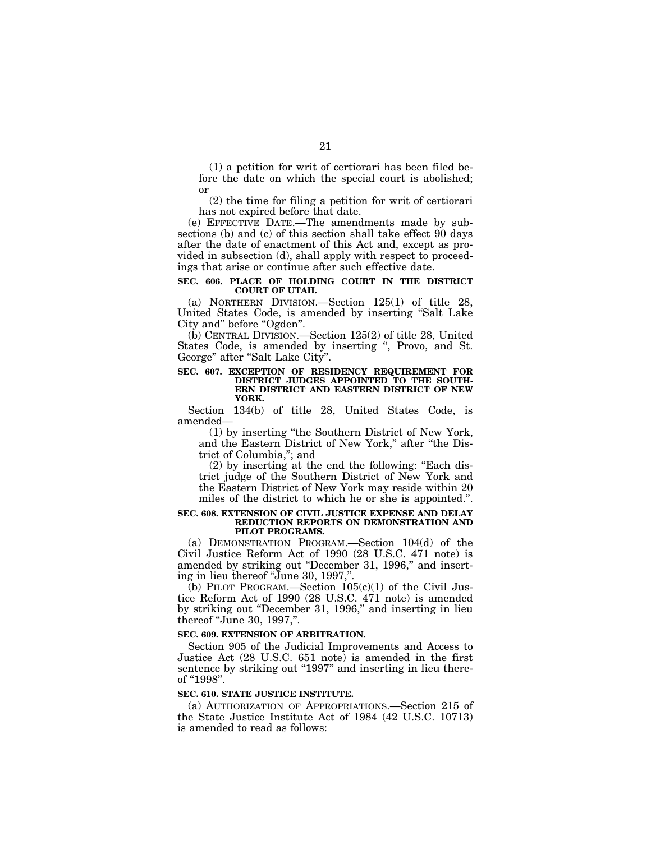(1) a petition for writ of certiorari has been filed before the date on which the special court is abolished; or

(2) the time for filing a petition for writ of certiorari has not expired before that date.

(e) EFFECTIVE DATE.—The amendments made by subsections (b) and (c) of this section shall take effect 90 days after the date of enactment of this Act and, except as provided in subsection (d), shall apply with respect to proceedings that arise or continue after such effective date.

#### **SEC. 606. PLACE OF HOLDING COURT IN THE DISTRICT COURT OF UTAH.**

(a) NORTHERN DIVISION.—Section 125(1) of title 28, United States Code, is amended by inserting ''Salt Lake City and" before "Ogden".

(b) CENTRAL DIVISION.—Section 125(2) of title 28, United States Code, is amended by inserting ", Provo, and St. George" after "Salt Lake City".

#### **SEC. 607. EXCEPTION OF RESIDENCY REQUIREMENT FOR DISTRICT JUDGES APPOINTED TO THE SOUTH-ERN DISTRICT AND EASTERN DISTRICT OF NEW YORK.**

Section 134(b) of title 28, United States Code, is amended—

(1) by inserting ''the Southern District of New York, and the Eastern District of New York," after "the District of Columbia,''; and

(2) by inserting at the end the following: ''Each district judge of the Southern District of New York and the Eastern District of New York may reside within 20 miles of the district to which he or she is appointed.''.

#### **SEC. 608. EXTENSION OF CIVIL JUSTICE EXPENSE AND DELAY REDUCTION REPORTS ON DEMONSTRATION AND PILOT PROGRAMS.**

(a) DEMONSTRATION PROGRAM.—Section 104(d) of the Civil Justice Reform Act of 1990 (28 U.S.C. 471 note) is amended by striking out "December 31, 1996," and inserting in lieu thereof ''June 30, 1997,''.

(b) PILOT PROGRAM.—Section  $105(c)(1)$  of the Civil Justice Reform Act of 1990 (28 U.S.C. 471 note) is amended by striking out "December 31, 1996," and inserting in lieu thereof ''June 30, 1997,''.

#### **SEC. 609. EXTENSION OF ARBITRATION.**

Section 905 of the Judicial Improvements and Access to Justice Act (28 U.S.C. 651 note) is amended in the first sentence by striking out "1997" and inserting in lieu thereof "1998".

#### **SEC. 610. STATE JUSTICE INSTITUTE.**

(a) AUTHORIZATION OF APPROPRIATIONS.—Section 215 of the State Justice Institute Act of 1984 (42 U.S.C. 10713) is amended to read as follows: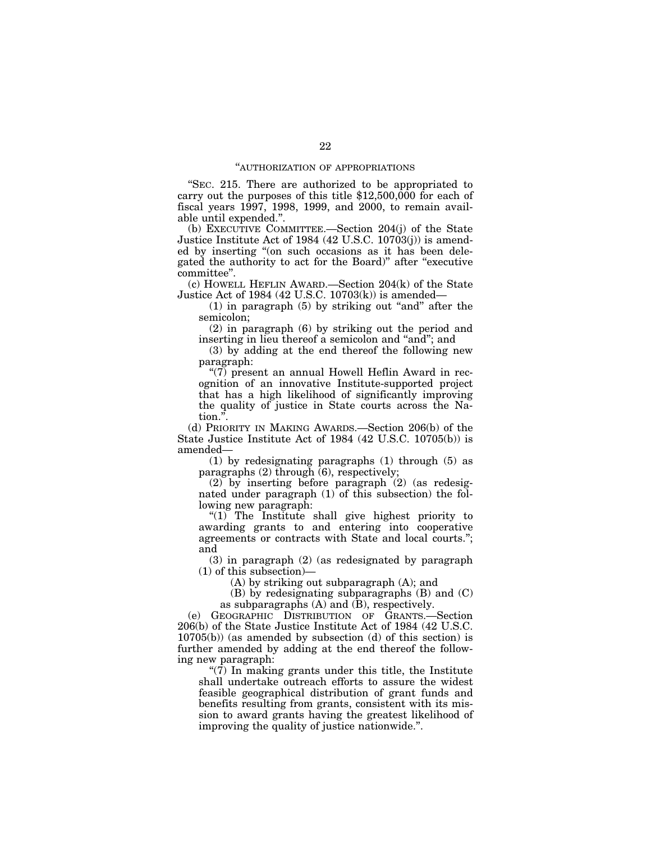#### ''AUTHORIZATION OF APPROPRIATIONS

''SEC. 215. There are authorized to be appropriated to carry out the purposes of this title \$12,500,000 for each of fiscal years 1997, 1998, 1999, and 2000, to remain available until expended.''.

(b) EXECUTIVE COMMITTEE.—Section 204(j) of the State Justice Institute Act of 1984 (42 U.S.C. 10703(j)) is amended by inserting ''(on such occasions as it has been delegated the authority to act for the Board)'' after ''executive committee''.

(c) HOWELL HEFLIN AWARD.—Section 204(k) of the State Justice Act of 1984 (42 U.S.C. 10703(k)) is amended—

 $(1)$  in paragraph  $(5)$  by striking out "and" after the semicolon;

(2) in paragraph (6) by striking out the period and inserting in lieu thereof a semicolon and "and"; and

(3) by adding at the end thereof the following new paragraph:

" $(7)$  present an annual Howell Heflin Award in recognition of an innovative Institute-supported project that has a high likelihood of significantly improving the quality of justice in State courts across the Nation.''.

(d) PRIORITY IN MAKING AWARDS.—Section 206(b) of the State Justice Institute Act of 1984 (42 U.S.C. 10705(b)) is amended—

(1) by redesignating paragraphs (1) through (5) as paragraphs  $(2)$  through  $(6)$ , respectively;

(2) by inserting before paragraph (2) (as redesignated under paragraph (1) of this subsection) the following new paragraph:

"(1) The Institute shall give highest priority to awarding grants to and entering into cooperative agreements or contracts with State and local courts.''; and

(3) in paragraph (2) (as redesignated by paragraph (1) of this subsection)—

(A) by striking out subparagraph (A); and

(B) by redesignating subparagraphs (B) and (C) as subparagraphs (A) and (B), respectively.

(e) GEOGRAPHIC DISTRIBUTION OF GRANTS.—Section 206(b) of the State Justice Institute Act of 1984 (42 U.S.C. 10705(b)) (as amended by subsection (d) of this section) is further amended by adding at the end thereof the following new paragraph:

" $(7)$  In making grants under this title, the Institute shall undertake outreach efforts to assure the widest feasible geographical distribution of grant funds and benefits resulting from grants, consistent with its mission to award grants having the greatest likelihood of improving the quality of justice nationwide.''.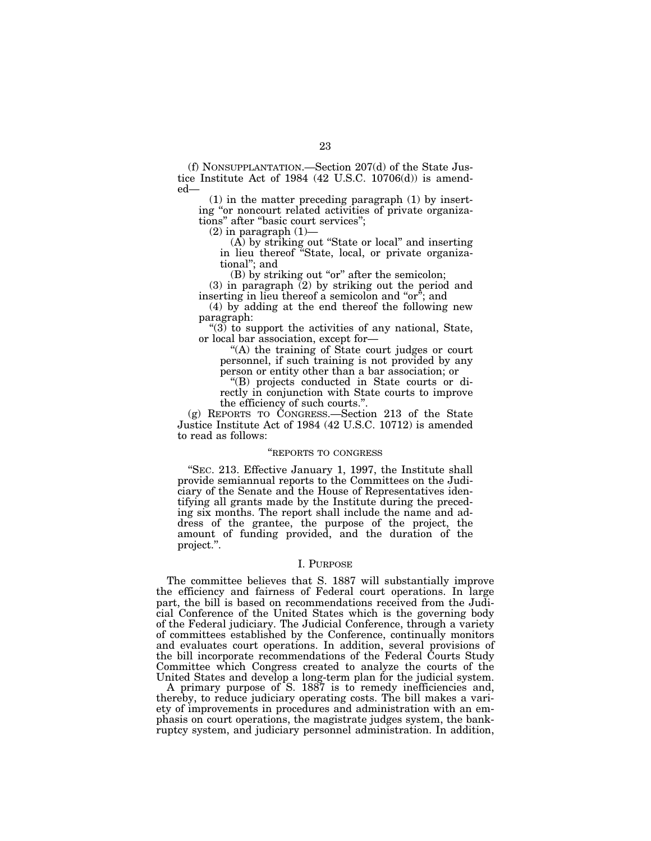(f) NONSUPPLANTATION.—Section 207(d) of the State Justice Institute Act of 1984 (42 U.S.C. 10706(d)) is amended—

(1) in the matter preceding paragraph (1) by inserting "or noncourt related activities of private organizations'' after ''basic court services'';

 $(2)$  in paragraph  $(1)$ —

(A) by striking out ''State or local'' and inserting in lieu thereof ''State, local, or private organizational''; and

 $(B)$  by striking out "or" after the semicolon;

(3) in paragraph (2) by striking out the period and inserting in lieu thereof a semicolon and "or"; and

(4) by adding at the end thereof the following new paragraph:

''(3) to support the activities of any national, State, or local bar association, except for—

''(A) the training of State court judges or court personnel, if such training is not provided by any person or entity other than a bar association; or

''(B) projects conducted in State courts or directly in conjunction with State courts to improve the efficiency of such courts.''.

(g) REPORTS TO CONGRESS.—Section 213 of the State Justice Institute Act of 1984 (42 U.S.C. 10712) is amended to read as follows:

#### ''REPORTS TO CONGRESS

''SEC. 213. Effective January 1, 1997, the Institute shall provide semiannual reports to the Committees on the Judiciary of the Senate and the House of Representatives identifying all grants made by the Institute during the preceding six months. The report shall include the name and address of the grantee, the purpose of the project, the amount of funding provided, and the duration of the project.''.

# I. PURPOSE

The committee believes that S. 1887 will substantially improve the efficiency and fairness of Federal court operations. In large part, the bill is based on recommendations received from the Judicial Conference of the United States which is the governing body of the Federal judiciary. The Judicial Conference, through a variety of committees established by the Conference, continually monitors and evaluates court operations. In addition, several provisions of the bill incorporate recommendations of the Federal Courts Study Committee which Congress created to analyze the courts of the United States and develop a long-term plan for the judicial system.

A primary purpose of S. 1887 is to remedy inefficiencies and, thereby, to reduce judiciary operating costs. The bill makes a variety of improvements in procedures and administration with an emphasis on court operations, the magistrate judges system, the bankruptcy system, and judiciary personnel administration. In addition,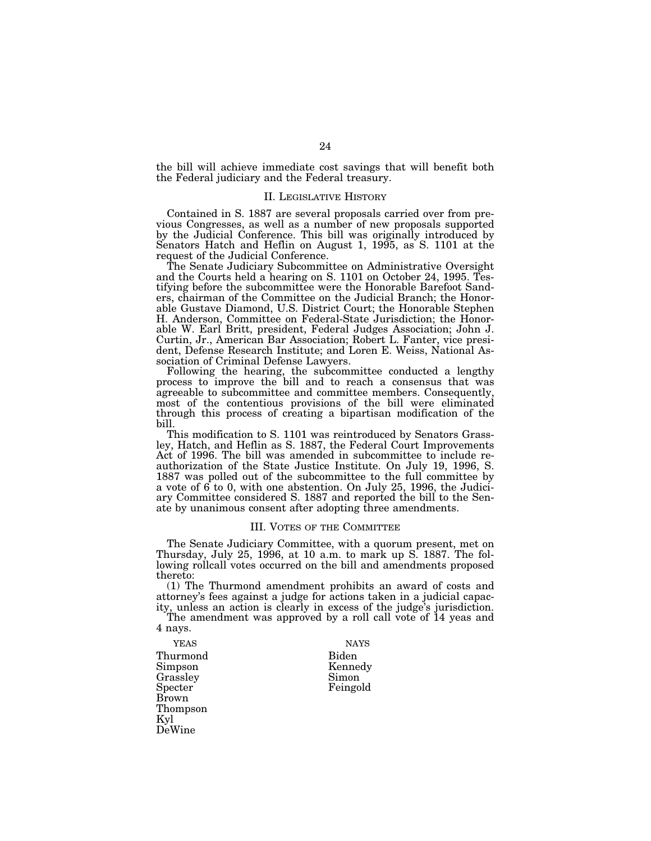the bill will achieve immediate cost savings that will benefit both the Federal judiciary and the Federal treasury.

#### II. LEGISLATIVE HISTORY

Contained in S. 1887 are several proposals carried over from previous Congresses, as well as a number of new proposals supported by the Judicial Conference. This bill was originally introduced by Senators Hatch and Heflin on August 1, 1995, as S. 1101 at the request of the Judicial Conference.

The Senate Judiciary Subcommittee on Administrative Oversight and the Courts held a hearing on S. 1101 on October 24, 1995. Testifying before the subcommittee were the Honorable Barefoot Sanders, chairman of the Committee on the Judicial Branch; the Honorable Gustave Diamond, U.S. District Court; the Honorable Stephen H. Anderson, Committee on Federal-State Jurisdiction; the Honorable W. Earl Britt, president, Federal Judges Association; John J. Curtin, Jr., American Bar Association; Robert L. Fanter, vice president, Defense Research Institute; and Loren E. Weiss, National Association of Criminal Defense Lawyers.

Following the hearing, the subcommittee conducted a lengthy process to improve the bill and to reach a consensus that was agreeable to subcommittee and committee members. Consequently, most of the contentious provisions of the bill were eliminated through this process of creating a bipartisan modification of the bill.

This modification to S. 1101 was reintroduced by Senators Grassley, Hatch, and Heflin as S. 1887, the Federal Court Improvements Act of 1996. The bill was amended in subcommittee to include reauthorization of the State Justice Institute. On July 19, 1996, S. 1887 was polled out of the subcommittee to the full committee by a vote of 6 to 0, with one abstention. On July 25, 1996, the Judiciary Committee considered S. 1887 and reported the bill to the Senate by unanimous consent after adopting three amendments.

#### III. VOTES OF THE COMMITTEE

The Senate Judiciary Committee, with a quorum present, met on Thursday, July 25, 1996, at 10 a.m. to mark up S. 1887. The following rollcall votes occurred on the bill and amendments proposed thereto:

(1) The Thurmond amendment prohibits an award of costs and attorney's fees against a judge for actions taken in a judicial capacity, unless an action is clearly in excess of the judge's jurisdiction.

The amendment was approved by a roll call vote of 14 yeas and 4 nays.

Thurmond Biden Simpson Kennedy Grassley<br>Specter Brown Thompson Kyl DeWine

YEAS NAYS

Feingold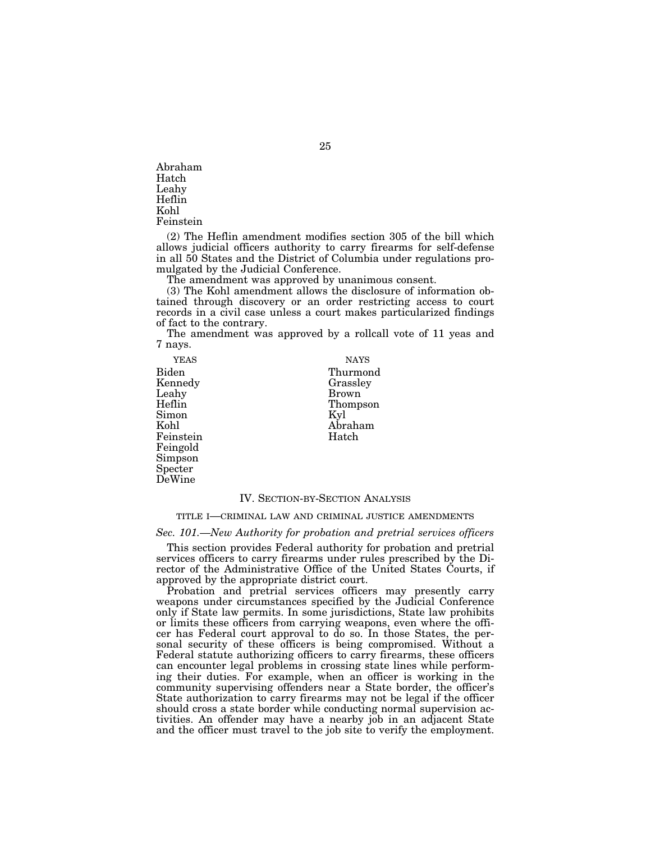Abraham Hatch Leahy Heflin Kohl Feinstein

(2) The Heflin amendment modifies section 305 of the bill which allows judicial officers authority to carry firearms for self-defense in all 50 States and the District of Columbia under regulations promulgated by the Judicial Conference.

The amendment was approved by unanimous consent.

(3) The Kohl amendment allows the disclosure of information obtained through discovery or an order restricting access to court records in a civil case unless a court makes particularized findings of fact to the contrary.

The amendment was approved by a rollcall vote of 11 yeas and 7 nays.

Biden Thurmond Kennedy Grassley Leahy Brown Simon<br>Kohl Feinstein Feingold Simpson Specter DeWine

**YEAS** NAYS Thompson<br>Kyl Abraham<br>Hatch

#### IV. SECTION-BY-SECTION ANALYSIS

#### TITLE I—CRIMINAL LAW AND CRIMINAL JUSTICE AMENDMENTS

*Sec. 101.—New Authority for probation and pretrial services officers*

This section provides Federal authority for probation and pretrial services officers to carry firearms under rules prescribed by the Director of the Administrative Office of the United States Courts, if approved by the appropriate district court.

Probation and pretrial services officers may presently carry weapons under circumstances specified by the Judicial Conference only if State law permits. In some jurisdictions, State law prohibits or limits these officers from carrying weapons, even where the officer has Federal court approval to do so. In those States, the personal security of these officers is being compromised. Without a Federal statute authorizing officers to carry firearms, these officers can encounter legal problems in crossing state lines while performing their duties. For example, when an officer is working in the community supervising offenders near a State border, the officer's State authorization to carry firearms may not be legal if the officer should cross a state border while conducting normal supervision activities. An offender may have a nearby job in an adjacent State and the officer must travel to the job site to verify the employment.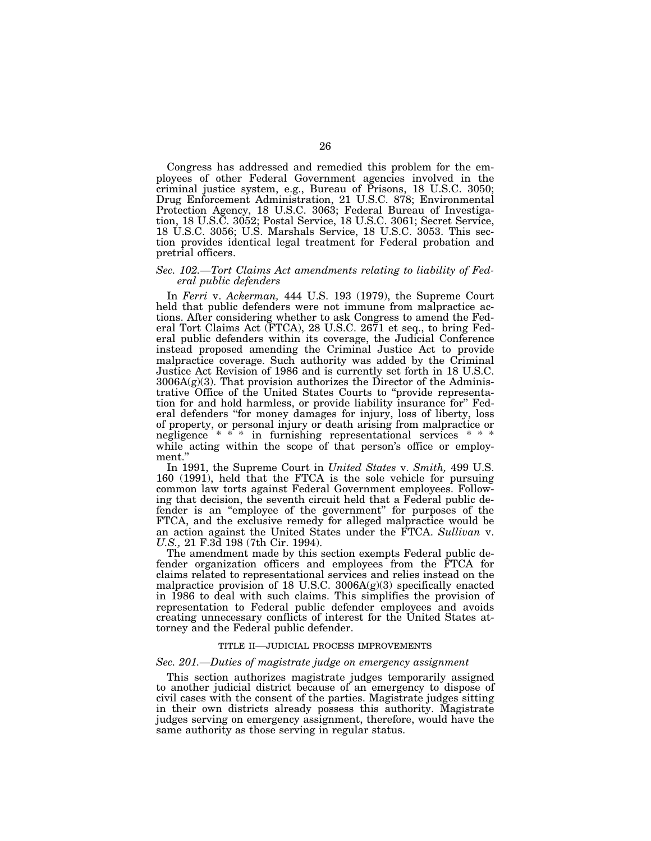Congress has addressed and remedied this problem for the employees of other Federal Government agencies involved in the criminal justice system, e.g., Bureau of Prisons, 18 U.S.C. 3050; Drug Enforcement Administration, 21 U.S.C. 878; Environmental Protection Agency, 18 U.S.C. 3063; Federal Bureau of Investigation, 18 U.S.C. 3052; Postal Service, 18 U.S.C. 3061; Secret Service, 18 U.S.C. 3056; U.S. Marshals Service, 18 U.S.C. 3053. This section provides identical legal treatment for Federal probation and pretrial officers.

#### *Sec. 102.—Tort Claims Act amendments relating to liability of Federal public defenders*

In *Ferri* v. *Ackerman,* 444 U.S. 193 (1979), the Supreme Court held that public defenders were not immune from malpractice actions. After considering whether to ask Congress to amend the Federal Tort Claims Act (FTCA), 28 U.S.C. 2671 et seq., to bring Federal public defenders within its coverage, the Judicial Conference instead proposed amending the Criminal Justice Act to provide malpractice coverage. Such authority was added by the Criminal Justice Act Revision of 1986 and is currently set forth in 18 U.S.C.  $3006A(g)(3)$ . That provision authorizes the Director of the Administrative Office of the United States Courts to ''provide representation for and hold harmless, or provide liability insurance for'' Federal defenders ''for money damages for injury, loss of liberty, loss of property, or personal injury or death arising from malpractice or negligence \* \* \* in furnishing representational services \* \* while acting within the scope of that person's office or employment.''

In 1991, the Supreme Court in *United States* v. *Smith,* 499 U.S. 160 (1991), held that the FTCA is the sole vehicle for pursuing common law torts against Federal Government employees. Following that decision, the seventh circuit held that a Federal public defender is an ''employee of the government'' for purposes of the FTCA, and the exclusive remedy for alleged malpractice would be an action against the United States under the FTCA. *Sullivan* v. *U.S.,* 21 F.3d 198 (7th Cir. 1994).

The amendment made by this section exempts Federal public defender organization officers and employees from the FTCA for claims related to representational services and relies instead on the malpractice provision of 18 U.S.C.  $3006A(g)(3)$  specifically enacted in 1986 to deal with such claims. This simplifies the provision of representation to Federal public defender employees and avoids creating unnecessary conflicts of interest for the United States attorney and the Federal public defender.

## TITLE II—JUDICIAL PROCESS IMPROVEMENTS

#### *Sec. 201.—Duties of magistrate judge on emergency assignment*

This section authorizes magistrate judges temporarily assigned to another judicial district because of an emergency to dispose of civil cases with the consent of the parties. Magistrate judges sitting in their own districts already possess this authority. Magistrate judges serving on emergency assignment, therefore, would have the same authority as those serving in regular status.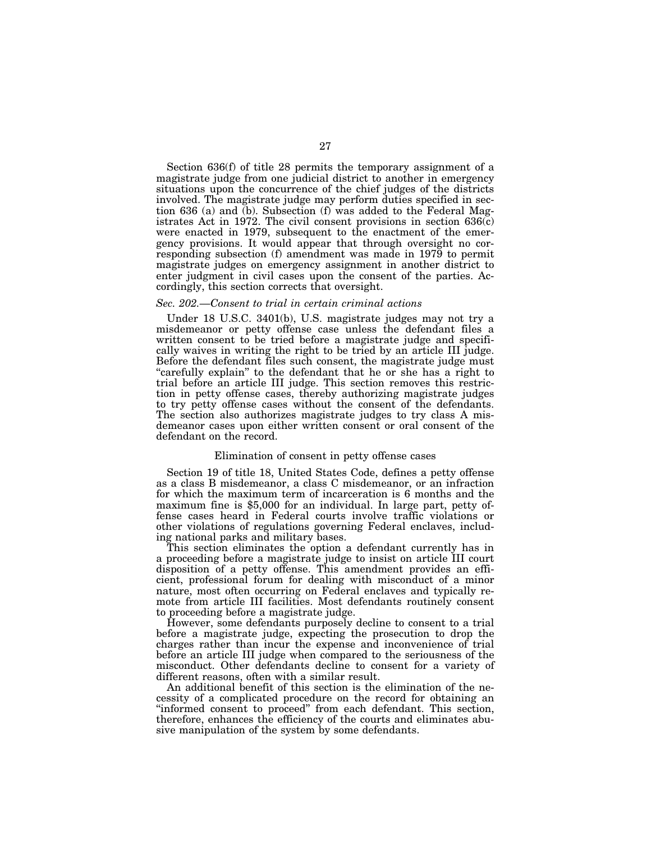Section 636(f) of title 28 permits the temporary assignment of a magistrate judge from one judicial district to another in emergency situations upon the concurrence of the chief judges of the districts involved. The magistrate judge may perform duties specified in section 636 (a) and (b). Subsection (f) was added to the Federal Magistrates Act in 1972. The civil consent provisions in section 636(c) were enacted in 1979, subsequent to the enactment of the emergency provisions. It would appear that through oversight no corresponding subsection (f) amendment was made in 1979 to permit magistrate judges on emergency assignment in another district to enter judgment in civil cases upon the consent of the parties. Accordingly, this section corrects that oversight.

#### *Sec. 202.—Consent to trial in certain criminal actions*

Under 18 U.S.C. 3401(b), U.S. magistrate judges may not try a misdemeanor or petty offense case unless the defendant files a written consent to be tried before a magistrate judge and specifically waives in writing the right to be tried by an article III judge. Before the defendant files such consent, the magistrate judge must ''carefully explain'' to the defendant that he or she has a right to trial before an article III judge. This section removes this restriction in petty offense cases, thereby authorizing magistrate judges to try petty offense cases without the consent of the defendants. The section also authorizes magistrate judges to try class A misdemeanor cases upon either written consent or oral consent of the defendant on the record.

#### Elimination of consent in petty offense cases

Section 19 of title 18, United States Code, defines a petty offense as a class B misdemeanor, a class C misdemeanor, or an infraction for which the maximum term of incarceration is 6 months and the maximum fine is \$5,000 for an individual. In large part, petty offense cases heard in Federal courts involve traffic violations or other violations of regulations governing Federal enclaves, including national parks and military bases.

This section eliminates the option a defendant currently has in a proceeding before a magistrate judge to insist on article III court disposition of a petty offense. This amendment provides an efficient, professional forum for dealing with misconduct of a minor nature, most often occurring on Federal enclaves and typically remote from article III facilities. Most defendants routinely consent to proceeding before a magistrate judge.

However, some defendants purposely decline to consent to a trial before a magistrate judge, expecting the prosecution to drop the charges rather than incur the expense and inconvenience of trial before an article III judge when compared to the seriousness of the misconduct. Other defendants decline to consent for a variety of different reasons, often with a similar result.

An additional benefit of this section is the elimination of the necessity of a complicated procedure on the record for obtaining an ''informed consent to proceed'' from each defendant. This section, therefore, enhances the efficiency of the courts and eliminates abusive manipulation of the system by some defendants.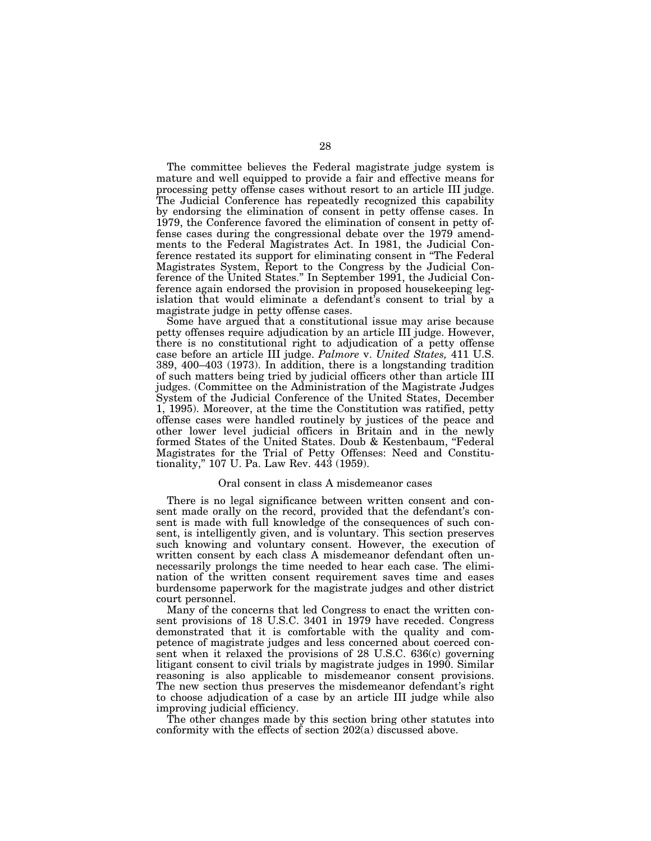The committee believes the Federal magistrate judge system is mature and well equipped to provide a fair and effective means for processing petty offense cases without resort to an article III judge. The Judicial Conference has repeatedly recognized this capability by endorsing the elimination of consent in petty offense cases. In 1979, the Conference favored the elimination of consent in petty offense cases during the congressional debate over the 1979 amendments to the Federal Magistrates Act. In 1981, the Judicial Conference restated its support for eliminating consent in ''The Federal Magistrates System, Report to the Congress by the Judicial Conference of the United States.'' In September 1991, the Judicial Conference again endorsed the provision in proposed housekeeping legislation that would eliminate a defendant's consent to trial by a magistrate judge in petty offense cases.

Some have argued that a constitutional issue may arise because petty offenses require adjudication by an article III judge. However, there is no constitutional right to adjudication of a petty offense case before an article III judge. *Palmore* v. *United States,* 411 U.S. 389, 400–403 (1973). In addition, there is a longstanding tradition of such matters being tried by judicial officers other than article III judges. (Committee on the Administration of the Magistrate Judges System of the Judicial Conference of the United States, December 1, 1995). Moreover, at the time the Constitution was ratified, petty offense cases were handled routinely by justices of the peace and other lower level judicial officers in Britain and in the newly formed States of the United States. Doub & Kestenbaum, ''Federal Magistrates for the Trial of Petty Offenses: Need and Constitutionality,'' 107 U. Pa. Law Rev. 443 (1959).

#### Oral consent in class A misdemeanor cases

There is no legal significance between written consent and consent made orally on the record, provided that the defendant's consent is made with full knowledge of the consequences of such consent, is intelligently given, and is voluntary. This section preserves such knowing and voluntary consent. However, the execution of written consent by each class A misdemeanor defendant often unnecessarily prolongs the time needed to hear each case. The elimination of the written consent requirement saves time and eases burdensome paperwork for the magistrate judges and other district court personnel.

Many of the concerns that led Congress to enact the written consent provisions of 18 U.S.C. 3401 in 1979 have receded. Congress demonstrated that it is comfortable with the quality and competence of magistrate judges and less concerned about coerced consent when it relaxed the provisions of 28 U.S.C. 636(c) governing litigant consent to civil trials by magistrate judges in 1990. Similar reasoning is also applicable to misdemeanor consent provisions. The new section thus preserves the misdemeanor defendant's right to choose adjudication of a case by an article III judge while also improving judicial efficiency.

The other changes made by this section bring other statutes into conformity with the effects of section 202(a) discussed above.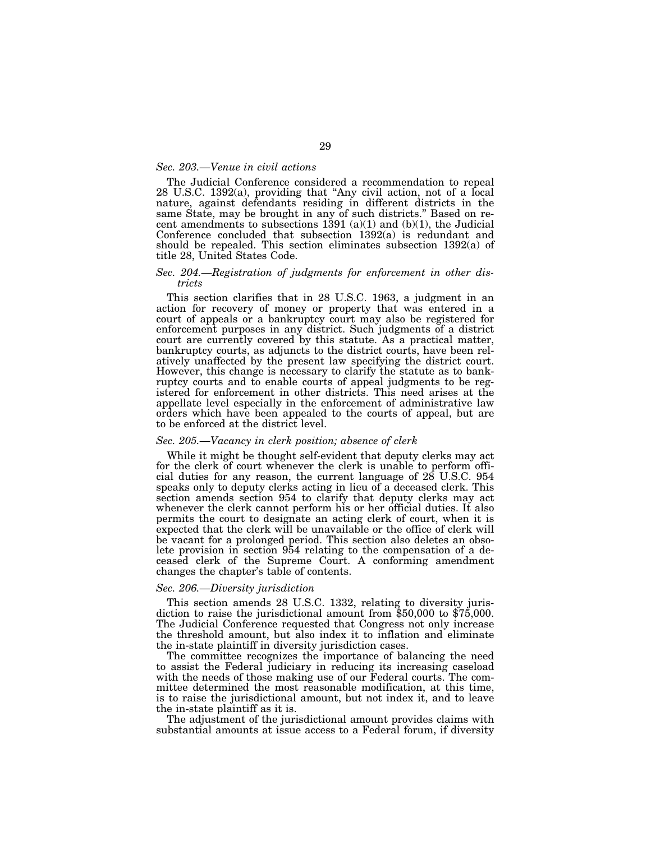#### *Sec. 203.—Venue in civil actions*

The Judicial Conference considered a recommendation to repeal 28 U.S.C. 1392(a), providing that ''Any civil action, not of a local nature, against defendants residing in different districts in the same State, may be brought in any of such districts.'' Based on recent amendments to subsections 1391 (a)(1) and (b)(1), the Judicial Conference concluded that subsection 1392(a) is redundant and should be repealed. This section eliminates subsection 1392(a) of title 28, United States Code.

#### *Sec. 204.—Registration of judgments for enforcement in other districts*

This section clarifies that in 28 U.S.C. 1963, a judgment in an action for recovery of money or property that was entered in a court of appeals or a bankruptcy court may also be registered for enforcement purposes in any district. Such judgments of a district court are currently covered by this statute. As a practical matter, bankruptcy courts, as adjuncts to the district courts, have been relatively unaffected by the present law specifying the district court. However, this change is necessary to clarify the statute as to bankruptcy courts and to enable courts of appeal judgments to be registered for enforcement in other districts. This need arises at the appellate level especially in the enforcement of administrative law orders which have been appealed to the courts of appeal, but are to be enforced at the district level.

#### *Sec. 205.—Vacancy in clerk position; absence of clerk*

While it might be thought self-evident that deputy clerks may act for the clerk of court whenever the clerk is unable to perform official duties for any reason, the current language of 28 U.S.C. 954 speaks only to deputy clerks acting in lieu of a deceased clerk. This section amends section 954 to clarify that deputy clerks may act whenever the clerk cannot perform his or her official duties. It also permits the court to designate an acting clerk of court, when it is expected that the clerk will be unavailable or the office of clerk will be vacant for a prolonged period. This section also deletes an obsolete provision in section 954 relating to the compensation of a deceased clerk of the Supreme Court. A conforming amendment changes the chapter's table of contents.

#### *Sec. 206.—Diversity jurisdiction*

This section amends 28 U.S.C. 1332, relating to diversity juris- diction to raise the jurisdictional amount from \$50,000 to \$75,000. The Judicial Conference requested that Congress not only increase the threshold amount, but also index it to inflation and eliminate the in-state plaintiff in diversity jurisdiction cases.

The committee recognizes the importance of balancing the need to assist the Federal judiciary in reducing its increasing caseload with the needs of those making use of our Federal courts. The committee determined the most reasonable modification, at this time, is to raise the jurisdictional amount, but not index it, and to leave the in-state plaintiff as it is.

The adjustment of the jurisdictional amount provides claims with substantial amounts at issue access to a Federal forum, if diversity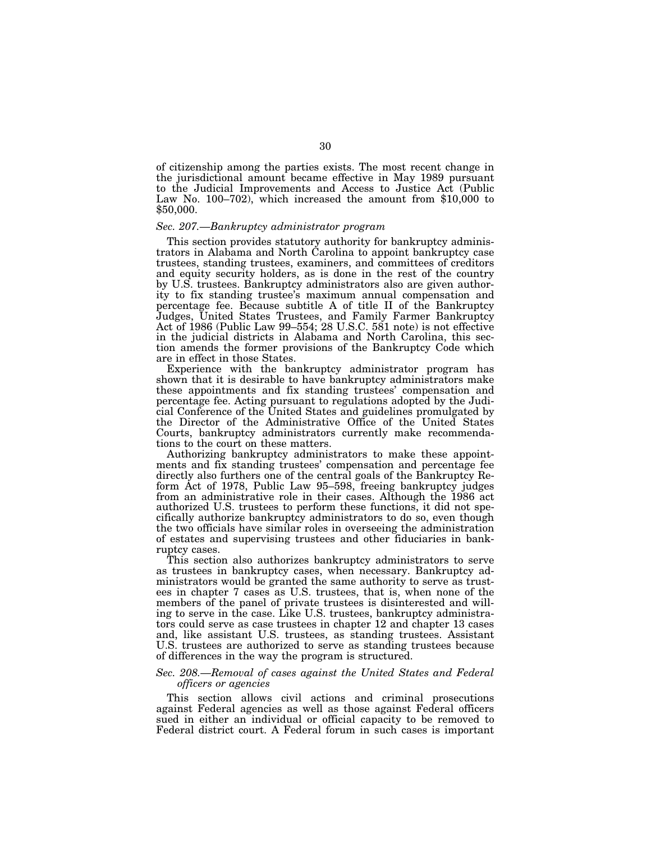of citizenship among the parties exists. The most recent change in the jurisdictional amount became effective in May 1989 pursuant to the Judicial Improvements and Access to Justice Act (Public Law No. 100–702), which increased the amount from \$10,000 to \$50,000.

#### *Sec. 207.—Bankruptcy administrator program*

This section provides statutory authority for bankruptcy administrators in Alabama and North Carolina to appoint bankruptcy case trustees, standing trustees, examiners, and committees of creditors and equity security holders, as is done in the rest of the country by U.S. trustees. Bankruptcy administrators also are given authority to fix standing trustee's maximum annual compensation and percentage fee. Because subtitle A of title II of the Bankruptcy Judges, United States Trustees, and Family Farmer Bankruptcy Act of 1986 (Public Law 99–554; 28 U.S.C. 581 note) is not effective in the judicial districts in Alabama and North Carolina, this section amends the former provisions of the Bankruptcy Code which are in effect in those States.

Experience with the bankruptcy administrator program has shown that it is desirable to have bankruptcy administrators make these appointments and fix standing trustees' compensation and percentage fee. Acting pursuant to regulations adopted by the Judicial Conference of the United States and guidelines promulgated by the Director of the Administrative Office of the United States Courts, bankruptcy administrators currently make recommendations to the court on these matters.

Authorizing bankruptcy administrators to make these appointments and fix standing trustees' compensation and percentage fee directly also furthers one of the central goals of the Bankruptcy Reform Act of 1978, Public Law 95–598, freeing bankruptcy judges from an administrative role in their cases. Although the 1986 act authorized U.S. trustees to perform these functions, it did not specifically authorize bankruptcy administrators to do so, even though the two officials have similar roles in overseeing the administration of estates and supervising trustees and other fiduciaries in bankruptcy cases.

This section also authorizes bankruptcy administrators to serve as trustees in bankruptcy cases, when necessary. Bankruptcy administrators would be granted the same authority to serve as trustees in chapter 7 cases as U.S. trustees, that is, when none of the members of the panel of private trustees is disinterested and willing to serve in the case. Like U.S. trustees, bankruptcy administrators could serve as case trustees in chapter 12 and chapter 13 cases and, like assistant U.S. trustees, as standing trustees. Assistant U.S. trustees are authorized to serve as standing trustees because of differences in the way the program is structured.

# *Sec. 208.—Removal of cases against the United States and Federal officers or agencies*

This section allows civil actions and criminal prosecutions against Federal agencies as well as those against Federal officers sued in either an individual or official capacity to be removed to Federal district court. A Federal forum in such cases is important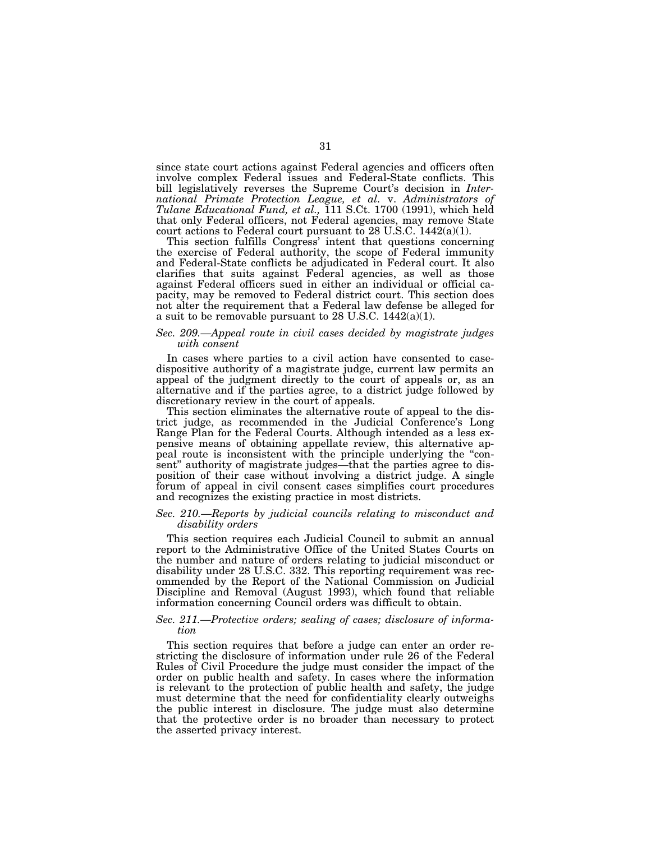since state court actions against Federal agencies and officers often involve complex Federal issues and Federal-State conflicts. This bill legislatively reverses the Supreme Court's decision in *International Primate Protection League, et al.* v. *Administrators of Tulane Educational Fund, et al.,* 111 S.Ct. 1700 (1991), which held that only Federal officers, not Federal agencies, may remove State court actions to Federal court pursuant to 28 U.S.C. 1442(a)(1).

This section fulfills Congress' intent that questions concerning the exercise of Federal authority, the scope of Federal immunity and Federal-State conflicts be adjudicated in Federal court. It also clarifies that suits against Federal agencies, as well as those against Federal officers sued in either an individual or official capacity, may be removed to Federal district court. This section does not alter the requirement that a Federal law defense be alleged for a suit to be removable pursuant to 28 U.S.C. 1442(a)(1).

#### *Sec. 209.—Appeal route in civil cases decided by magistrate judges with consent*

In cases where parties to a civil action have consented to casedispositive authority of a magistrate judge, current law permits an appeal of the judgment directly to the court of appeals or, as an alternative and if the parties agree, to a district judge followed by discretionary review in the court of appeals.

This section eliminates the alternative route of appeal to the district judge, as recommended in the Judicial Conference's Long Range Plan for the Federal Courts. Although intended as a less expensive means of obtaining appellate review, this alternative appeal route is inconsistent with the principle underlying the "consent'' authority of magistrate judges—that the parties agree to disposition of their case without involving a district judge. A single forum of appeal in civil consent cases simplifies court procedures and recognizes the existing practice in most districts.

# *Sec. 210.—Reports by judicial councils relating to misconduct and disability orders*

This section requires each Judicial Council to submit an annual report to the Administrative Office of the United States Courts on the number and nature of orders relating to judicial misconduct or disability under 28 U.S.C. 332. This reporting requirement was recommended by the Report of the National Commission on Judicial Discipline and Removal (August 1993), which found that reliable information concerning Council orders was difficult to obtain.

## *Sec. 211.—Protective orders; sealing of cases; disclosure of information*

This section requires that before a judge can enter an order restricting the disclosure of information under rule 26 of the Federal Rules of Civil Procedure the judge must consider the impact of the order on public health and safety. In cases where the information is relevant to the protection of public health and safety, the judge must determine that the need for confidentiality clearly outweighs the public interest in disclosure. The judge must also determine that the protective order is no broader than necessary to protect the asserted privacy interest.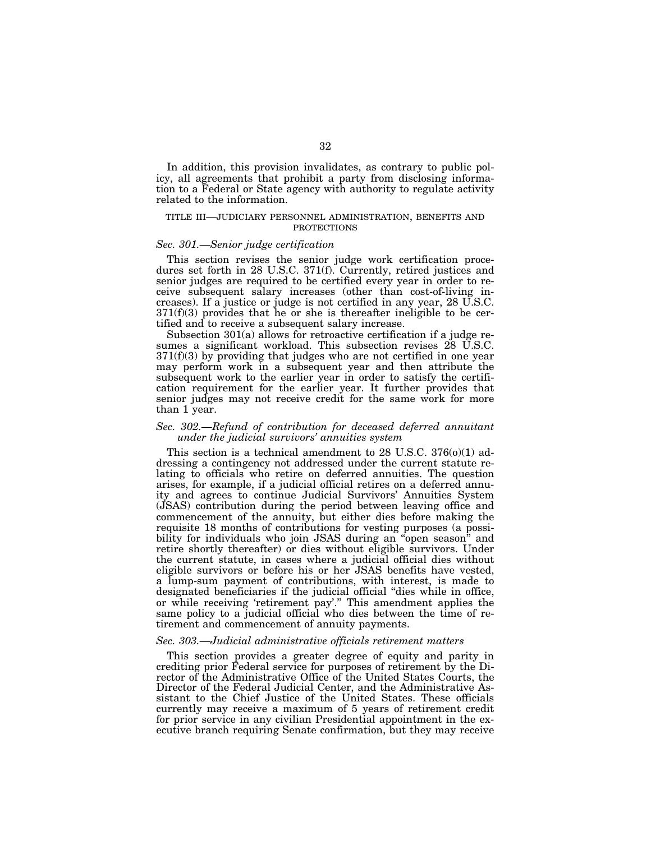In addition, this provision invalidates, as contrary to public policy, all agreements that prohibit a party from disclosing information to a Federal or State agency with authority to regulate activity related to the information.

#### TITLE III—JUDICIARY PERSONNEL ADMINISTRATION, BENEFITS AND PROTECTIONS

## *Sec. 301.—Senior judge certification*

This section revises the senior judge work certification procedures set forth in 28 U.S.C. 371(f). Currently, retired justices and senior judges are required to be certified every year in order to receive subsequent salary increases (other than cost-of-living increases). If a justice or judge is not certified in any year, 28 U.S.C.  $371(f)(3)$  provides that he or she is thereafter ineligible to be certified and to receive a subsequent salary increase.

Subsection 301(a) allows for retroactive certification if a judge resumes a significant workload. This subsection revises 28 U.S.C.  $371(f)(3)$  by providing that judges who are not certified in one year may perform work in a subsequent year and then attribute the subsequent work to the earlier year in order to satisfy the certification requirement for the earlier year. It further provides that senior judges may not receive credit for the same work for more than 1 year.

# *Sec. 302.—Refund of contribution for deceased deferred annuitant under the judicial survivors' annuities system*

This section is a technical amendment to  $28 \text{ U.S.C. } 376(0)(1)$  addressing a contingency not addressed under the current statute relating to officials who retire on deferred annuities. The question arises, for example, if a judicial official retires on a deferred annuity and agrees to continue Judicial Survivors' Annuities System (JSAS) contribution during the period between leaving office and commencement of the annuity, but either dies before making the requisite 18 months of contributions for vesting purposes (a possibility for individuals who join JSAS during an ''open season'' and retire shortly thereafter) or dies without eligible survivors. Under the current statute, in cases where a judicial official dies without eligible survivors or before his or her JSAS benefits have vested, a lump-sum payment of contributions, with interest, is made to designated beneficiaries if the judicial official ''dies while in office, or while receiving 'retirement pay'.'' This amendment applies the same policy to a judicial official who dies between the time of retirement and commencement of annuity payments.

#### *Sec. 303.—Judicial administrative officials retirement matters*

This section provides a greater degree of equity and parity in crediting prior Federal service for purposes of retirement by the Director of the Administrative Office of the United States Courts, the Director of the Federal Judicial Center, and the Administrative Assistant to the Chief Justice of the United States. These officials currently may receive a maximum of 5 years of retirement credit for prior service in any civilian Presidential appointment in the executive branch requiring Senate confirmation, but they may receive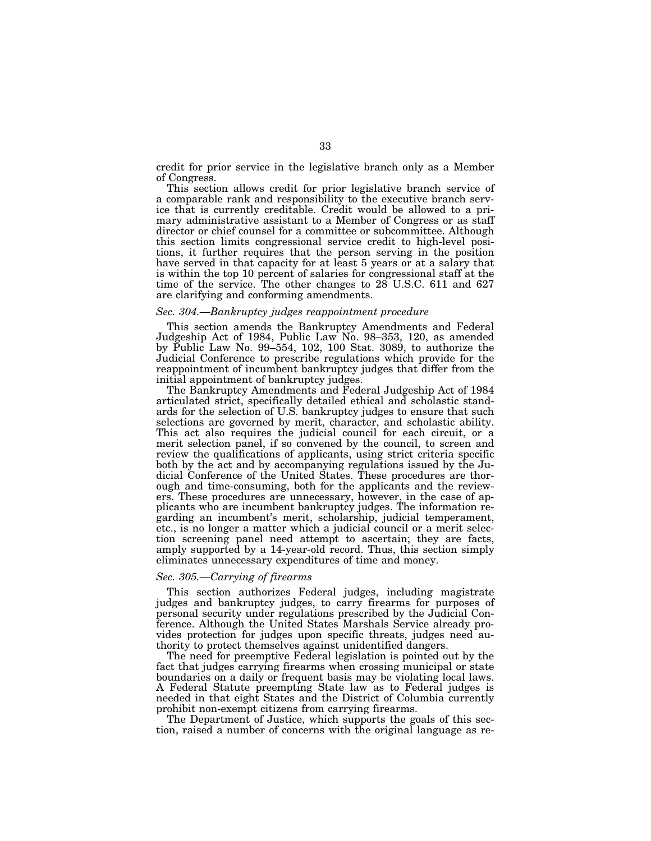credit for prior service in the legislative branch only as a Member of Congress.

This section allows credit for prior legislative branch service of a comparable rank and responsibility to the executive branch service that is currently creditable. Credit would be allowed to a primary administrative assistant to a Member of Congress or as staff director or chief counsel for a committee or subcommittee. Although this section limits congressional service credit to high-level positions, it further requires that the person serving in the position have served in that capacity for at least 5 years or at a salary that is within the top 10 percent of salaries for congressional staff at the time of the service. The other changes to  $28^{\circ}$  U.S.C. 611 and 627 are clarifying and conforming amendments.

# *Sec. 304.—Bankruptcy judges reappointment procedure*

This section amends the Bankruptcy Amendments and Federal Judgeship Act of 1984, Public Law No. 98–353, 120, as amended by Public Law No. 99–554, 102, 100 Stat. 3089, to authorize the Judicial Conference to prescribe regulations which provide for the reappointment of incumbent bankruptcy judges that differ from the initial appointment of bankruptcy judges.

The Bankruptcy Amendments and Federal Judgeship Act of 1984 articulated strict, specifically detailed ethical and scholastic standards for the selection of U.S. bankruptcy judges to ensure that such selections are governed by merit, character, and scholastic ability. This act also requires the judicial council for each circuit, or a merit selection panel, if so convened by the council, to screen and review the qualifications of applicants, using strict criteria specific both by the act and by accompanying regulations issued by the Judicial Conference of the United States. These procedures are thorough and time-consuming, both for the applicants and the reviewers. These procedures are unnecessary, however, in the case of applicants who are incumbent bankruptcy judges. The information regarding an incumbent's merit, scholarship, judicial temperament, etc., is no longer a matter which a judicial council or a merit selection screening panel need attempt to ascertain; they are facts, amply supported by a 14-year-old record. Thus, this section simply eliminates unnecessary expenditures of time and money.

#### *Sec. 305.—Carrying of firearms*

This section authorizes Federal judges, including magistrate judges and bankruptcy judges, to carry firearms for purposes of personal security under regulations prescribed by the Judicial Conference. Although the United States Marshals Service already provides protection for judges upon specific threats, judges need authority to protect themselves against unidentified dangers.

The need for preemptive Federal legislation is pointed out by the fact that judges carrying firearms when crossing municipal or state boundaries on a daily or frequent basis may be violating local laws. A Federal Statute preempting State law as to Federal judges is needed in that eight States and the District of Columbia currently prohibit non-exempt citizens from carrying firearms.

The Department of Justice, which supports the goals of this section, raised a number of concerns with the original language as re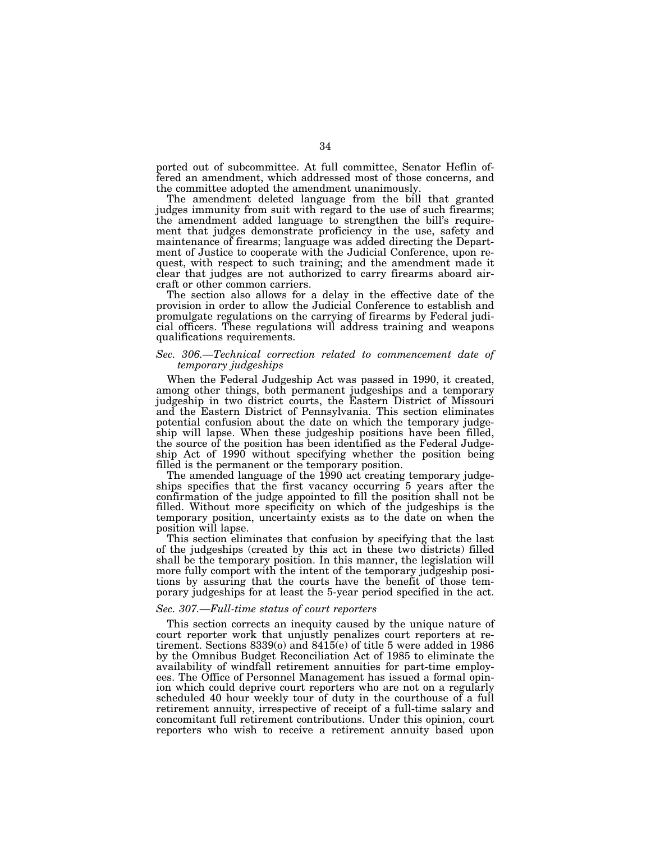ported out of subcommittee. At full committee, Senator Heflin offered an amendment, which addressed most of those concerns, and the committee adopted the amendment unanimously.

The amendment deleted language from the bill that granted judges immunity from suit with regard to the use of such firearms; the amendment added language to strengthen the bill's requirement that judges demonstrate proficiency in the use, safety and maintenance of firearms; language was added directing the Department of Justice to cooperate with the Judicial Conference, upon request, with respect to such training; and the amendment made it clear that judges are not authorized to carry firearms aboard aircraft or other common carriers.

The section also allows for a delay in the effective date of the provision in order to allow the Judicial Conference to establish and promulgate regulations on the carrying of firearms by Federal judicial officers. These regulations will address training and weapons qualifications requirements.

# *Sec. 306.—Technical correction related to commencement date of temporary judgeships*

When the Federal Judgeship Act was passed in 1990, it created, among other things, both permanent judgeships and a temporary judgeship in two district courts, the Eastern District of Missouri and the Eastern District of Pennsylvania. This section eliminates potential confusion about the date on which the temporary judgeship will lapse. When these judgeship positions have been filled, the source of the position has been identified as the Federal Judgeship Act of 1990 without specifying whether the position being filled is the permanent or the temporary position.

The amended language of the 1990 act creating temporary judgeships specifies that the first vacancy occurring 5 years after the confirmation of the judge appointed to fill the position shall not be filled. Without more specificity on which of the judgeships is the temporary position, uncertainty exists as to the date on when the position will lapse.

This section eliminates that confusion by specifying that the last of the judgeships (created by this act in these two districts) filled shall be the temporary position. In this manner, the legislation will more fully comport with the intent of the temporary judgeship positions by assuring that the courts have the benefit of those temporary judgeships for at least the 5-year period specified in the act.

#### *Sec. 307.—Full-time status of court reporters*

This section corrects an inequity caused by the unique nature of court reporter work that unjustly penalizes court reporters at retirement. Sections 8339(o) and 8415(e) of title 5 were added in 1986 by the Omnibus Budget Reconciliation Act of 1985 to eliminate the availability of windfall retirement annuities for part-time employees. The Office of Personnel Management has issued a formal opinion which could deprive court reporters who are not on a regularly scheduled 40 hour weekly tour of duty in the courthouse of a full retirement annuity, irrespective of receipt of a full-time salary and concomitant full retirement contributions. Under this opinion, court reporters who wish to receive a retirement annuity based upon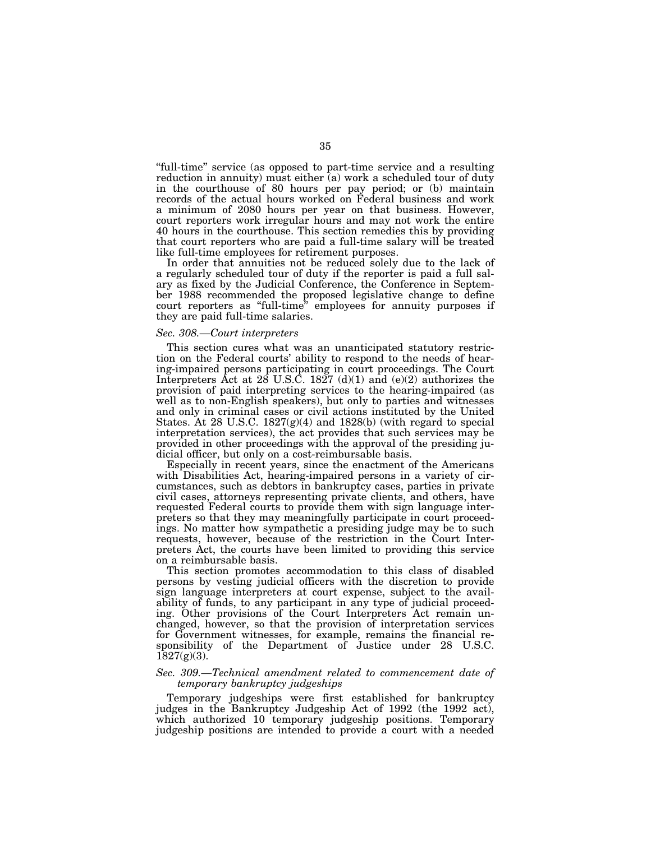''full-time'' service (as opposed to part-time service and a resulting reduction in annuity) must either (a) work a scheduled tour of duty in the courthouse of 80 hours per pay period; or (b) maintain records of the actual hours worked on Federal business and work a minimum of 2080 hours per year on that business. However, court reporters work irregular hours and may not work the entire 40 hours in the courthouse. This section remedies this by providing that court reporters who are paid a full-time salary will be treated like full-time employees for retirement purposes.

In order that annuities not be reduced solely due to the lack of a regularly scheduled tour of duty if the reporter is paid a full salary as fixed by the Judicial Conference, the Conference in September 1988 recommended the proposed legislative change to define court reporters as "full-time" employees for annuity purposes if they are paid full-time salaries.

# *Sec. 308.—Court interpreters*

This section cures what was an unanticipated statutory restriction on the Federal courts' ability to respond to the needs of hearing-impaired persons participating in court proceedings. The Court Interpreters Act at 28 U.S.C. 1827 (d)(1) and (e)(2) authorizes the provision of paid interpreting services to the hearing-impaired (as well as to non-English speakers), but only to parties and witnesses and only in criminal cases or civil actions instituted by the United States. At 28 U.S.C.  $1827(g)(4)$  and  $1828(b)$  (with regard to special interpretation services), the act provides that such services may be provided in other proceedings with the approval of the presiding judicial officer, but only on a cost-reimbursable basis.

Especially in recent years, since the enactment of the Americans with Disabilities Act, hearing-impaired persons in a variety of circumstances, such as debtors in bankruptcy cases, parties in private civil cases, attorneys representing private clients, and others, have requested Federal courts to provide them with sign language interpreters so that they may meaningfully participate in court proceedings. No matter how sympathetic a presiding judge may be to such requests, however, because of the restriction in the Court Interpreters Act, the courts have been limited to providing this service on a reimbursable basis.

This section promotes accommodation to this class of disabled persons by vesting judicial officers with the discretion to provide sign language interpreters at court expense, subject to the availability of funds, to any participant in any type of judicial proceeding. Other provisions of the Court Interpreters Act remain unchanged, however, so that the provision of interpretation services for Government witnesses, for example, remains the financial responsibility of the Department of Justice under 28 U.S.C.  $1827(g)(3)$ .

# *Sec. 309.—Technical amendment related to commencement date of temporary bankruptcy judgeships*

Temporary judgeships were first established for bankruptcy judges in the Bankruptcy Judgeship Act of 1992 (the 1992 act), which authorized 10 temporary judgeship positions. Temporary judgeship positions are intended to provide a court with a needed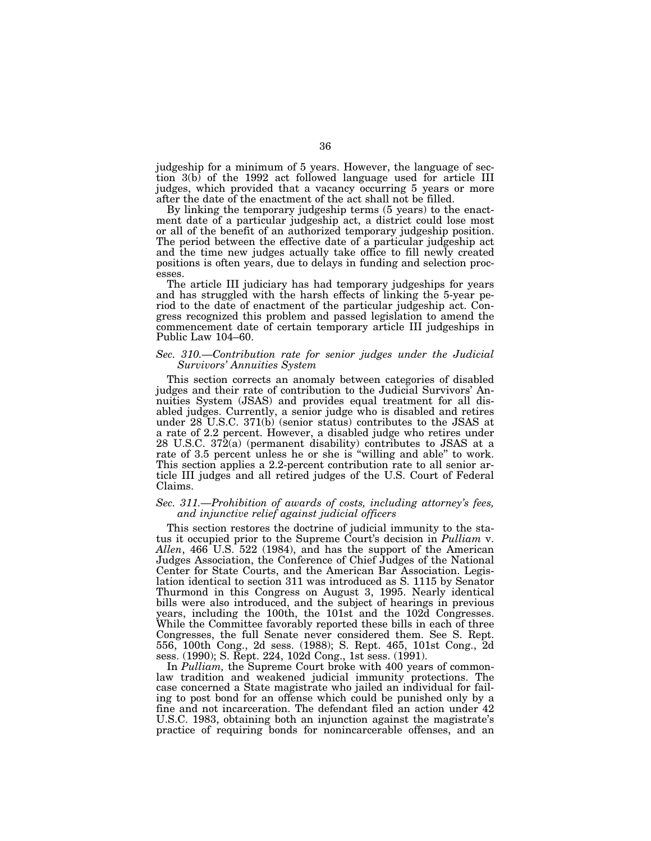judgeship for a minimum of 5 years. However, the language of section 3(b) of the 1992 act followed language used for article III judges, which provided that a vacancy occurring 5 years or more after the date of the enactment of the act shall not be filled.

By linking the temporary judgeship terms (5 years) to the enactment date of a particular judgeship act, a district could lose most or all of the benefit of an authorized temporary judgeship position. The period between the effective date of a particular judgeship act and the time new judges actually take office to fill newly created positions is often years, due to delays in funding and selection processes.

The article III judiciary has had temporary judgeships for years and has struggled with the harsh effects of linking the 5-year period to the date of enactment of the particular judgeship act. Congress recognized this problem and passed legislation to amend the commencement date of certain temporary article III judgeships in Public Law 104–60.

#### *Sec. 310.—Contribution rate for senior judges under the Judicial Survivors' Annuities System*

This section corrects an anomaly between categories of disabled judges and their rate of contribution to the Judicial Survivors' Annuities System (JSAS) and provides equal treatment for all disabled judges. Currently, a senior judge who is disabled and retires under 28 U.S.C. 371(b) (senior status) contributes to the JSAS at a rate of 2.2 percent. However, a disabled judge who retires under 28 U.S.C. 372(a) (permanent disability) contributes to JSAS at a rate of 3.5 percent unless he or she is ''willing and able'' to work. This section applies a 2.2-percent contribution rate to all senior article III judges and all retired judges of the U.S. Court of Federal Claims.

## *Sec. 311.—Prohibition of awards of costs, including attorney's fees, and injunctive relief against judicial officers*

This section restores the doctrine of judicial immunity to the status it occupied prior to the Supreme Court's decision in *Pulliam* v. *Allen*, 466 U.S. 522 (1984), and has the support of the American Judges Association, the Conference of Chief Judges of the National Center for State Courts, and the American Bar Association. Legislation identical to section 311 was introduced as S. 1115 by Senator Thurmond in this Congress on August 3, 1995. Nearly identical bills were also introduced, and the subject of hearings in previous years, including the 100th, the 101st and the 102d Congresses. While the Committee favorably reported these bills in each of three Congresses, the full Senate never considered them. See S. Rept. 556, 100th Cong., 2d sess. (1988); S. Rept. 465, 101st Cong., 2d sess. (1990); S. Rept. 224, 102d Cong., 1st sess. (1991).

In *Pulliam,* the Supreme Court broke with 400 years of commonlaw tradition and weakened judicial immunity protections. The case concerned a State magistrate who jailed an individual for failing to post bond for an offense which could be punished only by a fine and not incarceration. The defendant filed an action under 42 U.S.C. 1983, obtaining both an injunction against the magistrate's practice of requiring bonds for nonincarcerable offenses, and an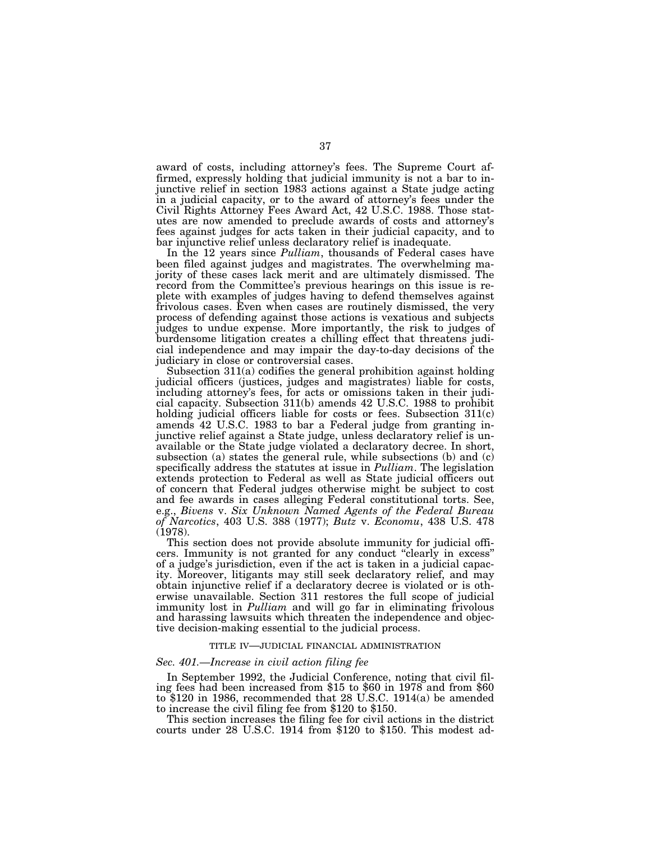award of costs, including attorney's fees. The Supreme Court affirmed, expressly holding that judicial immunity is not a bar to injunctive relief in section 1983 actions against a State judge acting in a judicial capacity, or to the award of attorney's fees under the Civil Rights Attorney Fees Award Act, 42 U.S.C. 1988. Those statutes are now amended to preclude awards of costs and attorney's fees against judges for acts taken in their judicial capacity, and to bar injunctive relief unless declaratory relief is inadequate.

In the 12 years since *Pulliam*, thousands of Federal cases have been filed against judges and magistrates. The overwhelming majority of these cases lack merit and are ultimately dismissed. The record from the Committee's previous hearings on this issue is replete with examples of judges having to defend themselves against frivolous cases. Even when cases are routinely dismissed, the very process of defending against those actions is vexatious and subjects judges to undue expense. More importantly, the risk to judges of burdensome litigation creates a chilling effect that threatens judicial independence and may impair the day-to-day decisions of the judiciary in close or controversial cases.

Subsection 311(a) codifies the general prohibition against holding judicial officers (justices, judges and magistrates) liable for costs, including attorney's fees, for acts or omissions taken in their judicial capacity. Subsection 311(b) amends 42 U.S.C. 1988 to prohibit holding judicial officers liable for costs or fees. Subsection 311(c) amends 42 U.S.C. 1983 to bar a Federal judge from granting injunctive relief against a State judge, unless declaratory relief is unavailable or the State judge violated a declaratory decree. In short, subsection (a) states the general rule, while subsections (b) and (c) specifically address the statutes at issue in *Pulliam*. The legislation extends protection to Federal as well as State judicial officers out of concern that Federal judges otherwise might be subject to cost and fee awards in cases alleging Federal constitutional torts. See, e.g., *Bivens* v. *Six Unknown Named Agents of the Federal Bureau of Narcotics*, 403 U.S. 388 (1977); *Butz* v. *Economu*, 438 U.S. 478 (1978).

This section does not provide absolute immunity for judicial officers. Immunity is not granted for any conduct ''clearly in excess'' of a judge's jurisdiction, even if the act is taken in a judicial capacity. Moreover, litigants may still seek declaratory relief, and may obtain injunctive relief if a declaratory decree is violated or is otherwise unavailable. Section 311 restores the full scope of judicial immunity lost in *Pulliam* and will go far in eliminating frivolous and harassing lawsuits which threaten the independence and objective decision-making essential to the judicial process.

#### TITLE IV—JUDICIAL FINANCIAL ADMINISTRATION

### *Sec. 401.—Increase in civil action filing fee*

In September 1992, the Judicial Conference, noting that civil filing fees had been increased from \$15 to \$60 in 1978 and from \$60 to \$120 in 1986, recommended that 28 U.S.C. 1914(a) be amended to increase the civil filing fee from \$120 to \$150.

This section increases the filing fee for civil actions in the district courts under 28 U.S.C. 1914 from \$120 to \$150. This modest ad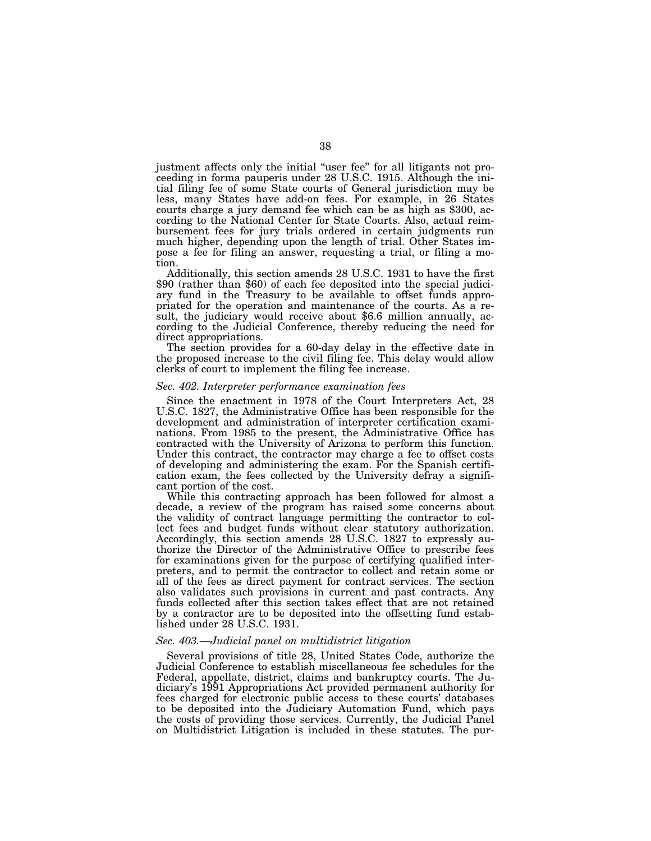justment affects only the initial ''user fee'' for all litigants not proceeding in forma pauperis under 28 U.S.C. 1915. Although the initial filing fee of some State courts of General jurisdiction may be less, many States have add-on fees. For example, in 26 States courts charge a jury demand fee which can be as high as \$300, according to the National Center for State Courts. Also, actual reimbursement fees for jury trials ordered in certain judgments run much higher, depending upon the length of trial. Other States impose a fee for filing an answer, requesting a trial, or filing a motion.<br>Additionally, this section amends 28 U.S.C. 1931 to have the first

\$90 (rather than \$60) of each fee deposited into the special judiciary fund in the Treasury to be available to offset funds appropriated for the operation and maintenance of the courts. As a result, the judiciary would receive about \$6.6 million annually, according to the Judicial Conference, thereby reducing the need for direct appropriations.

The section provides for a 60-day delay in the effective date in the proposed increase to the civil filing fee. This delay would allow clerks of court to implement the filing fee increase.

### *Sec. 402. Interpreter performance examination fees*

Since the enactment in 1978 of the Court Interpreters Act, 28 U.S.C. 1827, the Administrative Office has been responsible for the development and administration of interpreter certification examinations. From 1985 to the present, the Administrative Office has contracted with the University of Arizona to perform this function. Under this contract, the contractor may charge a fee to offset costs of developing and administering the exam. For the Spanish certification exam, the fees collected by the University defray a significant portion of the cost.

While this contracting approach has been followed for almost a decade, a review of the program has raised some concerns about the validity of contract language permitting the contractor to collect fees and budget funds without clear statutory authorization. Accordingly, this section amends 28 U.S.C. 1827 to expressly authorize the Director of the Administrative Office to prescribe fees for examinations given for the purpose of certifying qualified interpreters, and to permit the contractor to collect and retain some or all of the fees as direct payment for contract services. The section also validates such provisions in current and past contracts. Any funds collected after this section takes effect that are not retained by a contractor are to be deposited into the offsetting fund established under 28 U.S.C. 1931.

### *Sec. 403.—Judicial panel on multidistrict litigation*

Several provisions of title 28, United States Code, authorize the Judicial Conference to establish miscellaneous fee schedules for the Federal, appellate, district, claims and bankruptcy courts. The Judiciary's 1991 Appropriations Act provided permanent authority for fees charged for electronic public access to these courts' databases to be deposited into the Judiciary Automation Fund, which pays the costs of providing those services. Currently, the Judicial Panel on Multidistrict Litigation is included in these statutes. The pur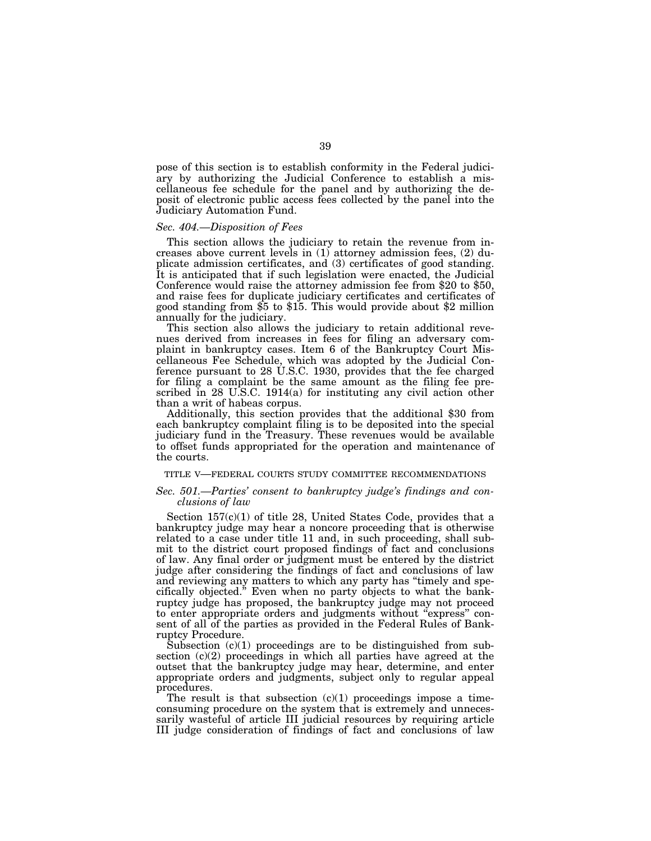pose of this section is to establish conformity in the Federal judiciary by authorizing the Judicial Conference to establish a miscellaneous fee schedule for the panel and by authorizing the deposit of electronic public access fees collected by the panel into the Judiciary Automation Fund.

### *Sec. 404.—Disposition of Fees*

This section allows the judiciary to retain the revenue from increases above current levels in (1) attorney admission fees, (2) duplicate admission certificates, and (3) certificates of good standing. It is anticipated that if such legislation were enacted, the Judicial Conference would raise the attorney admission fee from \$20 to \$50, and raise fees for duplicate judiciary certificates and certificates of good standing from \$5 to \$15. This would provide about \$2 million annually for the judiciary.

This section also allows the judiciary to retain additional revenues derived from increases in fees for filing an adversary complaint in bankruptcy cases. Item 6 of the Bankruptcy Court Miscellaneous Fee Schedule, which was adopted by the Judicial Conference pursuant to 28 U.S.C. 1930, provides that the fee charged for filing a complaint be the same amount as the filing fee prescribed in 28 U.S.C. 1914(a) for instituting any civil action other than a writ of habeas corpus.

Additionally, this section provides that the additional \$30 from each bankruptcy complaint filing is to be deposited into the special judiciary fund in the Treasury. These revenues would be available to offset funds appropriated for the operation and maintenance of the courts.

### TITLE V—FEDERAL COURTS STUDY COMMITTEE RECOMMENDATIONS

### *Sec. 501.—Parties' consent to bankruptcy judge's findings and conclusions of law*

Section  $157(c)(1)$  of title 28, United States Code, provides that a bankruptcy judge may hear a noncore proceeding that is otherwise related to a case under title 11 and, in such proceeding, shall submit to the district court proposed findings of fact and conclusions of law. Any final order or judgment must be entered by the district judge after considering the findings of fact and conclusions of law and reviewing any matters to which any party has "timely and specifically objected.'' Even when no party objects to what the bankruptcy judge has proposed, the bankruptcy judge may not proceed to enter appropriate orders and judgments without ''express'' consent of all of the parties as provided in the Federal Rules of Bankruptcy Procedure.

Subsection (c)(1) proceedings are to be distinguished from subsection (c)(2) proceedings in which all parties have agreed at the outset that the bankruptcy judge may hear, determine, and enter appropriate orders and judgments, subject only to regular appeal procedures.

The result is that subsection  $(c)(1)$  proceedings impose a timeconsuming procedure on the system that is extremely and unnecessarily wasteful of article III judicial resources by requiring article III judge consideration of findings of fact and conclusions of law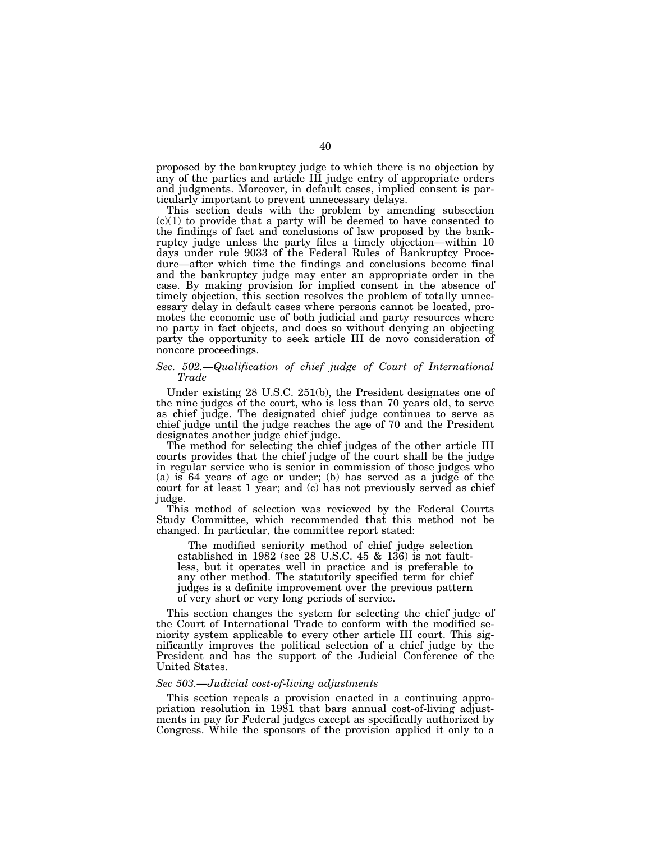proposed by the bankruptcy judge to which there is no objection by any of the parties and article III judge entry of appropriate orders and judgments. Moreover, in default cases, implied consent is particularly important to prevent unnecessary delays.

This section deals with the problem by amending subsection  $(c)(1)$  to provide that a party will be deemed to have consented to the findings of fact and conclusions of law proposed by the bankruptcy judge unless the party files a timely objection—within 10 days under rule 9033 of the Federal Rules of Bankruptcy Procedure—after which time the findings and conclusions become final and the bankruptcy judge may enter an appropriate order in the case. By making provision for implied consent in the absence of timely objection, this section resolves the problem of totally unnecessary delay in default cases where persons cannot be located, promotes the economic use of both judicial and party resources where no party in fact objects, and does so without denying an objecting party the opportunity to seek article III de novo consideration of noncore proceedings.

## *Sec. 502.—Qualification of chief judge of Court of International Trade*

Under existing 28 U.S.C. 251(b), the President designates one of the nine judges of the court, who is less than 70 years old, to serve as chief judge. The designated chief judge continues to serve as chief judge until the judge reaches the age of 70 and the President designates another judge chief judge.

The method for selecting the chief judges of the other article III courts provides that the chief judge of the court shall be the judge in regular service who is senior in commission of those judges who (a) is 64 years of age or under; (b) has served as a judge of the court for at least 1 year; and (c) has not previously served as chief judge.

This method of selection was reviewed by the Federal Courts Study Committee, which recommended that this method not be changed. In particular, the committee report stated:

The modified seniority method of chief judge selection established in  $1982$  (see  $28$  U.S.C.  $45 \& 136$ ) is not faultless, but it operates well in practice and is preferable to any other method. The statutorily specified term for chief judges is a definite improvement over the previous pattern of very short or very long periods of service.

This section changes the system for selecting the chief judge of the Court of International Trade to conform with the modified seniority system applicable to every other article III court. This significantly improves the political selection of a chief judge by the President and has the support of the Judicial Conference of the United States.

### *Sec 503.—Judicial cost-of-living adjustments*

This section repeals a provision enacted in a continuing appropriation resolution in 1981 that bars annual cost-of-living adjustments in pay for Federal judges except as specifically authorized by Congress. While the sponsors of the provision applied it only to a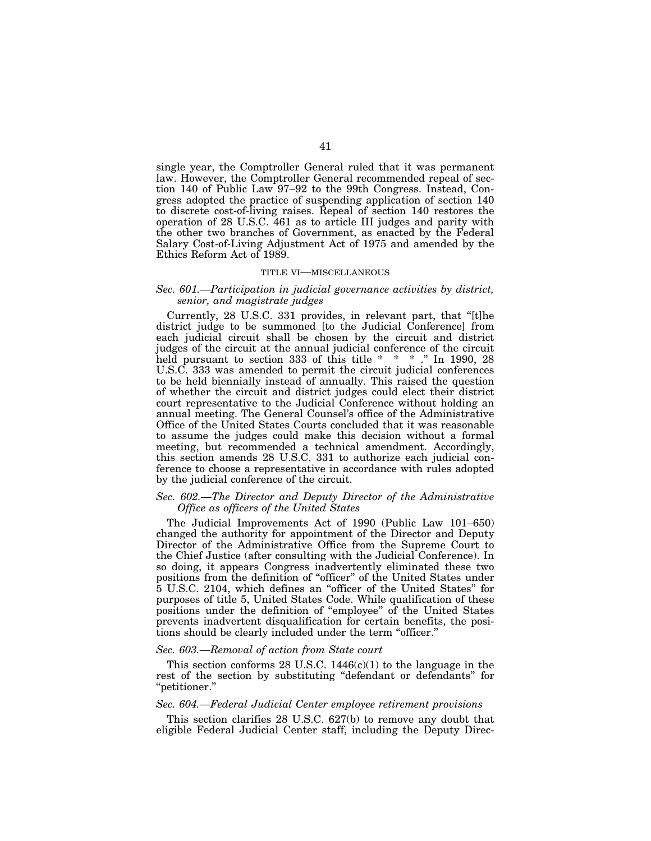single year, the Comptroller General ruled that it was permanent law. However, the Comptroller General recommended repeal of section 140 of Public Law 97–92 to the 99th Congress. Instead, Congress adopted the practice of suspending application of section 140 to discrete cost-of-living raises. Repeal of section 140 restores the operation of 28 U.S.C. 461 as to article III judges and parity with the other two branches of Government, as enacted by the Federal Salary Cost-of-Living Adjustment Act of 1975 and amended by the Ethics Reform Act of 1989.

#### TITLE VI—MISCELLANEOUS

## *Sec. 601.—Participation in judicial governance activities by district, senior, and magistrate judges*

Currently, 28 U.S.C. 331 provides, in relevant part, that ''[t]he district judge to be summoned [to the Judicial Conference] from each judicial circuit shall be chosen by the circuit and district judges of the circuit at the annual judicial conference of the circuit held pursuant to section 333 of this title \* \* \* ." In 1990, 28 U.S.C. 333 was amended to permit the circuit judicial conferences to be held biennially instead of annually. This raised the question of whether the circuit and district judges could elect their district court representative to the Judicial Conference without holding an annual meeting. The General Counsel's office of the Administrative Office of the United States Courts concluded that it was reasonable to assume the judges could make this decision without a formal meeting, but recommended a technical amendment. Accordingly, this section amends 28 U.S.C. 331 to authorize each judicial conference to choose a representative in accordance with rules adopted by the judicial conference of the circuit.

## *Sec. 602.—The Director and Deputy Director of the Administrative Office as officers of the United States*

The Judicial Improvements Act of 1990 (Public Law 101–650) changed the authority for appointment of the Director and Deputy Director of the Administrative Office from the Supreme Court to the Chief Justice (after consulting with the Judicial Conference). In so doing, it appears Congress inadvertently eliminated these two positions from the definition of ''officer'' of the United States under 5 U.S.C. 2104, which defines an ''officer of the United States'' for purposes of title 5, United States Code. While qualification of these positions under the definition of ''employee'' of the United States prevents inadvertent disqualification for certain benefits, the positions should be clearly included under the term ''officer.''

### *Sec. 603.—Removal of action from State court*

This section conforms 28 U.S.C.  $1446(c)(1)$  to the language in the rest of the section by substituting "defendant or defendants" for ''petitioner.''

### *Sec. 604.—Federal Judicial Center employee retirement provisions*

This section clarifies 28 U.S.C. 627(b) to remove any doubt that eligible Federal Judicial Center staff, including the Deputy Direc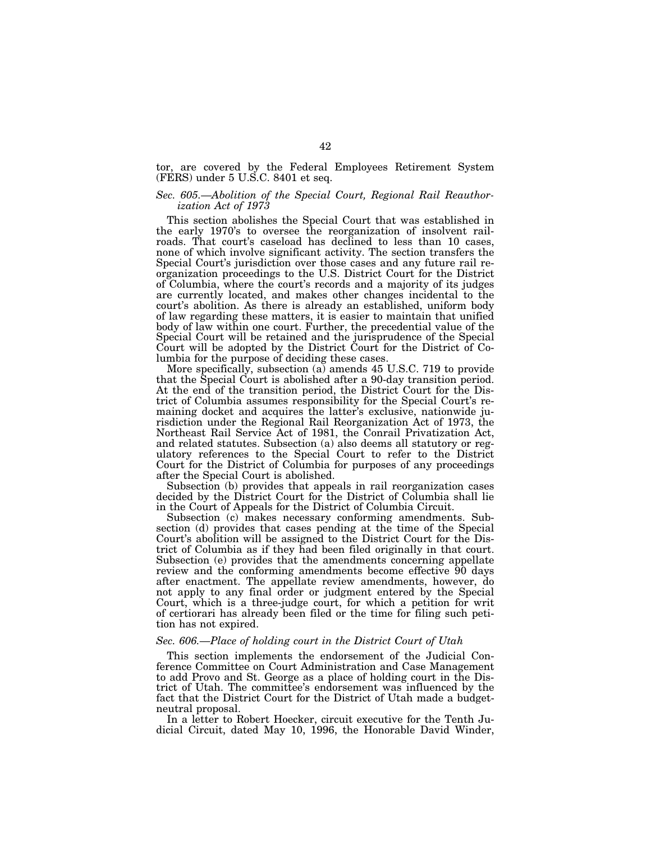tor, are covered by the Federal Employees Retirement System (FERS) under 5 U.S.C. 8401 et seq.

## *Sec. 605.—Abolition of the Special Court, Regional Rail Reauthorization Act of 1973*

This section abolishes the Special Court that was established in the early 1970's to oversee the reorganization of insolvent railroads. That court's caseload has declined to less than 10 cases, none of which involve significant activity. The section transfers the Special Court's jurisdiction over those cases and any future rail reorganization proceedings to the U.S. District Court for the District of Columbia, where the court's records and a majority of its judges are currently located, and makes other changes incidental to the court's abolition. As there is already an established, uniform body of law regarding these matters, it is easier to maintain that unified body of law within one court. Further, the precedential value of the Special Court will be retained and the jurisprudence of the Special Court will be adopted by the District Court for the District of Columbia for the purpose of deciding these cases.

More specifically, subsection (a) amends 45 U.S.C. 719 to provide that the Special Court is abolished after a 90-day transition period. At the end of the transition period, the District Court for the District of Columbia assumes responsibility for the Special Court's remaining docket and acquires the latter's exclusive, nationwide jurisdiction under the Regional Rail Reorganization Act of 1973, the Northeast Rail Service Act of 1981, the Conrail Privatization Act, and related statutes. Subsection (a) also deems all statutory or regulatory references to the Special Court to refer to the District Court for the District of Columbia for purposes of any proceedings after the Special Court is abolished.

Subsection (b) provides that appeals in rail reorganization cases decided by the District Court for the District of Columbia shall lie in the Court of Appeals for the District of Columbia Circuit.

Subsection (c) makes necessary conforming amendments. Subsection (d) provides that cases pending at the time of the Special Court's abolition will be assigned to the District Court for the District of Columbia as if they had been filed originally in that court. Subsection (e) provides that the amendments concerning appellate review and the conforming amendments become effective 90 days after enactment. The appellate review amendments, however, do not apply to any final order or judgment entered by the Special Court, which is a three-judge court, for which a petition for writ of certiorari has already been filed or the time for filing such petition has not expired.

### *Sec. 606.—Place of holding court in the District Court of Utah*

This section implements the endorsement of the Judicial Conference Committee on Court Administration and Case Management to add Provo and St. George as a place of holding court in the District of Utah. The committee's endorsement was influenced by the fact that the District Court for the District of Utah made a budgetneutral proposal.

In a letter to Robert Hoecker, circuit executive for the Tenth Judicial Circuit, dated May 10, 1996, the Honorable David Winder,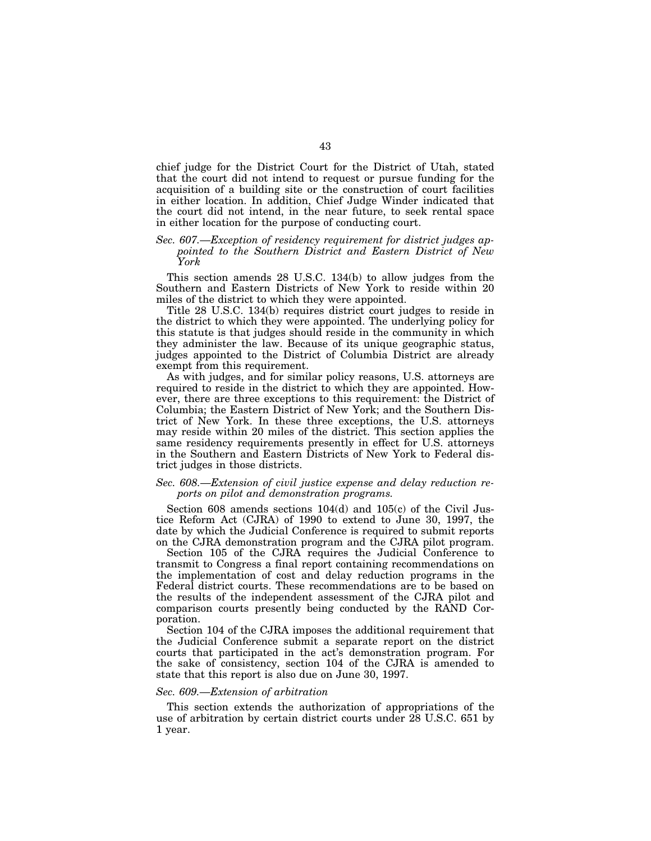chief judge for the District Court for the District of Utah, stated that the court did not intend to request or pursue funding for the acquisition of a building site or the construction of court facilities in either location. In addition, Chief Judge Winder indicated that the court did not intend, in the near future, to seek rental space in either location for the purpose of conducting court.

## *Sec. 607.—Exception of residency requirement for district judges appointed to the Southern District and Eastern District of New York*

This section amends 28 U.S.C. 134(b) to allow judges from the Southern and Eastern Districts of New York to reside within 20 miles of the district to which they were appointed.

Title 28 U.S.C. 134(b) requires district court judges to reside in the district to which they were appointed. The underlying policy for this statute is that judges should reside in the community in which they administer the law. Because of its unique geographic status, judges appointed to the District of Columbia District are already exempt from this requirement.

As with judges, and for similar policy reasons, U.S. attorneys are required to reside in the district to which they are appointed. However, there are three exceptions to this requirement: the District of Columbia; the Eastern District of New York; and the Southern District of New York. In these three exceptions, the U.S. attorneys may reside within 20 miles of the district. This section applies the same residency requirements presently in effect for U.S. attorneys in the Southern and Eastern Districts of New York to Federal district judges in those districts.

## *Sec. 608.—Extension of civil justice expense and delay reduction reports on pilot and demonstration programs.*

Section 608 amends sections 104(d) and 105(c) of the Civil Justice Reform Act (CJRA) of 1990 to extend to June 30, 1997, the date by which the Judicial Conference is required to submit reports on the CJRA demonstration program and the CJRA pilot program.

Section 105 of the CJRA requires the Judicial Conference to transmit to Congress a final report containing recommendations on the implementation of cost and delay reduction programs in the Federal district courts. These recommendations are to be based on the results of the independent assessment of the CJRA pilot and comparison courts presently being conducted by the RAND Corporation.

Section 104 of the CJRA imposes the additional requirement that the Judicial Conference submit a separate report on the district courts that participated in the act's demonstration program. For the sake of consistency, section 104 of the CJRA is amended to state that this report is also due on June 30, 1997.

### *Sec. 609.—Extension of arbitration*

This section extends the authorization of appropriations of the use of arbitration by certain district courts under 28 U.S.C. 651 by 1 year.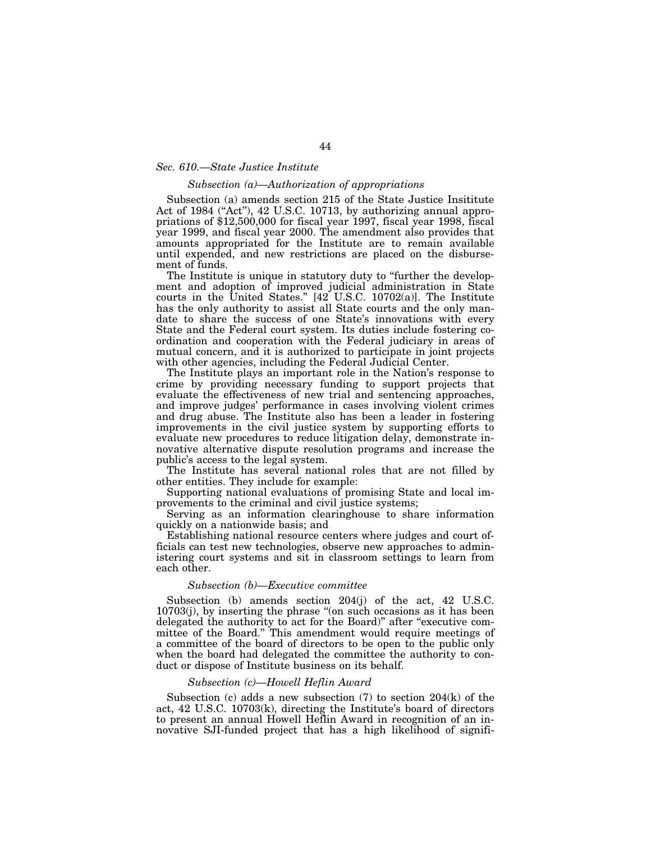### *Sec. 610.—State Justice Institute*

#### *Subsection (a)—Authorization of appropriations*

Subsection (a) amends section 215 of the State Justice Insititute Act of 1984 ("Act"), 42 U.S.C. 10713, by authorizing annual appropriations of \$12,500,000 for fiscal year 1997, fiscal year 1998, fiscal year 1999, and fiscal year 2000. The amendment also provides that amounts appropriated for the Institute are to remain available until expended, and new restrictions are placed on the disbursement of funds.

The Institute is unique in statutory duty to "further the development and adoption of improved judicial administration in State courts in the United States.'' [42 U.S.C. 10702(a)]. The Institute has the only authority to assist all State courts and the only mandate to share the success of one State's innovations with every State and the Federal court system. Its duties include fostering coordination and cooperation with the Federal judiciary in areas of mutual concern, and it is authorized to participate in joint projects with other agencies, including the Federal Judicial Center.

The Institute plays an important role in the Nation's response to crime by providing necessary funding to support projects that evaluate the effectiveness of new trial and sentencing approaches, and improve judges' performance in cases involving violent crimes and drug abuse. The Institute also has been a leader in fostering improvements in the civil justice system by supporting efforts to evaluate new procedures to reduce litigation delay, demonstrate innovative alternative dispute resolution programs and increase the public's access to the legal system.

The Institute has several national roles that are not filled by other entities. They include for example:

Supporting national evaluations of promising State and local improvements to the criminal and civil justice systems;

Serving as an information clearinghouse to share information quickly on a nationwide basis; and

Establishing national resource centers where judges and court officials can test new technologies, observe new approaches to administering court systems and sit in classroom settings to learn from each other.

#### *Subsection (b)—Executive committee*

Subsection (b) amends section 204(j) of the act, 42 U.S.C. 10703(j), by inserting the phrase ''(on such occasions as it has been delegated the authority to act for the Board)'' after ''executive committee of the Board.'' This amendment would require meetings of a committee of the board of directors to be open to the public only when the board had delegated the committee the authority to conduct or dispose of Institute business on its behalf.

## *Subsection (c)—Howell Heflin Award*

Subsection (c) adds a new subsection  $(7)$  to section  $204(k)$  of the act, 42 U.S.C. 10703(k), directing the Institute's board of directors to present an annual Howell Heflin Award in recognition of an innovative SJI-funded project that has a high likelihood of signifi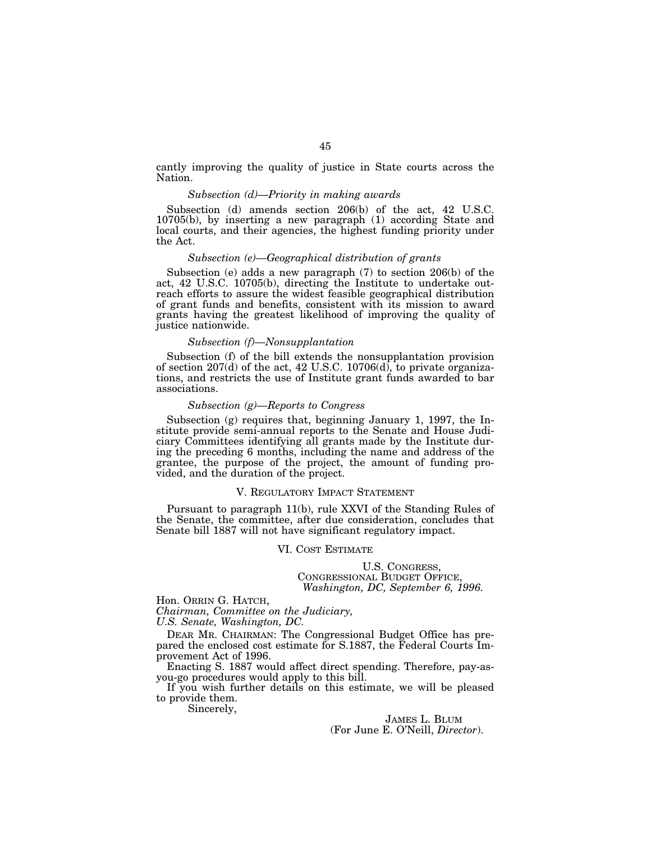cantly improving the quality of justice in State courts across the Nation.

### *Subsection (d)—Priority in making awards*

Subsection (d) amends section 206(b) of the act, 42 U.S.C. 10705(b), by inserting a new paragraph (1) according State and local courts, and their agencies, the highest funding priority under the Act.

# *Subsection (e)—Geographical distribution of grants*

Subsection (e) adds a new paragraph (7) to section 206(b) of the act, 42 U.S.C. 10705(b), directing the Institute to undertake outreach efforts to assure the widest feasible geographical distribution of grant funds and benefits, consistent with its mission to award grants having the greatest likelihood of improving the quality of justice nationwide.

### *Subsection (f)—Nonsupplantation*

Subsection (f) of the bill extends the nonsupplantation provision of section  $207(d)$  of the act, 42 U.S.C. 10706 $(d)$ , to private organizations, and restricts the use of Institute grant funds awarded to bar associations.

### *Subsection (g)—Reports to Congress*

Subsection (g) requires that, beginning January 1, 1997, the Institute provide semi-annual reports to the Senate and House Judiciary Committees identifying all grants made by the Institute during the preceding 6 months, including the name and address of the grantee, the purpose of the project, the amount of funding provided, and the duration of the project.

### V. REGULATORY IMPACT STATEMENT

Pursuant to paragraph 11(b), rule XXVI of the Standing Rules of the Senate, the committee, after due consideration, concludes that Senate bill 1887 will not have significant regulatory impact.

## VI. COST ESTIMATE

U.S. CONGRESS, CONGRESSIONAL BUDGET OFFICE, *Washington, DC, September 6, 1996.*

Hon. ORRIN G. HATCH, *Chairman, Committee on the Judiciary,*

*U.S. Senate, Washington, DC.*

DEAR MR. CHAIRMAN: The Congressional Budget Office has prepared the enclosed cost estimate for S.1887, the Federal Courts Improvement Act of 1996.

Enacting S. 1887 would affect direct spending. Therefore, pay-asyou-go procedures would apply to this bill.

If you wish further details on this estimate, we will be pleased to provide them.

Sincerely,

JAMES L. BLUM (For June E. O'Neill, *Director*).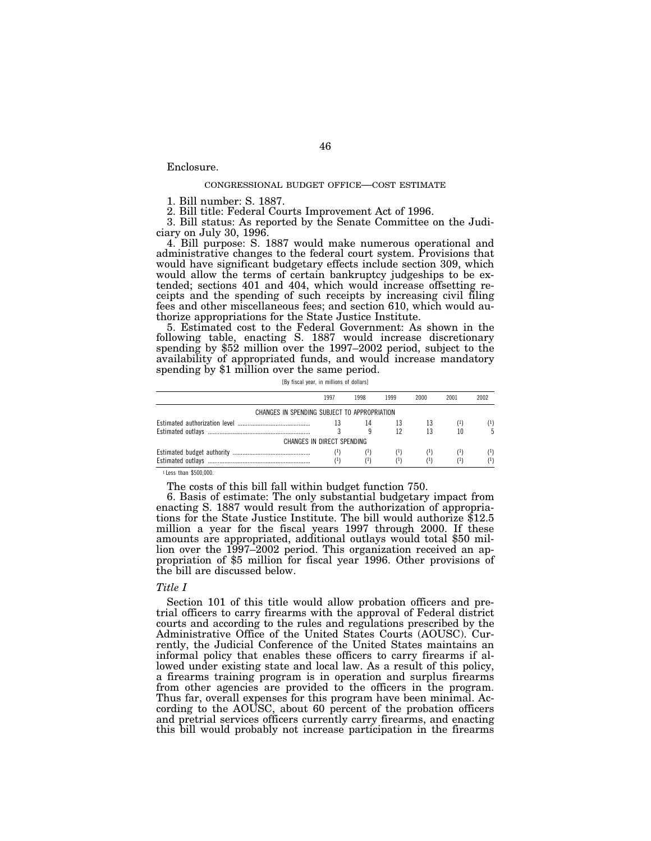## Enclosure.

### CONGRESSIONAL BUDGET OFFICE—COST ESTIMATE

1. Bill number: S. 1887.

2. Bill title: Federal Courts Improvement Act of 1996.

3. Bill status: As reported by the Senate Committee on the Judiciary on July 30, 1996.

4. Bill purpose: S. 1887 would make numerous operational and administrative changes to the federal court system. Provisions that would have significant budgetary effects include section 309, which would allow the terms of certain bankruptcy judgeships to be extended; sections 401 and 404, which would increase offsetting receipts and the spending of such receipts by increasing civil filing fees and other miscellaneous fees; and section 610, which would authorize appropriations for the State Justice Institute.

5. Estimated cost to the Federal Government: As shown in the following table, enacting S. 1887 would increase discretionary spending by \$52 million over the 1997–2002 period, subject to the availability of appropriated funds, and would increase mandatory spending by \$1 million over the same period.

[By fiscal year, in millions of dollars]

|                                              | 1997 | 1998     | 1999     | 2000     | 2001  | 2002     |
|----------------------------------------------|------|----------|----------|----------|-------|----------|
| CHANGES IN SPENDING SUBJECT TO APPROPRIATION |      |          |          |          |       |          |
|                                              |      | 14       | 13       | 13       | ( 1 ) | $^{(1)}$ |
| CHANGES IN DIRECT SPENDING                   |      |          | 12       | 13       |       |          |
|                                              |      |          |          |          |       |          |
|                                              | (1)  |          | $^{(1)}$ | $^{(1)}$ |       | $^{(1)}$ |
|                                              | (1)  | $^{(1)}$ | (1)      | (1)      | (1)   | $^{(1)}$ |

1 Less than \$500,000.

The costs of this bill fall within budget function 750.

6. Basis of estimate: The only substantial budgetary impact from enacting S. 1887 would result from the authorization of appropriations for the State Justice Institute. The bill would authorize \$12.5 million a year for the fiscal years 1997 through 2000. If these amounts are appropriated, additional outlays would total \$50 million over the 1997–2002 period. This organization received an appropriation of \$5 million for fiscal year 1996. Other provisions of the bill are discussed below.

#### *Title I*

Section 101 of this title would allow probation officers and pretrial officers to carry firearms with the approval of Federal district courts and according to the rules and regulations prescribed by the Administrative Office of the United States Courts (AOUSC). Currently, the Judicial Conference of the United States maintains an informal policy that enables these officers to carry firearms if allowed under existing state and local law. As a result of this policy, a firearms training program is in operation and surplus firearms from other agencies are provided to the officers in the program. Thus far, overall expenses for this program have been minimal. According to the AOUSC, about 60 percent of the probation officers and pretrial services officers currently carry firearms, and enacting this bill would probably not increase participation in the firearms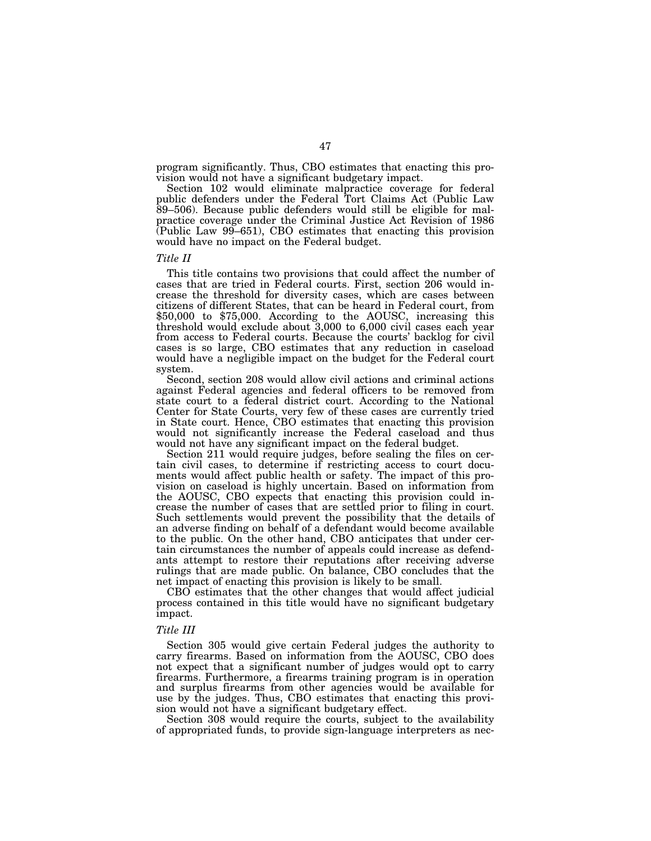program significantly. Thus, CBO estimates that enacting this provision would not have a significant budgetary impact.

Section 102 would eliminate malpractice coverage for federal public defenders under the Federal Tort Claims Act (Public Law 89–506). Because public defenders would still be eligible for malpractice coverage under the Criminal Justice Act Revision of 1986 (Public Law 99–651), CBO estimates that enacting this provision would have no impact on the Federal budget.

### *Title II*

This title contains two provisions that could affect the number of cases that are tried in Federal courts. First, section 206 would increase the threshold for diversity cases, which are cases between citizens of different States, that can be heard in Federal court, from \$50,000 to \$75,000. According to the AOUSC, increasing this threshold would exclude about 3,000 to 6,000 civil cases each year from access to Federal courts. Because the courts' backlog for civil cases is so large, CBO estimates that any reduction in caseload would have a negligible impact on the budget for the Federal court system.

Second, section 208 would allow civil actions and criminal actions against Federal agencies and federal officers to be removed from state court to a federal district court. According to the National Center for State Courts, very few of these cases are currently tried in State court. Hence, CBO estimates that enacting this provision would not significantly increase the Federal caseload and thus would not have any significant impact on the federal budget.

Section 211 would require judges, before sealing the files on certain civil cases, to determine if restricting access to court documents would affect public health or safety. The impact of this provision on caseload is highly uncertain. Based on information from the AOUSC, CBO expects that enacting this provision could increase the number of cases that are settled prior to filing in court. Such settlements would prevent the possibility that the details of an adverse finding on behalf of a defendant would become available to the public. On the other hand, CBO anticipates that under certain circumstances the number of appeals could increase as defendants attempt to restore their reputations after receiving adverse rulings that are made public. On balance, CBO concludes that the net impact of enacting this provision is likely to be small.

CBO estimates that the other changes that would affect judicial process contained in this title would have no significant budgetary impact.

### *Title III*

Section 305 would give certain Federal judges the authority to carry firearms. Based on information from the AOUSC, CBO does not expect that a significant number of judges would opt to carry firearms. Furthermore, a firearms training program is in operation and surplus firearms from other agencies would be available for use by the judges. Thus, CBO estimates that enacting this provision would not have a significant budgetary effect.

Section 308 would require the courts, subject to the availability of appropriated funds, to provide sign-language interpreters as nec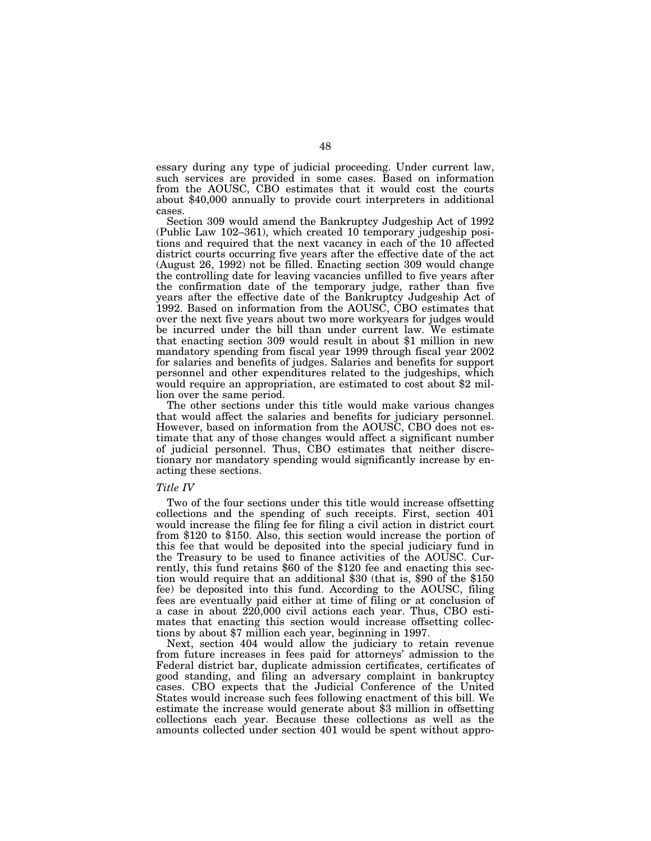essary during any type of judicial proceeding. Under current law, such services are provided in some cases. Based on information from the AOUSC, CBO estimates that it would cost the courts about \$40,000 annually to provide court interpreters in additional cases.

Section 309 would amend the Bankruptcy Judgeship Act of 1992 (Public Law 102–361), which created 10 temporary judgeship positions and required that the next vacancy in each of the 10 affected district courts occurring five years after the effective date of the act (August 26, 1992) not be filled. Enacting section 309 would change the controlling date for leaving vacancies unfilled to five years after the confirmation date of the temporary judge, rather than five years after the effective date of the Bankruptcy Judgeship Act of 1992. Based on information from the AOUSC, CBO estimates that over the next five years about two more workyears for judges would be incurred under the bill than under current law. We estimate that enacting section 309 would result in about \$1 million in new mandatory spending from fiscal year 1999 through fiscal year 2002 for salaries and benefits of judges. Salaries and benefits for support personnel and other expenditures related to the judgeships, which would require an appropriation, are estimated to cost about \$2 million over the same period.

The other sections under this title would make various changes that would affect the salaries and benefits for judiciary personnel. However, based on information from the AOUSC, CBO does not estimate that any of those changes would affect a significant number of judicial personnel. Thus, CBO estimates that neither discretionary nor mandatory spending would significantly increase by enacting these sections.

### *Title IV*

Two of the four sections under this title would increase offsetting collections and the spending of such receipts. First, section 401 would increase the filing fee for filing a civil action in district court from \$120 to \$150. Also, this section would increase the portion of this fee that would be deposited into the special judiciary fund in the Treasury to be used to finance activities of the AOUSC. Currently, this fund retains \$60 of the \$120 fee and enacting this section would require that an additional \$30 (that is, \$90 of the \$150 fee) be deposited into this fund. According to the AOUSC, filing fees are eventually paid either at time of filing or at conclusion of a case in about 220,000 civil actions each year. Thus, CBO estimates that enacting this section would increase offsetting collections by about \$7 million each year, beginning in 1997.

Next, section 404 would allow the judiciary to retain revenue from future increases in fees paid for attorneys' admission to the Federal district bar, duplicate admission certificates, certificates of good standing, and filing an adversary complaint in bankruptcy cases. CBO expects that the Judicial Conference of the United States would increase such fees following enactment of this bill. We estimate the increase would generate about \$3 million in offsetting collections each year. Because these collections as well as the amounts collected under section 401 would be spent without appro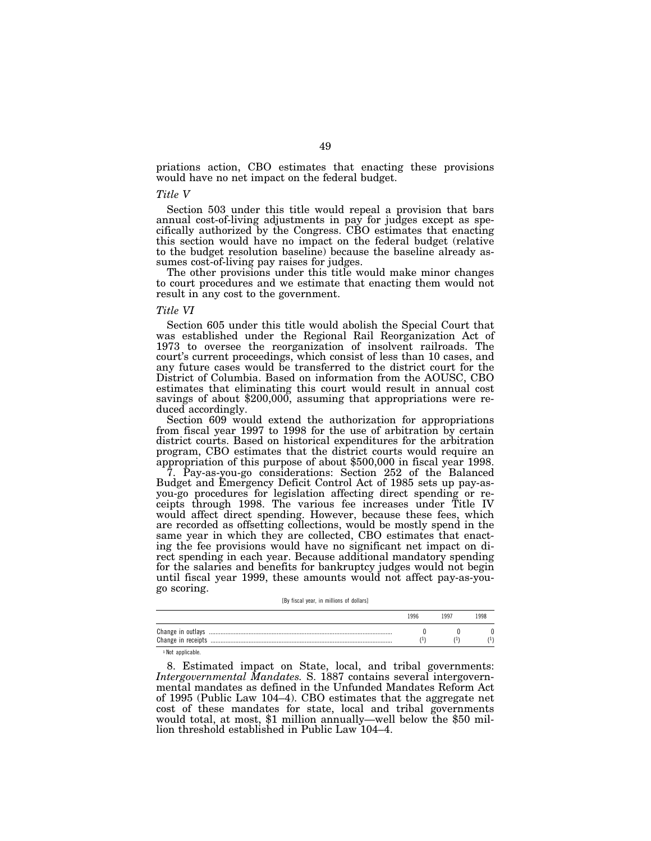priations action, CBO estimates that enacting these provisions would have no net impact on the federal budget.

### *Title V*

Section 503 under this title would repeal a provision that bars annual cost-of-living adjustments in pay for judges except as specifically authorized by the Congress. CBO estimates that enacting this section would have no impact on the federal budget (relative to the budget resolution baseline) because the baseline already assumes cost-of-living pay raises for judges.

The other provisions under this title would make minor changes to court procedures and we estimate that enacting them would not result in any cost to the government.

### *Title VI*

Section 605 under this title would abolish the Special Court that was established under the Regional Rail Reorganization Act of 1973 to oversee the reorganization of insolvent railroads. The court's current proceedings, which consist of less than 10 cases, and any future cases would be transferred to the district court for the District of Columbia. Based on information from the AOUSC, CBO estimates that eliminating this court would result in annual cost savings of about \$200,000, assuming that appropriations were reduced accordingly.

Section 609 would extend the authorization for appropriations from fiscal year 1997 to 1998 for the use of arbitration by certain district courts. Based on historical expenditures for the arbitration program, CBO estimates that the district courts would require an appropriation of this purpose of about \$500,000 in fiscal year 1998.

7. Pay-as-you-go considerations: Section 252 of the Balanced Budget and Emergency Deficit Control Act of 1985 sets up pay-asyou-go procedures for legislation affecting direct spending or receipts through 1998. The various fee increases under Title IV would affect direct spending. However, because these fees, which are recorded as offsetting collections, would be mostly spend in the same year in which they are collected, CBO estimates that enacting the fee provisions would have no significant net impact on direct spending in each year. Because additional mandatory spending for the salaries and benefits for bankruptcy judges would not begin until fiscal year 1999, these amounts would not affect pay-as-yougo scoring.

[By fiscal year, in millions of dollars]

|                   | 996 | 1997 | 1998 |
|-------------------|-----|------|------|
| Change in outlays |     |      |      |
|                   |     |      |      |

1 Not applicable.

8. Estimated impact on State, local, and tribal governments: *Intergovernmental Mandates.* S. 1887 contains several intergovernmental mandates as defined in the Unfunded Mandates Reform Act of 1995 (Public Law 104–4). CBO estimates that the aggregate net cost of these mandates for state, local and tribal governments would total, at most, \$1 million annually—well below the \$50 million threshold established in Public Law 104–4.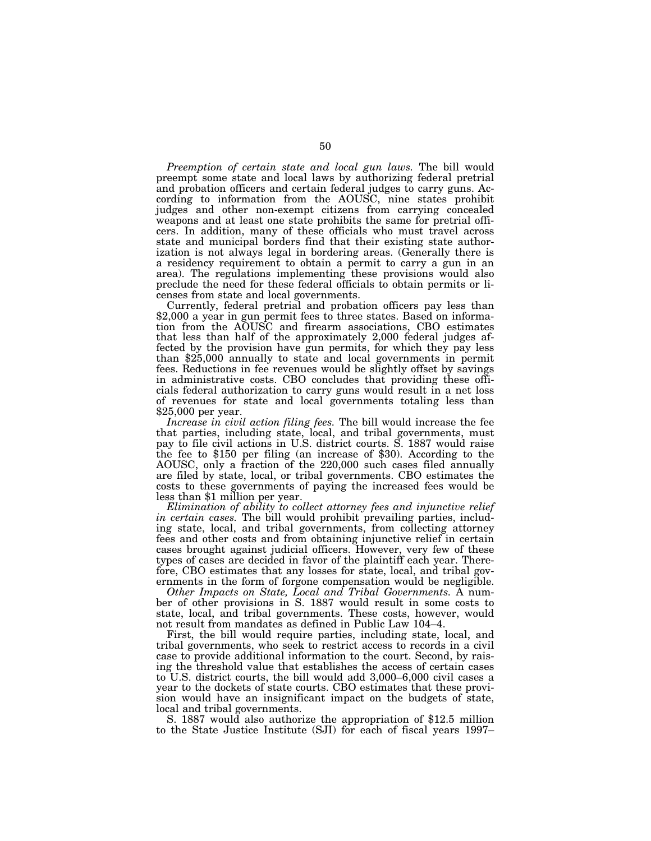*Preemption of certain state and local gun laws.* The bill would preempt some state and local laws by authorizing federal pretrial and probation officers and certain federal judges to carry guns. According to information from the AOUSC, nine states prohibit judges and other non-exempt citizens from carrying concealed weapons and at least one state prohibits the same for pretrial officers. In addition, many of these officials who must travel across state and municipal borders find that their existing state authorization is not always legal in bordering areas. (Generally there is a residency requirement to obtain a permit to carry a gun in an area). The regulations implementing these provisions would also preclude the need for these federal officials to obtain permits or licenses from state and local governments.<br>Currently, federal pretrial and probation officers pay less than

\$2,000 a year in gun permit fees to three states. Based on information from the AOUSC and firearm associations, CBO estimates that less than half of the approximately 2,000 federal judges affected by the provision have gun permits, for which they pay less than \$25,000 annually to state and local governments in permit fees. Reductions in fee revenues would be slightly offset by savings in administrative costs. CBO concludes that providing these officials federal authorization to carry guns would result in a net loss of revenues for state and local governments totaling less than \$25,000 per year.

*Increase in civil action filing fees.* The bill would increase the fee that parties, including state, local, and tribal governments, must pay to file civil actions in U.S. district courts. S. 1887 would raise the fee to \$150 per filing (an increase of \$30). According to the AOUSC, only a fraction of the 220,000 such cases filed annually are filed by state, local, or tribal governments. CBO estimates the costs to these governments of paying the increased fees would be less than \$1 million per year.

*Elimination of ability to collect attorney fees and injunctive relief in certain cases.* The bill would prohibit prevailing parties, including state, local, and tribal governments, from collecting attorney fees and other costs and from obtaining injunctive relief in certain cases brought against judicial officers. However, very few of these types of cases are decided in favor of the plaintiff each year. Therefore, CBO estimates that any losses for state, local, and tribal governments in the form of forgone compensation would be negligible.

*Other Impacts on State, Local and Tribal Governments.* A number of other provisions in S. 1887 would result in some costs to state, local, and tribal governments. These costs, however, would not result from mandates as defined in Public Law 104–4.

First, the bill would require parties, including state, local, and tribal governments, who seek to restrict access to records in a civil case to provide additional information to the court. Second, by raising the threshold value that establishes the access of certain cases to U.S. district courts, the bill would add 3,000–6,000 civil cases a year to the dockets of state courts. CBO estimates that these provision would have an insignificant impact on the budgets of state, local and tribal governments.

S. 1887 would also authorize the appropriation of \$12.5 million to the State Justice Institute (SJI) for each of fiscal years 1997–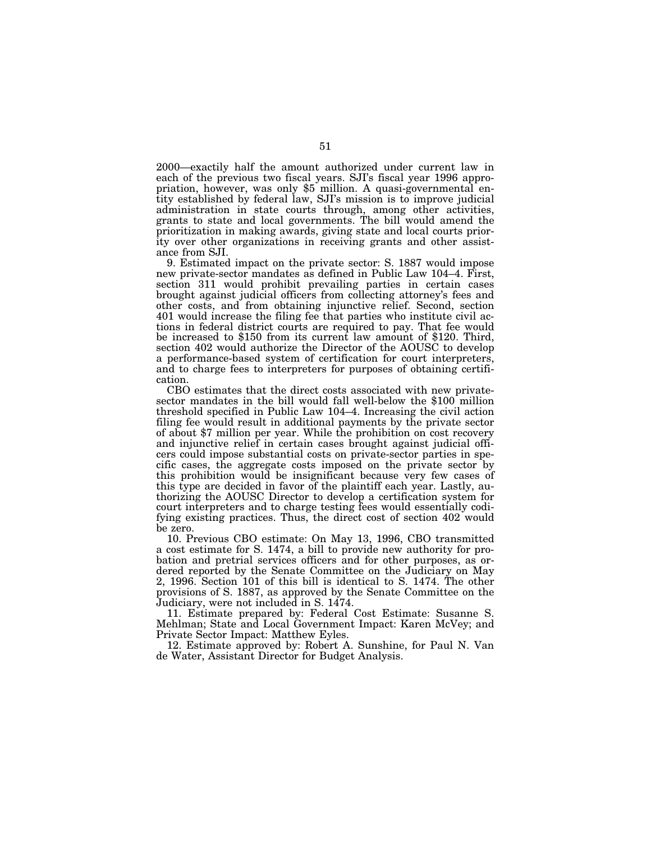2000—exactily half the amount authorized under current law in each of the previous two fiscal years. SJI's fiscal year 1996 appropriation, however, was only \$5 million. A quasi-governmental entity established by federal law, SJI's mission is to improve judicial administration in state courts through, among other activities, grants to state and local governments. The bill would amend the prioritization in making awards, giving state and local courts priority over other organizations in receiving grants and other assistance from SJI.

9. Estimated impact on the private sector: S. 1887 would impose new private-sector mandates as defined in Public Law 104–4. First, section 311 would prohibit prevailing parties in certain cases brought against judicial officers from collecting attorney's fees and other costs, and from obtaining injunctive relief. Second, section 401 would increase the filing fee that parties who institute civil actions in federal district courts are required to pay. That fee would be increased to \$150 from its current law amount of \$120. Third, section 402 would authorize the Director of the AOUSC to develop a performance-based system of certification for court interpreters, and to charge fees to interpreters for purposes of obtaining certifi-

cation.<br>CBO estimates that the direct costs associated with new privatesector mandates in the bill would fall well-below the \$100 million threshold specified in Public Law 104–4. Increasing the civil action filing fee would result in additional payments by the private sector of about \$7 million per year. While the prohibition on cost recovery and injunctive relief in certain cases brought against judicial officers could impose substantial costs on private-sector parties in specific cases, the aggregate costs imposed on the private sector by this prohibition would be insignificant because very few cases of this type are decided in favor of the plaintiff each year. Lastly, authorizing the AOUSC Director to develop a certification system for court interpreters and to charge testing fees would essentially codifying existing practices. Thus, the direct cost of section 402 would be zero.

10. Previous CBO estimate: On May 13, 1996, CBO transmitted a cost estimate for S. 1474, a bill to provide new authority for probation and pretrial services officers and for other purposes, as ordered reported by the Senate Committee on the Judiciary on May 2, 1996. Section 101 of this bill is identical to S. 1474. The other provisions of S. 1887, as approved by the Senate Committee on the Judiciary, were not included in S. 1474.

11. Estimate prepared by: Federal Cost Estimate: Susanne S. Mehlman; State and Local Government Impact: Karen McVey; and Private Sector Impact: Matthew Eyles.

12. Estimate approved by: Robert A. Sunshine, for Paul N. Van de Water, Assistant Director for Budget Analysis.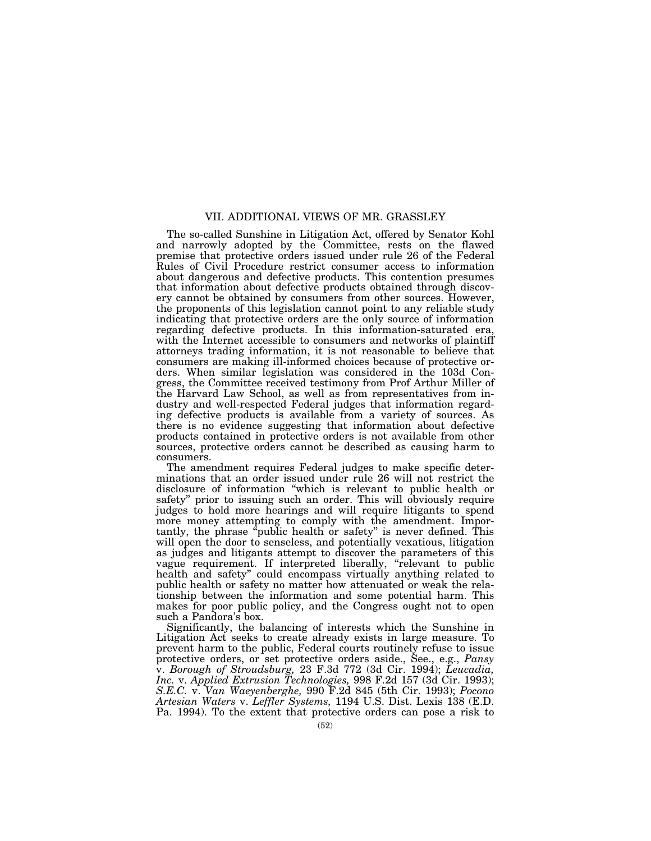## VII. ADDITIONAL VIEWS OF MR. GRASSLEY

The so-called Sunshine in Litigation Act, offered by Senator Kohl and narrowly adopted by the Committee, rests on the flawed premise that protective orders issued under rule 26 of the Federal Rules of Civil Procedure restrict consumer access to information about dangerous and defective products. This contention presumes that information about defective products obtained through discovery cannot be obtained by consumers from other sources. However, the proponents of this legislation cannot point to any reliable study indicating that protective orders are the only source of information regarding defective products. In this information-saturated era, with the Internet accessible to consumers and networks of plaintiff attorneys trading information, it is not reasonable to believe that consumers are making ill-informed choices because of protective orders. When similar legislation was considered in the 103d Congress, the Committee received testimony from Prof Arthur Miller of the Harvard Law School, as well as from representatives from industry and well-respected Federal judges that information regarding defective products is available from a variety of sources. As there is no evidence suggesting that information about defective products contained in protective orders is not available from other sources, protective orders cannot be described as causing harm to consumers.

The amendment requires Federal judges to make specific determinations that an order issued under rule 26 will not restrict the disclosure of information ''which is relevant to public health or safety'' prior to issuing such an order. This will obviously require judges to hold more hearings and will require litigants to spend more money attempting to comply with the amendment. Importantly, the phrase ''public health or safety'' is never defined. This will open the door to senseless, and potentially vexatious, litigation as judges and litigants attempt to discover the parameters of this vague requirement. If interpreted liberally, "relevant to public health and safety'' could encompass virtually anything related to public health or safety no matter how attenuated or weak the relationship between the information and some potential harm. This makes for poor public policy, and the Congress ought not to open such a Pandora's box.

Significantly, the balancing of interests which the Sunshine in Litigation Act seeks to create already exists in large measure. To prevent harm to the public, Federal courts routinely refuse to issue protective orders, or set protective orders aside., See., e.g., *Pansy* v. *Borough of Stroudsburg,* 23 F.3d 772 (3d Cir. 1994); *Leucadia, Inc.* v. *Applied Extrusion Technologies,* 998 F.2d 157 (3d Cir. 1993); *S.E.C.* v. *Van Waeyenberghe,* 990 F.2d 845 (5th Cir. 1993); *Pocono Artesian Waters* v. *Leffler Systems,* 1194 U.S. Dist. Lexis 138 (E.D. Pa. 1994). To the extent that protective orders can pose a risk to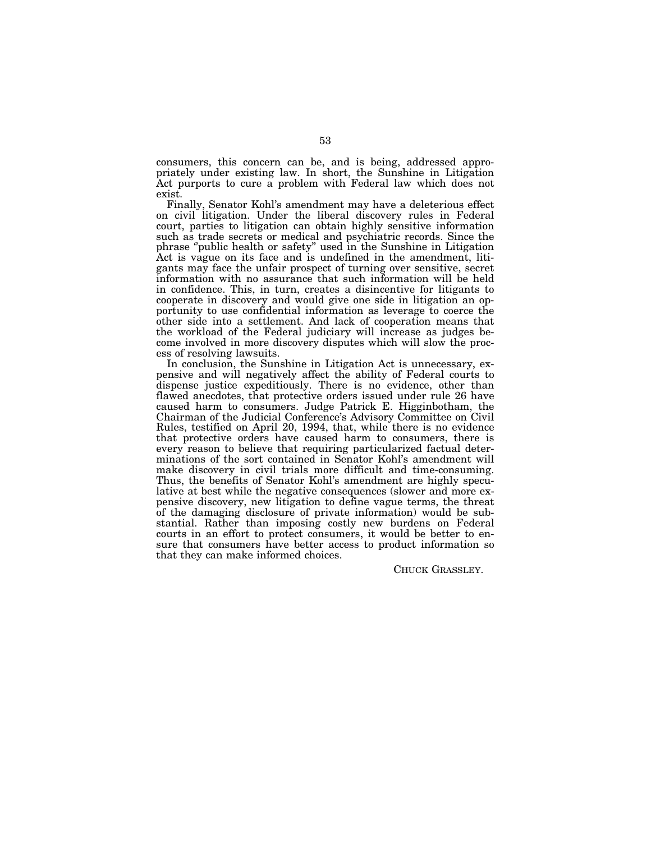consumers, this concern can be, and is being, addressed appropriately under existing law. In short, the Sunshine in Litigation Act purports to cure a problem with Federal law which does not exist.

Finally, Senator Kohl's amendment may have a deleterious effect on civil litigation. Under the liberal discovery rules in Federal court, parties to litigation can obtain highly sensitive information such as trade secrets or medical and psychiatric records. Since the phrase ''public health or safety'' used in the Sunshine in Litigation Act is vague on its face and is undefined in the amendment, litigants may face the unfair prospect of turning over sensitive, secret information with no assurance that such information will be held in confidence. This, in turn, creates a disincentive for litigants to cooperate in discovery and would give one side in litigation an opportunity to use confidential information as leverage to coerce the other side into a settlement. And lack of cooperation means that the workload of the Federal judiciary will increase as judges become involved in more discovery disputes which will slow the process of resolving lawsuits.

In conclusion, the Sunshine in Litigation Act is unnecessary, expensive and will negatively affect the ability of Federal courts to dispense justice expeditiously. There is no evidence, other than flawed anecdotes, that protective orders issued under rule 26 have caused harm to consumers. Judge Patrick E. Higginbotham, the Chairman of the Judicial Conference's Advisory Committee on Civil Rules, testified on April 20, 1994, that, while there is no evidence that protective orders have caused harm to consumers, there is every reason to believe that requiring particularized factual determinations of the sort contained in Senator Kohl's amendment will make discovery in civil trials more difficult and time-consuming. Thus, the benefits of Senator Kohl's amendment are highly speculative at best while the negative consequences (slower and more expensive discovery, new litigation to define vague terms, the threat of the damaging disclosure of private information) would be substantial. Rather than imposing costly new burdens on Federal courts in an effort to protect consumers, it would be better to ensure that consumers have better access to product information so that they can make informed choices.

CHUCK GRASSLEY.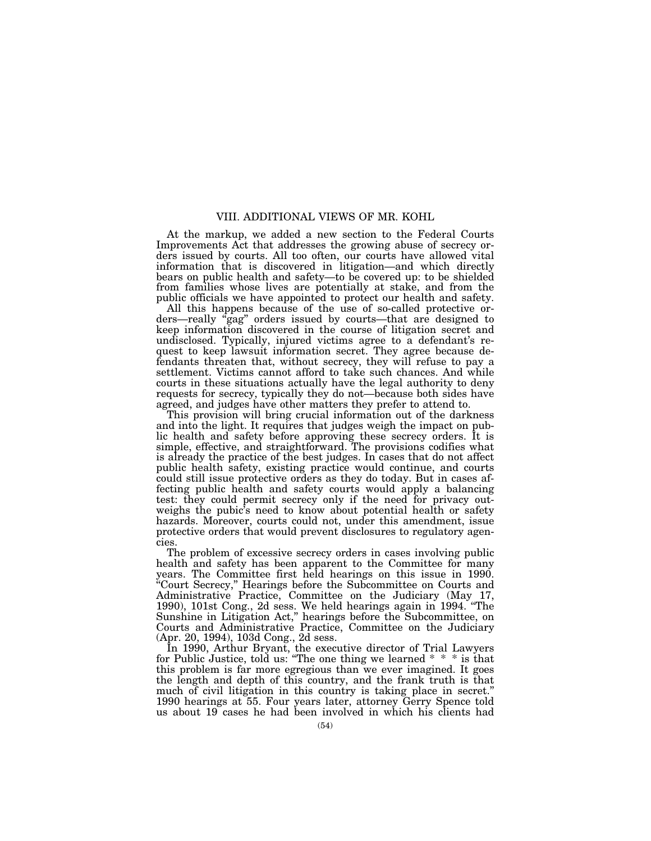# VIII. ADDITIONAL VIEWS OF MR. KOHL

At the markup, we added a new section to the Federal Courts Improvements Act that addresses the growing abuse of secrecy orders issued by courts. All too often, our courts have allowed vital information that is discovered in litigation—and which directly bears on public health and safety—to be covered up: to be shielded from families whose lives are potentially at stake, and from the public officials we have appointed to protect our health and safety.

All this happens because of the use of so-called protective orders—really ''gag'' orders issued by courts—that are designed to keep information discovered in the course of litigation secret and undisclosed. Typically, injured victims agree to a defendant's request to keep lawsuit information secret. They agree because defendants threaten that, without secrecy, they will refuse to pay a settlement. Victims cannot afford to take such chances. And while courts in these situations actually have the legal authority to deny requests for secrecy, typically they do not—because both sides have agreed, and judges have other matters they prefer to attend to.

This provision will bring crucial information out of the darkness and into the light. It requires that judges weigh the impact on public health and safety before approving these secrecy orders. It is simple, effective, and straightforward. The provisions codifies what is already the practice of the best judges. In cases that do not affect public health safety, existing practice would continue, and courts could still issue protective orders as they do today. But in cases affecting public health and safety courts would apply a balancing test: they could permit secrecy only if the need for privacy outweighs the pubic's need to know about potential health or safety hazards. Moreover, courts could not, under this amendment, issue protective orders that would prevent disclosures to regulatory agencies.

The problem of excessive secrecy orders in cases involving public health and safety has been apparent to the Committee for many years. The Committee first held hearings on this issue in 1990. ''Court Secrecy,'' Hearings before the Subcommittee on Courts and Administrative Practice, Committee on the Judiciary (May 17, 1990), 101st Cong., 2d sess. We held hearings again in 1994. ''The Sunshine in Litigation Act,'' hearings before the Subcommittee, on Courts and Administrative Practice, Committee on the Judiciary (Apr. 20, 1994), 103d Cong., 2d sess.

In 1990, Arthur Bryant, the executive director of Trial Lawyers for Public Justice, told us: ''The one thing we learned \* \* \* is that this problem is far more egregious than we ever imagined. It goes the length and depth of this country, and the frank truth is that much of civil litigation in this country is taking place in secret.'' 1990 hearings at 55. Four years later, attorney Gerry Spence told us about 19 cases he had been involved in which his clients had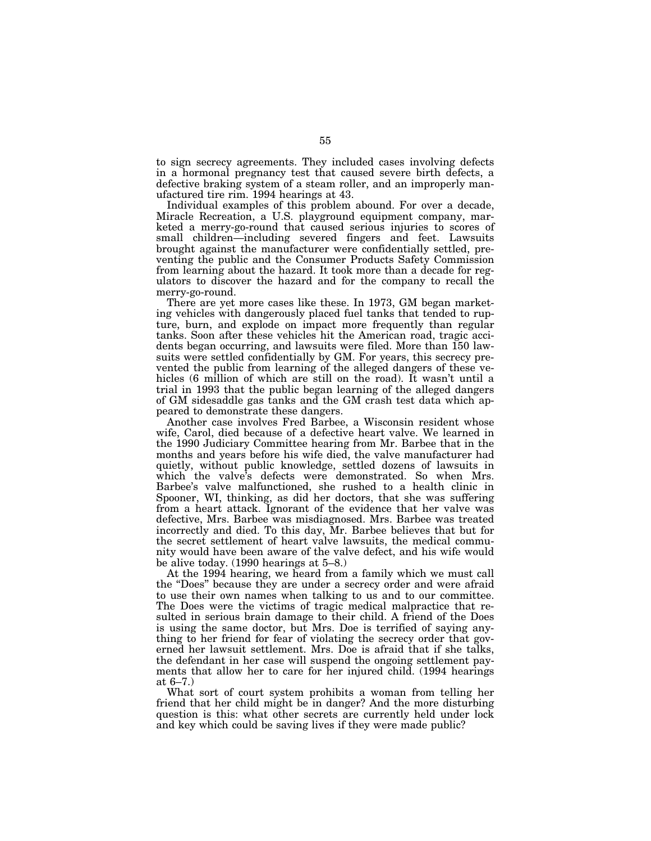to sign secrecy agreements. They included cases involving defects in a hormonal pregnancy test that caused severe birth defects, a defective braking system of a steam roller, and an improperly manufactured tire rim. 1994 hearings at 43.

Individual examples of this problem abound. For over a decade, Miracle Recreation, a U.S. playground equipment company, marketed a merry-go-round that caused serious injuries to scores of small children—including severed fingers and feet. Lawsuits brought against the manufacturer were confidentially settled, preventing the public and the Consumer Products Safety Commission from learning about the hazard. It took more than a decade for regulators to discover the hazard and for the company to recall the merry-go-round.

There are yet more cases like these. In 1973, GM began marketing vehicles with dangerously placed fuel tanks that tended to rupture, burn, and explode on impact more frequently than regular tanks. Soon after these vehicles hit the American road, tragic accidents began occurring, and lawsuits were filed. More than 150 lawsuits were settled confidentially by GM. For years, this secrecy prevented the public from learning of the alleged dangers of these vehicles (6 million of which are still on the road). It wasn't until a trial in 1993 that the public began learning of the alleged dangers of GM sidesaddle gas tanks and the GM crash test data which appeared to demonstrate these dangers.

Another case involves Fred Barbee, a Wisconsin resident whose wife, Carol, died because of a defective heart valve. We learned in the 1990 Judiciary Committee hearing from Mr. Barbee that in the months and years before his wife died, the valve manufacturer had quietly, without public knowledge, settled dozens of lawsuits in which the valve's defects were demonstrated. So when Mrs. Barbee's valve malfunctioned, she rushed to a health clinic in Spooner, WI, thinking, as did her doctors, that she was suffering from a heart attack. Ignorant of the evidence that her valve was defective, Mrs. Barbee was misdiagnosed. Mrs. Barbee was treated incorrectly and died. To this day, Mr. Barbee believes that but for the secret settlement of heart valve lawsuits, the medical community would have been aware of the valve defect, and his wife would be alive today. (1990 hearings at 5–8.)

At the 1994 hearing, we heard from a family which we must call the ''Does'' because they are under a secrecy order and were afraid to use their own names when talking to us and to our committee. The Does were the victims of tragic medical malpractice that resulted in serious brain damage to their child. A friend of the Does is using the same doctor, but Mrs. Doe is terrified of saying anything to her friend for fear of violating the secrecy order that governed her lawsuit settlement. Mrs. Doe is afraid that if she talks, the defendant in her case will suspend the ongoing settlement payments that allow her to care for her injured child. (1994 hearings at 6–7.)

What sort of court system prohibits a woman from telling her friend that her child might be in danger? And the more disturbing question is this: what other secrets are currently held under lock and key which could be saving lives if they were made public?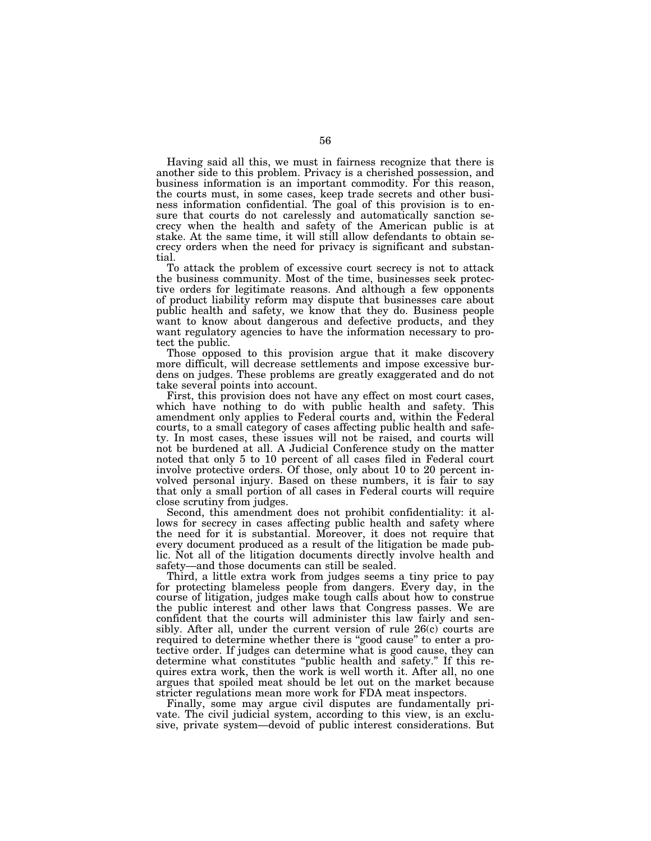Having said all this, we must in fairness recognize that there is another side to this problem. Privacy is a cherished possession, and business information is an important commodity. For this reason, the courts must, in some cases, keep trade secrets and other business information confidential. The goal of this provision is to ensure that courts do not carelessly and automatically sanction secrecy when the health and safety of the American public is at stake. At the same time, it will still allow defendants to obtain secrecy orders when the need for privacy is significant and substantial.

To attack the problem of excessive court secrecy is not to attack the business community. Most of the time, businesses seek protective orders for legitimate reasons. And although a few opponents of product liability reform may dispute that businesses care about public health and safety, we know that they do. Business people want to know about dangerous and defective products, and they want regulatory agencies to have the information necessary to protect the public.

Those opposed to this provision argue that it make discovery more difficult, will decrease settlements and impose excessive burdens on judges. These problems are greatly exaggerated and do not take several points into account.

First, this provision does not have any effect on most court cases, which have nothing to do with public health and safety. This amendment only applies to Federal courts and, within the Federal courts, to a small category of cases affecting public health and safety. In most cases, these issues will not be raised, and courts will not be burdened at all. A Judicial Conference study on the matter noted that only 5 to 10 percent of all cases filed in Federal court involve protective orders. Of those, only about 10 to 20 percent involved personal injury. Based on these numbers, it is fair to say that only a small portion of all cases in Federal courts will require close scrutiny from judges.

Second, this amendment does not prohibit confidentiality: it allows for secrecy in cases affecting public health and safety where the need for it is substantial. Moreover, it does not require that every document produced as a result of the litigation be made public. Not all of the litigation documents directly involve health and safety—and those documents can still be sealed.

Third, a little extra work from judges seems a tiny price to pay for protecting blameless people from dangers. Every day, in the course of litigation, judges make tough calls about how to construe the public interest and other laws that Congress passes. We are confident that the courts will administer this law fairly and sensibly. After all, under the current version of rule 26(c) courts are required to determine whether there is "good cause" to enter a protective order. If judges can determine what is good cause, they can determine what constitutes ''public health and safety.'' If this requires extra work, then the work is well worth it. After all, no one argues that spoiled meat should be let out on the market because stricter regulations mean more work for FDA meat inspectors.

Finally, some may argue civil disputes are fundamentally private. The civil judicial system, according to this view, is an exclusive, private system—devoid of public interest considerations. But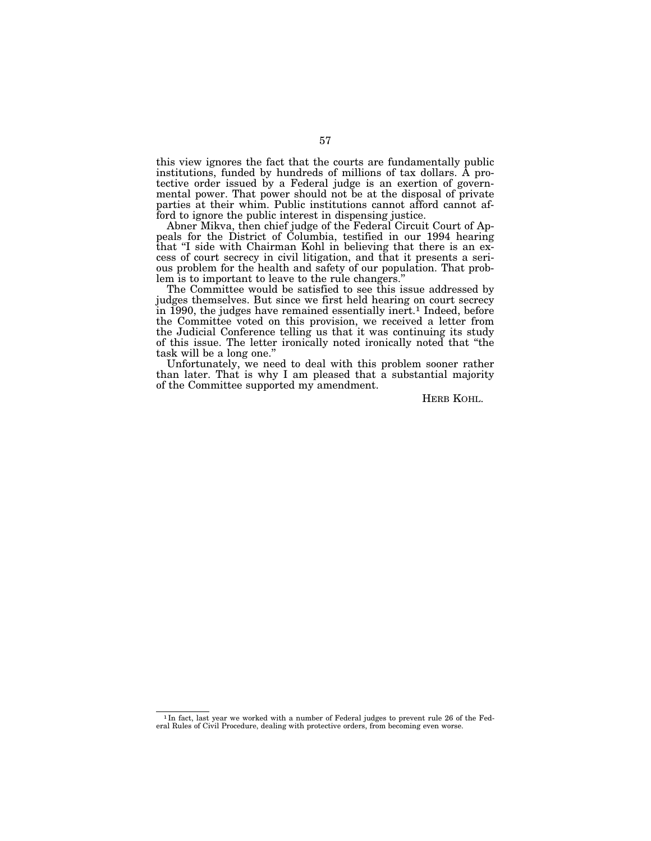this view ignores the fact that the courts are fundamentally public institutions, funded by hundreds of millions of tax dollars. A protective order issued by a Federal judge is an exertion of governmental power. That power should not be at the disposal of private parties at their whim. Public institutions cannot afford cannot afford to ignore the public interest in dispensing justice.

Abner Mikva, then chief judge of the Federal Circuit Court of Appeals for the District of Columbia, testified in our 1994 hearing that ''I side with Chairman Kohl in believing that there is an excess of court secrecy in civil litigation, and that it presents a serious problem for the health and safety of our population. That problem is to important to leave to the rule changers.''

The Committee would be satisfied to see this issue addressed by judges themselves. But since we first held hearing on court secrecy in 1990, the judges have remained essentially inert.<sup>1</sup> Indeed, before the Committee voted on this provision, we received a letter from the Judicial Conference telling us that it was continuing its study of this issue. The letter ironically noted ironically noted that ''the task will be a long one.''

Unfortunately, we need to deal with this problem sooner rather than later. That is why I am pleased that a substantial majority of the Committee supported my amendment.

HERB KOHL.

<sup>1</sup> In fact, last year we worked with a number of Federal judges to prevent rule 26 of the Federal Rules of Civil Procedure, dealing with protective orders, from becoming even worse.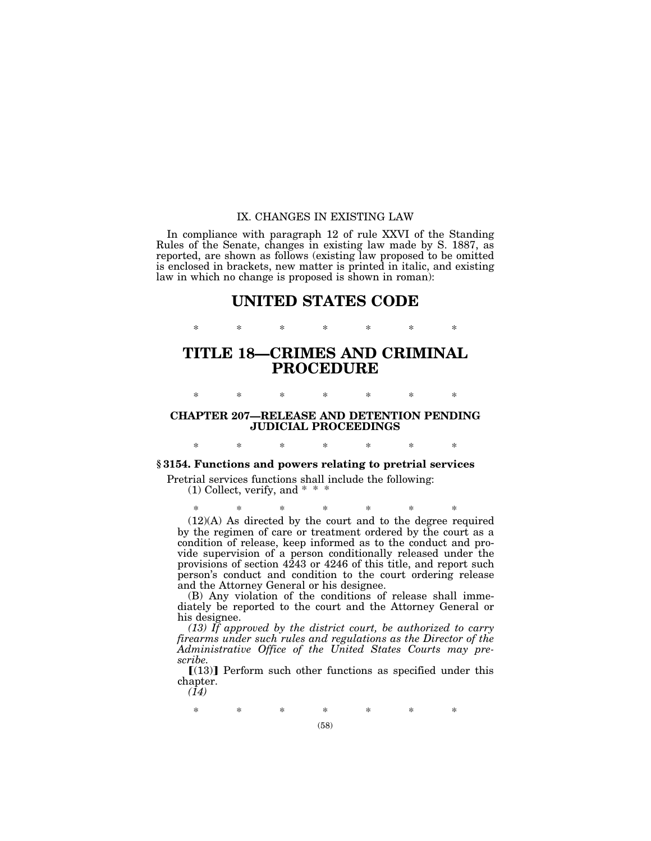## IX. CHANGES IN EXISTING LAW

In compliance with paragraph 12 of rule XXVI of the Standing Rules of the Senate, changes in existing law made by S. 1887, as reported, are shown as follows (existing law proposed to be omitted is enclosed in brackets, new matter is printed in italic, and existing law in which no change is proposed is shown in roman):

# **UNITED STATES CODE**

\* \* \* \* \* \* \*

# **TITLE 18—CRIMES AND CRIMINAL PROCEDURE**

\* \* \* \* \* \* \*

# **CHAPTER 207—RELEASE AND DETENTION PENDING JUDICIAL PROCEEDINGS**

\* \* \* \* \* \* \*

**§ 3154. Functions and powers relating to pretrial services**

Pretrial services functions shall include the following: (1) Collect, verify, and \* \* \*

\* \* \* \* \* \* \* (12)(A) As directed by the court and to the degree required by the regimen of care or treatment ordered by the court as a condition of release, keep informed as to the conduct and provide supervision of a person conditionally released under the provisions of section 4243 or 4246 of this title, and report such person's conduct and condition to the court ordering release and the Attorney General or his designee.

(B) Any violation of the conditions of release shall immediately be reported to the court and the Attorney General or his designee.

*(13) If approved by the district court, be authorized to carry firearms under such rules and regulations as the Director of the Administrative Office of the United States Courts may prescribe.*

 $[(13)]$  Perform such other functions as specified under this chapter.

*(14)*

\* \* \* \* \* \* \*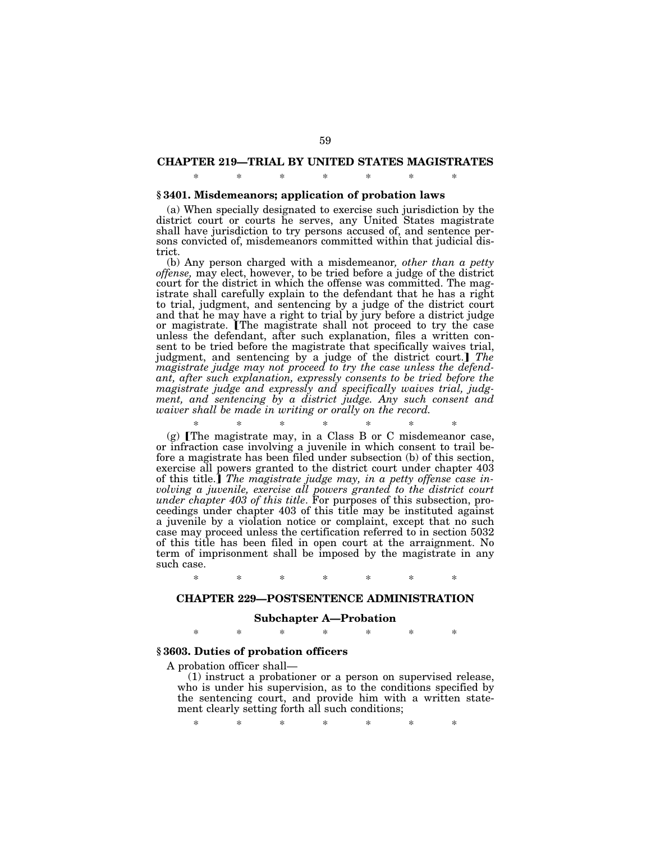# **CHAPTER 219—TRIAL BY UNITED STATES MAGISTRATES** \* \* \* \* \* \* \*

### **§ 3401. Misdemeanors; application of probation laws**

(a) When specially designated to exercise such jurisdiction by the district court or courts he serves, any United States magistrate shall have jurisdiction to try persons accused of, and sentence persons convicted of, misdemeanors committed within that judicial district.

(b) Any person charged with a misdemeanor*, other than a petty offense,* may elect, however, to be tried before a judge of the district court for the district in which the offense was committed. The magistrate shall carefully explain to the defendant that he has a right to trial, judgment, and sentencing by a judge of the district court and that he may have a right to trial by jury before a district judge or magistrate. The magistrate shall not proceed to try the case unless the defendant, after such explanation, files a written consent to be tried before the magistrate that specifically waives trial, judgment, and sentencing by a judge of the district court.] The *magistrate judge may not proceed to try the case unless the defendant, after such explanation, expressly consents to be tried before the magistrate judge and expressly and specifically waives trial, judgment, and sentencing by a district judge. Any such consent and waiver shall be made in writing or orally on the record.*

\* \* \* \* \* \* \*  $(g)$  [The magistrate may, in a Class B or C misdemeanor case, or infraction case involving a juvenile in which consent to trail before a magistrate has been filed under subsection (b) of this section, exercise all powers granted to the district court under chapter 403 of this title.] The magistrate judge may, in a petty offense case in*volving a juvenile, exercise all powers granted to the district court under chapter 403 of this title*. For purposes of this subsection, proceedings under chapter 403 of this title may be instituted against a juvenile by a violation notice or complaint, except that no such case may proceed unless the certification referred to in section 5032 of this title has been filed in open court at the arraignment. No term of imprisonment shall be imposed by the magistrate in any such case.

\* \* \* \* \* \* \*

### **CHAPTER 229—POSTSENTENCE ADMINISTRATION**

### **Subchapter A—Probation**

\* \* \* \* \* \* \*

## **§ 3603. Duties of probation officers**

A probation officer shall—

(1) instruct a probationer or a person on supervised release, who is under his supervision, as to the conditions specified by the sentencing court, and provide him with a written statement clearly setting forth all such conditions;

\* \* \* \* \* \* \*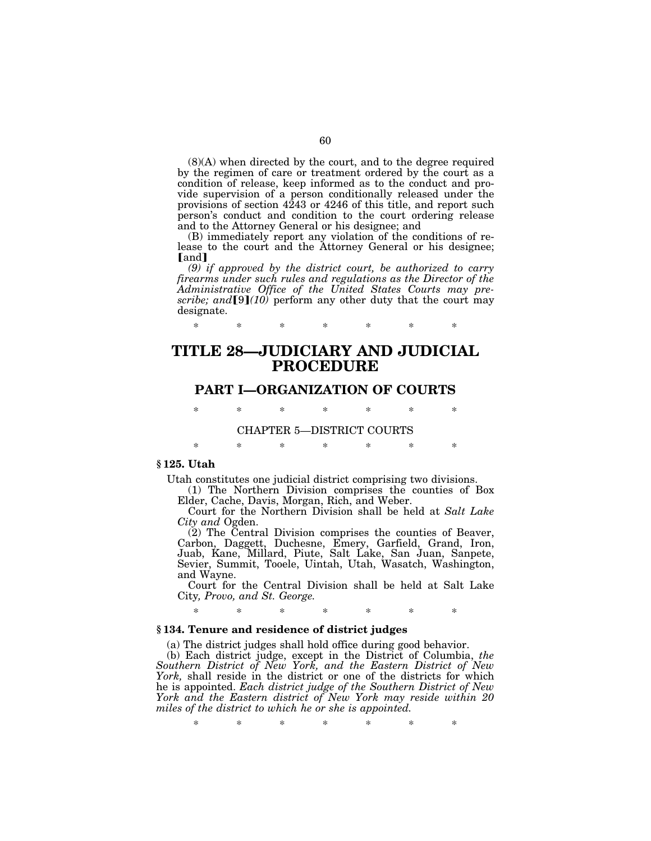(8)(A) when directed by the court, and to the degree required by the regimen of care or treatment ordered by the court as a condition of release, keep informed as to the conduct and provide supervision of a person conditionally released under the provisions of section 4243 or 4246 of this title, and report such person's conduct and condition to the court ordering release and to the Attorney General or his designee; and

(B) immediately report any violation of the conditions of release to the court and the Attorney General or his designee; [and]

*(9) if approved by the district court, be authorized to carry firearms under such rules and regulations as the Director of the Administrative Office of the United States Courts may prescribe; and*  $[9](10)$  perform any other duty that the court may designate.

# **TITLE 28—JUDICIARY AND JUDICIAL PROCEDURE**

\* \* \* \* \* \* \*

## **PART I—ORGANIZATION OF COURTS**

\* \* \* \* \* \* \*

### CHAPTER 5—DISTRICT COURTS

\* \* \* \* \* \* \*

### **§ 125. Utah**

Utah constitutes one judicial district comprising two divisions.

(1) The Northern Division comprises the counties of Box Elder, Cache, Davis, Morgan, Rich, and Weber.

Court for the Northern Division shall be held at *Salt Lake City and* Ogden.

(2) The Central Division comprises the counties of Beaver, Carbon, Daggett, Duchesne, Emery, Garfield, Grand, Iron, Juab, Kane, Millard, Piute, Salt Lake, San Juan, Sanpete, Sevier, Summit, Tooele, Uintah, Utah, Wasatch, Washington, and Wayne.

Court for the Central Division shall be held at Salt Lake City*, Provo, and St. George.*

## \* \* \* \* \* \* \*

## **§ 134. Tenure and residence of district judges**

(a) The district judges shall hold office during good behavior.

(b) Each district judge, except in the District of Columbia, *the Southern District of New York, and the Eastern District of New York,* shall reside in the district or one of the districts for which he is appointed. *Each district judge of the Southern District of New York and the Eastern district of New York may reside within 20 miles of the district to which he or she is appointed.*

\* \* \* \* \* \* \*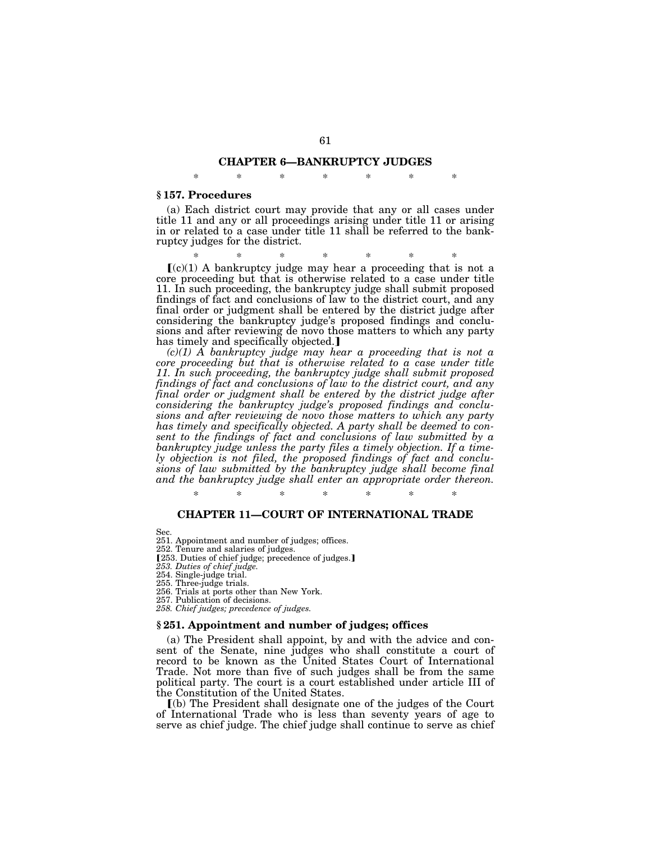## **CHAPTER 6—BANKRUPTCY JUDGES**

\* \* \* \* \* \* \*

### **§ 157. Procedures**

(a) Each district court may provide that any or all cases under title 11 and any or all proceedings arising under title 11 or arising in or related to a case under title 11 shall be referred to the bankruptcy judges for the district.

\* \* \* \* \* \* \*

 $(c)(1)$  A bankruptcy judge may hear a proceeding that is not a core proceeding but that is otherwise related to a case under title 11. In such proceeding, the bankruptcy judge shall submit proposed findings of fact and conclusions of law to the district court, and any final order or judgment shall be entered by the district judge after considering the bankruptcy judge's proposed findings and conclusions and after reviewing de novo those matters to which any party has timely and specifically objected.

*(c)(1) A bankruptcy judge may hear a proceeding that is not a core proceeding but that is otherwise related to a case under title 11. In such proceeding, the bankruptcy judge shall submit proposed findings of fact and conclusions of law to the district court, and any final order or judgment shall be entered by the district judge after considering the bankruptcy judge's proposed findings and conclusions and after reviewing de novo those matters to which any party has timely and specifically objected. A party shall be deemed to consent to the findings of fact and conclusions of law submitted by a bankruptcy judge unless the party files a timely objection. If a timely objection is not filed, the proposed findings of fact and conclusions of law submitted by the bankruptcy judge shall become final and the bankruptcy judge shall enter an appropriate order thereon.*

\* \* \* \* \* \* \*

## **CHAPTER 11—COURT OF INTERNATIONAL TRADE**

Sec.

- 251. Appointment and number of judges; offices.
- 252. Tenure and salaries of judges.
- [253. Duties of chief judge; precedence of judges.]
- *253. Duties of chief judge.*
- 254. Single-judge trial.
- 255. Three-judge trials.
- 256. Trials at ports other than New York.
- 257. Publication of decisions.
- *258. Chief judges; precedence of judges.*

### **§ 251. Appointment and number of judges; offices**

(a) The President shall appoint, by and with the advice and consent of the Senate, nine judges who shall constitute a court of record to be known as the United States Court of International Trade. Not more than five of such judges shall be from the same political party. The court is a court established under article III of the Constitution of the United States.

ø(b) The President shall designate one of the judges of the Court of International Trade who is less than seventy years of age to serve as chief judge. The chief judge shall continue to serve as chief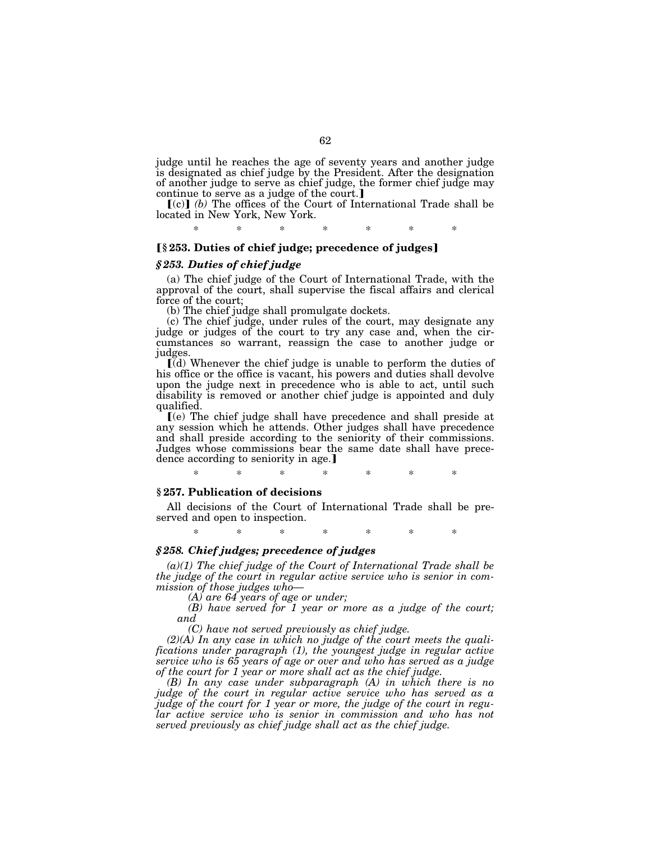judge until he reaches the age of seventy years and another judge is designated as chief judge by the President. After the designation of another judge to serve as chief judge, the former chief judge may continue to serve as a judge of the court.]

 $\lceil (c) \rceil$  *(b)* The offices of the Court of International Trade shall be located in New York, New York.

\* \* \* \* \* \* \*

## ø**§ 253. Duties of chief judge; precedence of judges**¿

### *§ 253. Duties of chief judge*

(a) The chief judge of the Court of International Trade, with the approval of the court, shall supervise the fiscal affairs and clerical force of the court;

(b) The chief judge shall promulgate dockets.

(c) The chief judge, under rules of the court, may designate any judge or judges of the court to try any case and, when the circumstances so warrant, reassign the case to another judge or judges.

 $\left[\right]$ (d) Whenever the chief judge is unable to perform the duties of his office or the office is vacant, his powers and duties shall devolve upon the judge next in precedence who is able to act, until such disability is removed or another chief judge is appointed and duly qualified.

ø(e) The chief judge shall have precedence and shall preside at any session which he attends. Other judges shall have precedence and shall preside according to the seniority of their commissions. Judges whose commissions bear the same date shall have precedence according to seniority in age.

\* \* \* \* \* \* \*

### **§ 257. Publication of decisions**

All decisions of the Court of International Trade shall be preserved and open to inspection.

\* \* \* \* \* \* \*

## *§ 258. Chief judges; precedence of judges*

*(a)(1) The chief judge of the Court of International Trade shall be the judge of the court in regular active service who is senior in commission of those judges who—*

*(A) are 64 years of age or under;*

*(B) have served for 1 year or more as a judge of the court; and*

*(C) have not served previously as chief judge.*

*(2)(A) In any case in which no judge of the court meets the qualifications under paragraph (1), the youngest judge in regular active service who is 65 years of age or over and who has served as a judge of the court for 1 year or more shall act as the chief judge.*

*(B) In any case under subparagraph (A) in which there is no judge of the court in regular active service who has served as a judge of the court for 1 year or more, the judge of the court in regular active service who is senior in commission and who has not served previously as chief judge shall act as the chief judge.*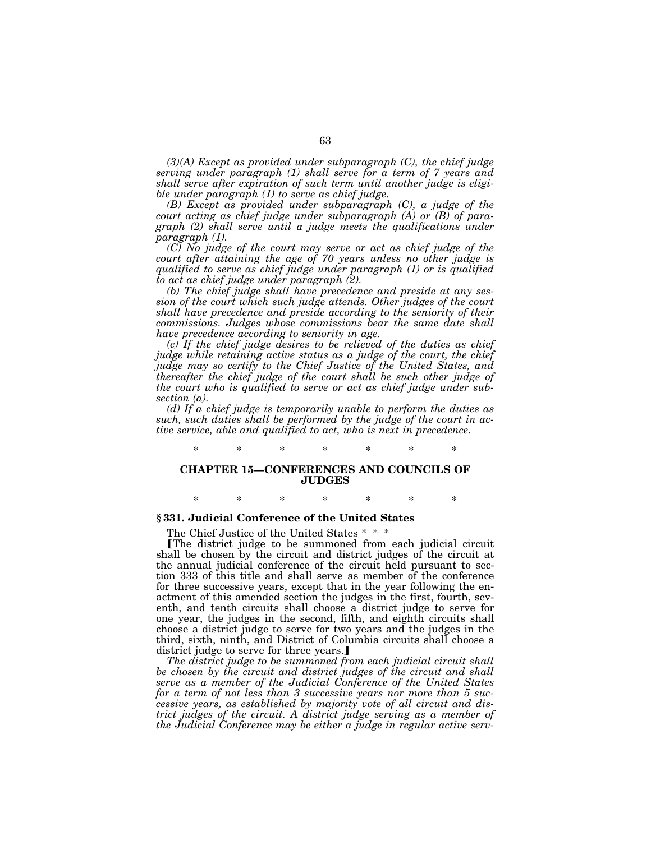*(3)(A) Except as provided under subparagraph (C), the chief judge serving under paragraph (1) shall serve for a term of 7 years and shall serve after expiration of such term until another judge is eligible under paragraph (1) to serve as chief judge.*

*(B) Except as provided under subparagraph (C), a judge of the court acting as chief judge under subparagraph (A) or (B) of paragraph (2) shall serve until a judge meets the qualifications under paragraph (1).*

*(C) No judge of the court may serve or act as chief judge of the court after attaining the age of 70 years unless no other judge is qualified to serve as chief judge under paragraph (1) or is qualified to act as chief judge under paragraph (2).*

*(b) The chief judge shall have precedence and preside at any session of the court which such judge attends. Other judges of the court shall have precedence and preside according to the seniority of their commissions. Judges whose commissions bear the same date shall have precedence according to seniority in age.*

*(c) If the chief judge desires to be relieved of the duties as chief judge while retaining active status as a judge of the court, the chief judge may so certify to the Chief Justice of the United States, and thereafter the chief judge of the court shall be such other judge of the court who is qualified to serve or act as chief judge under subsection (a).*

*(d) If a chief judge is temporarily unable to perform the duties as such, such duties shall be performed by the judge of the court in active service, able and qualified to act, who is next in precedence.*

## **CHAPTER 15—CONFERENCES AND COUNCILS OF JUDGES**

\* \* \* \* \* \* \*

\* \* \* \* \* \* \*

### **§ 331. Judicial Conference of the United States**

The Chief Justice of the United States \* \* \*

øThe district judge to be summoned from each judicial circuit shall be chosen by the circuit and district judges of the circuit at the annual judicial conference of the circuit held pursuant to section 333 of this title and shall serve as member of the conference for three successive years, except that in the year following the enactment of this amended section the judges in the first, fourth, seventh, and tenth circuits shall choose a district judge to serve for one year, the judges in the second, fifth, and eighth circuits shall choose a district judge to serve for two years and the judges in the third, sixth, ninth, and District of Columbia circuits shall choose a district judge to serve for three years.]

*The district judge to be summoned from each judicial circuit shall be chosen by the circuit and district judges of the circuit and shall serve as a member of the Judicial Conference of the United States for a term of not less than 3 successive years nor more than 5 successive years, as established by majority vote of all circuit and district judges of the circuit. A district judge serving as a member of the Judicial Conference may be either a judge in regular active serv-*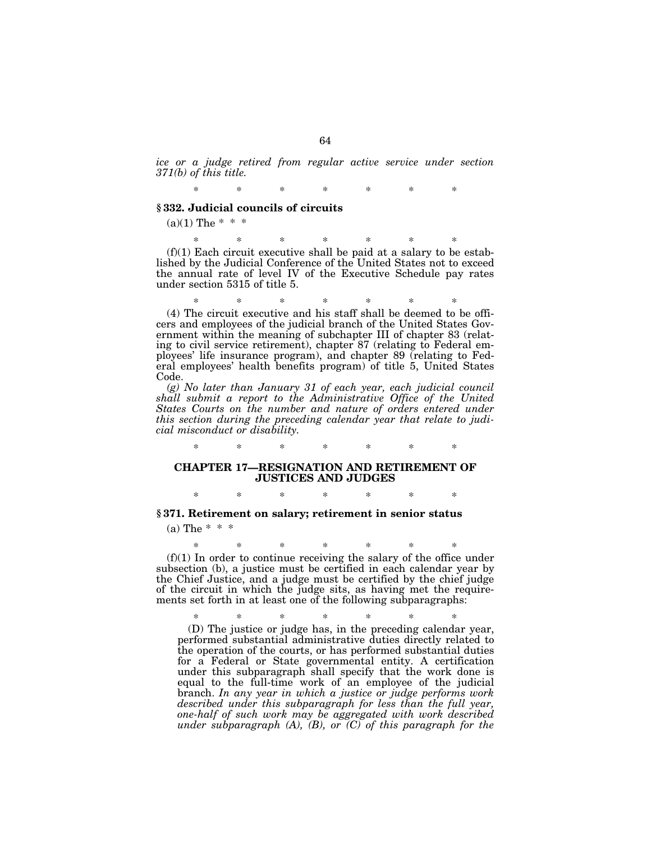*ice or a judge retired from regular active service under section 371(b) of this title.*

\* \* \* \* \* \* \*

## **§ 332. Judicial councils of circuits**

 $(a)(1)$  The \* \* \*

\* \* \* \* \* \* \*  $(f)(1)$  Each circuit executive shall be paid at a salary to be established by the Judicial Conference of the United States not to exceed the annual rate of level IV of the Executive Schedule pay rates under section 5315 of title 5.

\* \* \* \* \* \* \* (4) The circuit executive and his staff shall be deemed to be officers and employees of the judicial branch of the United States Government within the meaning of subchapter III of chapter 83 (relating to civil service retirement), chapter 87 (relating to Federal employees' life insurance program), and chapter 89 (relating to Federal employees' health benefits program) of title 5, United States Code.

*(g) No later than January 31 of each year, each judicial council shall submit a report to the Administrative Office of the United States Courts on the number and nature of orders entered under this section during the preceding calendar year that relate to judicial misconduct or disability.*

# \* \* \* \* \* \* \* **CHAPTER 17—RESIGNATION AND RETIREMENT OF JUSTICES AND JUDGES**

\* \* \* \* \* \* \*

# **§ 371. Retirement on salary; retirement in senior status**  $(a)$  The  $*$   $*$

\* \* \* \* \* \* \*  $(f)(1)$  In order to continue receiving the salary of the office under subsection (b), a justice must be certified in each calendar year by the Chief Justice, and a judge must be certified by the chief judge of the circuit in which the judge sits, as having met the requirements set forth in at least one of the following subparagraphs:

\* \* \* \* \* \* \* (D) The justice or judge has, in the preceding calendar year, performed substantial administrative duties directly related to the operation of the courts, or has performed substantial duties for a Federal or State governmental entity. A certification under this subparagraph shall specify that the work done is equal to the full-time work of an employee of the judicial branch. *In any year in which a justice or judge performs work described under this subparagraph for less than the full year, one-half of such work may be aggregated with work described under subparagraph (A), (B), or (C) of this paragraph for the*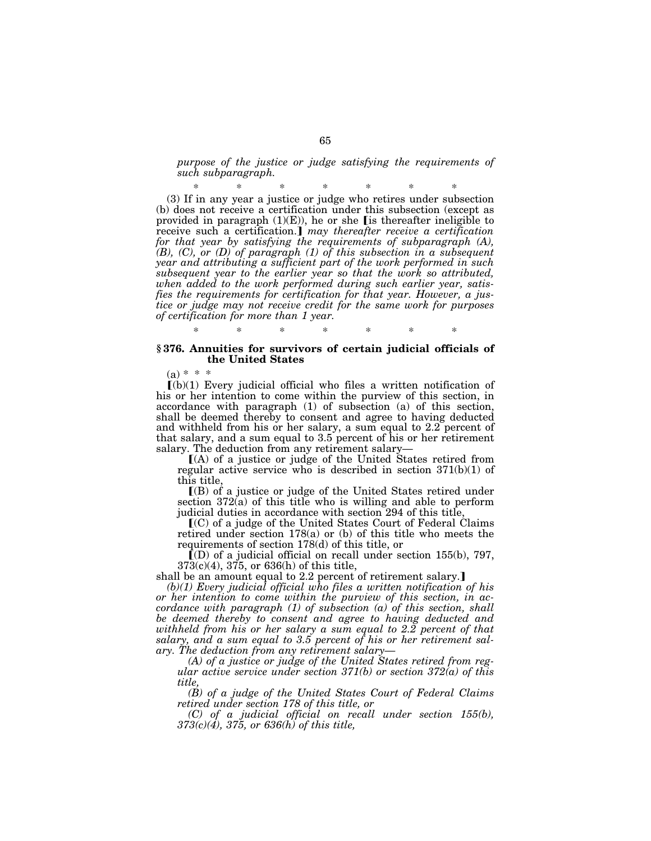*purpose of the justice or judge satisfying the requirements of such subparagraph.*

\* \* \* \* \* \* \* (3) If in any year a justice or judge who retires under subsection (b) does not receive a certification under this subsection (except as provided in paragraph  $(1)(E)$ , he or she [is thereafter ineligible to receive such a certification.] may thereafter receive a certification *for that year by satisfying the requirements of subparagraph (A), (B), (C), or (D) of paragraph (1) of this subsection in a subsequent year and attributing a sufficient part of the work performed in such subsequent year to the earlier year so that the work so attributed, when added to the work performed during such earlier year, satisfies the requirements for certification for that year. However, a justice or judge may not receive credit for the same work for purposes of certification for more than 1 year.*

### **§ 376. Annuities for survivors of certain judicial officials of the United States**

\* \* \* \* \* \* \*

 $(a) * * *$ 

 $[(b)(1)$  Every judicial official who files a written notification of his or her intention to come within the purview of this section, in accordance with paragraph (1) of subsection (a) of this section, shall be deemed thereby to consent and agree to having deducted and withheld from his or her salary, a sum equal to 2.2 percent of that salary, and a sum equal to 3.5 percent of his or her retirement salary. The deduction from any retirement salary—

 $(A)$  of a justice or judge of the United States retired from regular active service who is described in section 371(b)(1) of this title,

ø(B) of a justice or judge of the United States retired under section 372(a) of this title who is willing and able to perform judicial duties in accordance with section 294 of this title,

 $(C)$  of a judge of the United States Court of Federal Claims retired under section 178(a) or (b) of this title who meets the requirements of section 178(d) of this title, or

 $\bar{[}$ (D) of a judicial official on recall under section 155(b), 797, 373(c)(4), 375, or 636(h) of this title,

shall be an amount equal to 2.2 percent of retirement salary.]

*(b)(1) Every judicial official who files a written notification of his or her intention to come within the purview of this section, in accordance with paragraph (1) of subsection (a) of this section, shall be deemed thereby to consent and agree to having deducted and withheld from his or her salary a sum equal to 2.2 percent of that salary, and a sum equal to 3.5 percent of his or her retirement salary. The deduction from any retirement salary—*

*(A) of a justice or judge of the United States retired from regular active service under section 371(b) or section 372(a) of this title,*

*(B) of a judge of the United States Court of Federal Claims retired under section 178 of this title, or*

*(C) of a judicial official on recall under section 155(b), 373(c)(4), 375, or 636(h) of this title,*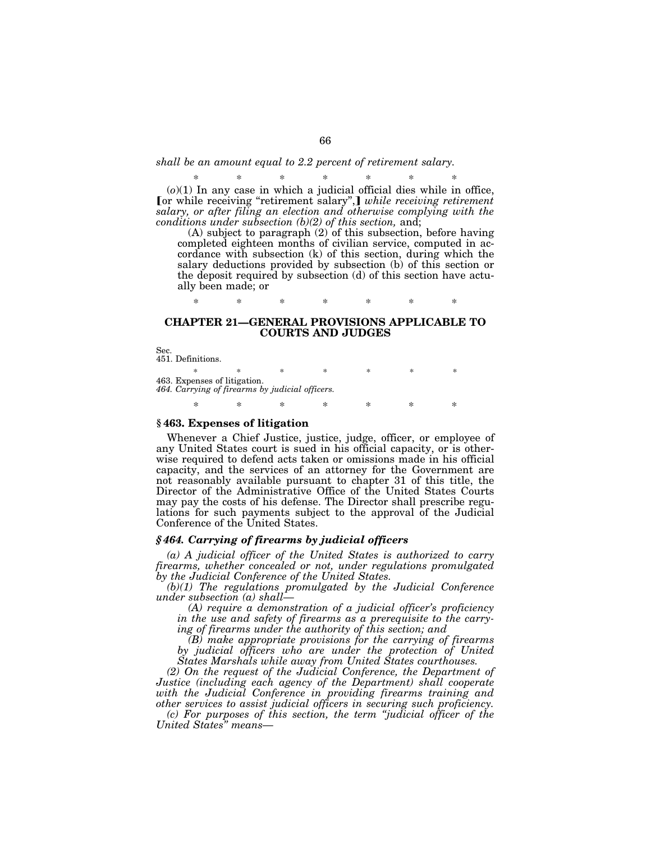### *shall be an amount equal to 2.2 percent of retirement salary.*

\* \* \* \* \* \* \* (*o*)(1) In any case in which a judicial official dies while in office, **[or while receiving "retirement salary",]** while receiving retirement *salary, or after filing an election and otherwise complying with the conditions under subsection (b)(2) of this section,* and;

(A) subject to paragraph (2) of this subsection, before having completed eighteen months of civilian service, computed in accordance with subsection (k) of this section, during which the salary deductions provided by subsection (b) of this section or the deposit required by subsection (d) of this section have actually been made; or

# **CHAPTER 21—GENERAL PROVISIONS APPLICABLE TO COURTS AND JUDGES**

\* \* \* \* \* \* \*

Sec. 451. Definitions.

\* \* \* \* \* \* \* 463. Expenses of litigation. *464. Carrying of firearms by judicial officers.* \* \* \* \* \* \* \*

### **§ 463. Expenses of litigation**

Whenever a Chief Justice, justice, judge, officer, or employee of any United States court is sued in his official capacity, or is otherwise required to defend acts taken or omissions made in his official capacity, and the services of an attorney for the Government are not reasonably available pursuant to chapter 31 of this title, the Director of the Administrative Office of the United States Courts may pay the costs of his defense. The Director shall prescribe regulations for such payments subject to the approval of the Judicial Conference of the United States.

### *§ 464. Carrying of firearms by judicial officers*

*(a) A judicial officer of the United States is authorized to carry firearms, whether concealed or not, under regulations promulgated by the Judicial Conference of the United States.*

*(b)(1) The regulations promulgated by the Judicial Conference under subsection (a) shall—*

*(A) require a demonstration of a judicial officer's proficiency in the use and safety of firearms as a prerequisite to the carrying of firearms under the authority of this section; and*

*(B) make appropriate provisions for the carrying of firearms by judicial officers who are under the protection of United States Marshals while away from United States courthouses.*

*(2) On the request of the Judicial Conference, the Department of Justice (including each agency of the Department) shall cooperate with the Judicial Conference in providing firearms training and other services to assist judicial officers in securing such proficiency.*

*(c) For purposes of this section, the term ''judicial officer of the United States'' means—*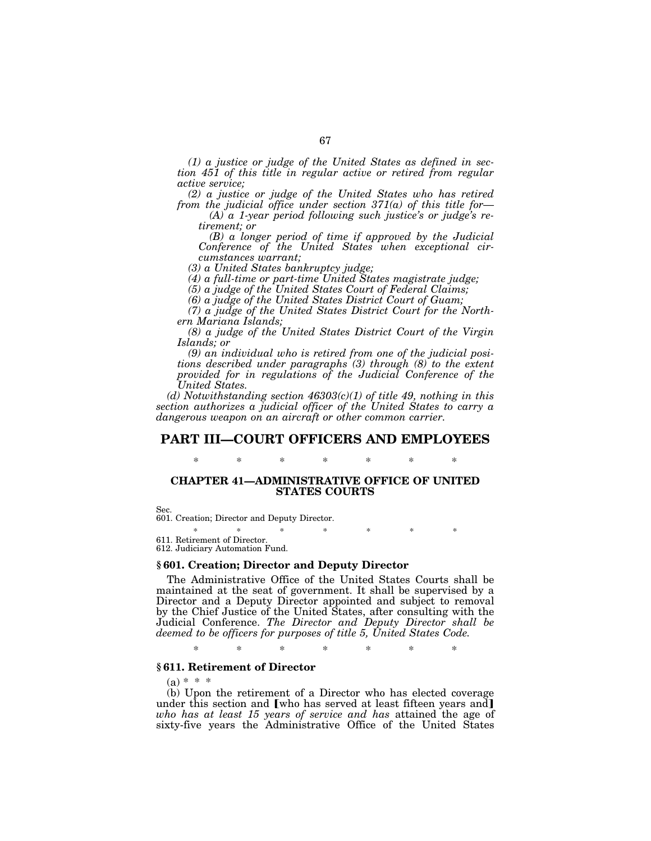*(1) a justice or judge of the United States as defined in section 451 of this title in regular active or retired from regular active service;*

*(2) a justice or judge of the United States who has retired from the judicial office under section 371(a) of this title for—*

*(A) a 1-year period following such justice's or judge's retirement; or*

*(B) a longer period of time if approved by the Judicial Conference of the United States when exceptional circumstances warrant;*

*(3) a United States bankruptcy judge;*

*(4) a full-time or part-time United States magistrate judge;*

*(5) a judge of the United States Court of Federal Claims;*

*(6) a judge of the United States District Court of Guam;*

*(7) a judge of the United States District Court for the Northern Mariana Islands;*

*(8) a judge of the United States District Court of the Virgin Islands; or*

*(9) an individual who is retired from one of the judicial positions described under paragraphs (3) through (8) to the extent provided for in regulations of the Judicial Conference of the United States.*

*(d) Notwithstanding section 46303(c)(1) of title 49, nothing in this section authorizes a judicial officer of the United States to carry a dangerous weapon on an aircraft or other common carrier.*

# **PART III—COURT OFFICERS AND EMPLOYEES**

# \* \* \* \* \* \* \*

# **CHAPTER 41—ADMINISTRATIVE OFFICE OF UNITED STATES COURTS**

Sec.

601. Creation; Director and Deputy Director.

\* \* \* \* \* \* \* 611. Retirement of Director. 612. Judiciary Automation Fund.

### **§ 601. Creation; Director and Deputy Director**

The Administrative Office of the United States Courts shall be maintained at the seat of government. It shall be supervised by a Director and a Deputy Director appointed and subject to removal by the Chief Justice of the United States, after consulting with the Judicial Conference. *The Director and Deputy Director shall be deemed to be officers for purposes of title 5, United States Code.*

\* \* \* \* \* \* \*

### **§ 611. Retirement of Director**

 $(a) * * * *$ 

(b) Upon the retirement of a Director who has elected coverage under this section and  $\lceil$  who has served at least fifteen years and  $\rceil$ *who has at least 15 years of service and has* attained the age of sixty-five years the Administrative Office of the United States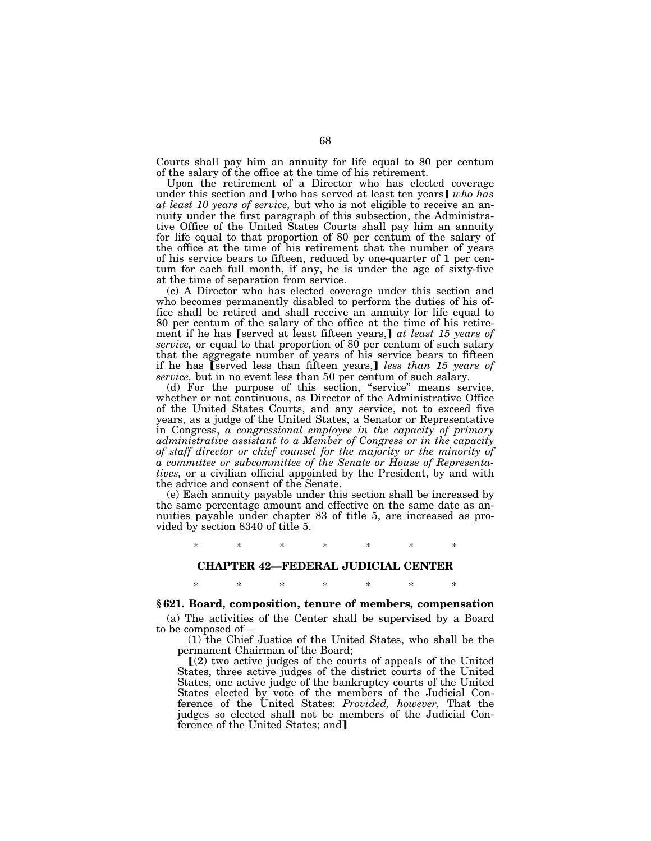Courts shall pay him an annuity for life equal to 80 per centum of the salary of the office at the time of his retirement.

Upon the retirement of a Director who has elected coverage under this section and [who has served at least ten years] who has *at least 10 years of service,* but who is not eligible to receive an annuity under the first paragraph of this subsection, the Administrative Office of the United States Courts shall pay him an annuity for life equal to that proportion of 80 per centum of the salary of the office at the time of his retirement that the number of years of his service bears to fifteen, reduced by one-quarter of 1 per centum for each full month, if any, he is under the age of sixty-five at the time of separation from service.

(c) A Director who has elected coverage under this section and who becomes permanently disabled to perform the duties of his office shall be retired and shall receive an annuity for life equal to 80 per centum of the salary of the office at the time of his retirement if he has [served at least fifteen years,] at least 15 years of *service,* or equal to that proportion of 80 per centum of such salary that the aggregate number of years of his service bears to fifteen if he has [served less than fifteen years,] *less than 15 years of service,* but in no event less than 50 per centum of such salary.

(d) For the purpose of this section, ''service'' means service, whether or not continuous, as Director of the Administrative Office of the United States Courts, and any service, not to exceed five years, as a judge of the United States, a Senator or Representative in Congress, *a congressional employee in the capacity of primary administrative assistant to a Member of Congress or in the capacity of staff director or chief counsel for the majority or the minority of a committee or subcommittee of the Senate or House of Representatives,* or a civilian official appointed by the President, by and with the advice and consent of the Senate.

(e) Each annuity payable under this section shall be increased by the same percentage amount and effective on the same date as annuities payable under chapter 83 of title 5, are increased as provided by section 8340 of title 5.

\* \* \* \* \* \* \*

### **CHAPTER 42—FEDERAL JUDICIAL CENTER**

## \* \* \* \* \* \* \*

### **§ 621. Board, composition, tenure of members, compensation**

(a) The activities of the Center shall be supervised by a Board to be composed of—

(1) the Chief Justice of the United States, who shall be the permanent Chairman of the Board;

 $(2)$  two active judges of the courts of appeals of the United States, three active judges of the district courts of the United States, one active judge of the bankruptcy courts of the United States elected by vote of the members of the Judicial Conference of the United States: *Provided, however,* That the judges so elected shall not be members of the Judicial Conference of the United States; and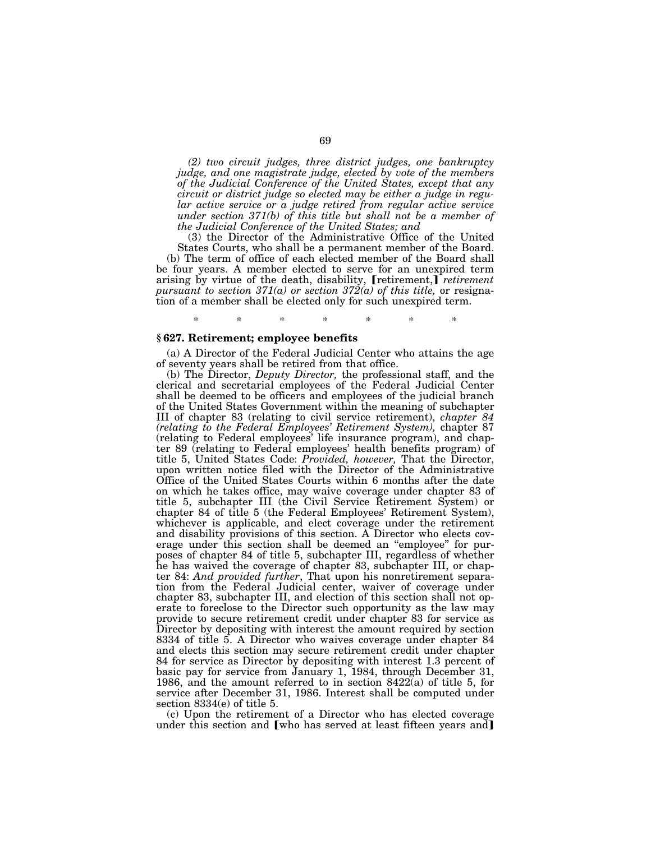*(2) two circuit judges, three district judges, one bankruptcy judge, and one magistrate judge, elected by vote of the members of the Judicial Conference of the United States, except that any circuit or district judge so elected may be either a judge in regular active service or a judge retired from regular active service under section 371(b) of this title but shall not be a member of the Judicial Conference of the United States; and*

(3) the Director of the Administrative Office of the United States Courts, who shall be a permanent member of the Board. (b) The term of office of each elected member of the Board shall be four years. A member elected to serve for an unexpired term arising by virtue of the death, disability, [retirement,] *retirement pursuant to section 371(a) or section 372(a) of this title,* or resignation of a member shall be elected only for such unexpired term.

### **§ 627. Retirement; employee benefits**

(a) A Director of the Federal Judicial Center who attains the age of seventy years shall be retired from that office.

\* \* \* \* \* \* \*

(b) The Director, *Deputy Director,* the professional staff, and the clerical and secretarial employees of the Federal Judicial Center shall be deemed to be officers and employees of the judicial branch of the United States Government within the meaning of subchapter III of chapter 83 (relating to civil service retirement), *chapter 84 (relating to the Federal Employees' Retirement System),* chapter 87 (relating to Federal employees' life insurance program), and chapter 89 (relating to Federal employees' health benefits program) of title 5, United States Code: *Provided, however,* That the Director, upon written notice filed with the Director of the Administrative Office of the United States Courts within 6 months after the date on which he takes office, may waive coverage under chapter 83 of title 5, subchapter III (the Civil Service Retirement System) or chapter 84 of title 5 (the Federal Employees' Retirement System), whichever is applicable, and elect coverage under the retirement and disability provisions of this section. A Director who elects coverage under this section shall be deemed an ''employee'' for purposes of chapter 84 of title 5, subchapter III, regardless of whether he has waived the coverage of chapter 83, subchapter III, or chapter 84: *And provided further*, That upon his nonretirement separation from the Federal Judicial center, waiver of coverage under chapter 83, subchapter III, and election of this section shall not operate to foreclose to the Director such opportunity as the law may provide to secure retirement credit under chapter 83 for service as Director by depositing with interest the amount required by section 8334 of title 5. A Director who waives coverage under chapter 84 and elects this section may secure retirement credit under chapter 84 for service as Director by depositing with interest 1.3 percent of basic pay for service from January 1, 1984, through December 31, 1986, and the amount referred to in section  $8422\bar{a}$  of title 5, for service after December 31, 1986. Interest shall be computed under section 8334(e) of title 5.

(c) Upon the retirement of a Director who has elected coverage under this section and [who has served at least fifteen years and]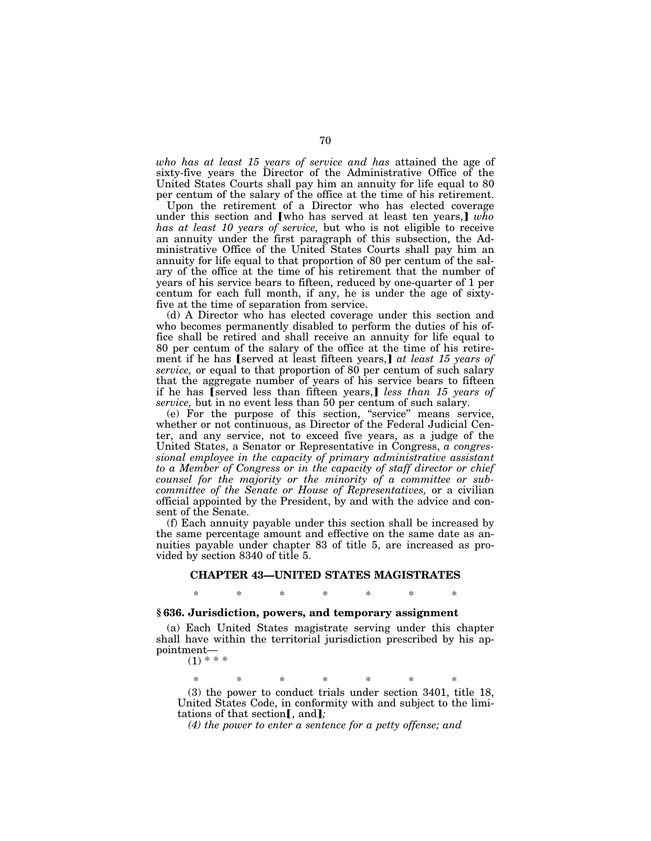*who has at least 15 years of service and has* attained the age of sixty-five years the Director of the Administrative Office of the United States Courts shall pay him an annuity for life equal to 80 per centum of the salary of the office at the time of his retirement.

Upon the retirement of a Director who has elected coverage under this section and [who has served at least ten years,]  $w\bar{h}o$ *has at least 10 years of service,* but who is not eligible to receive an annuity under the first paragraph of this subsection, the Administrative Office of the United States Courts shall pay him an annuity for life equal to that proportion of 80 per centum of the salary of the office at the time of his retirement that the number of years of his service bears to fifteen, reduced by one-quarter of 1 per centum for each full month, if any, he is under the age of sixtyfive at the time of separation from service.

(d) A Director who has elected coverage under this section and who becomes permanently disabled to perform the duties of his office shall be retired and shall receive an annuity for life equal to 80 per centum of the salary of the office at the time of his retirement if he has [served at least fifteen years,] at least 15 years of *service,* or equal to that proportion of 80 per centum of such salary that the aggregate number of years of his service bears to fifteen if he has *(served less than fifteen years,) less than 15 years of service,* but in no event less than 50 per centum of such salary.

(e) For the purpose of this section, ''service'' means service, whether or not continuous, as Director of the Federal Judicial Center, and any service, not to exceed five years, as a judge of the United States, a Senator or Representative in Congress, *a congressional employee in the capacity of primary administrative assistant to a Member of Congress or in the capacity of staff director or chief counsel for the majority or the minority of a committee or subcommittee of the Senate or House of Representatives,* or a civilian official appointed by the President, by and with the advice and consent of the Senate.

(f) Each annuity payable under this section shall be increased by the same percentage amount and effective on the same date as annuities payable under chapter 83 of title 5, are increased as provided by section 8340 of title 5.

# **CHAPTER 43—UNITED STATES MAGISTRATES** \* \* \* \* \* \* \*

# **§ 636. Jurisdiction, powers, and temporary assignment**

(a) Each United States magistrate serving under this chapter shall have within the territorial jurisdiction prescribed by his appointment—  $(1) * * *$ 

\* \* \* \* \* \* \* (3) the power to conduct trials under section 3401, title 18, United States Code, in conformity with and subject to the limitations of that section<sub>[, and];</sub>

*(4) the power to enter a sentence for a petty offense; and*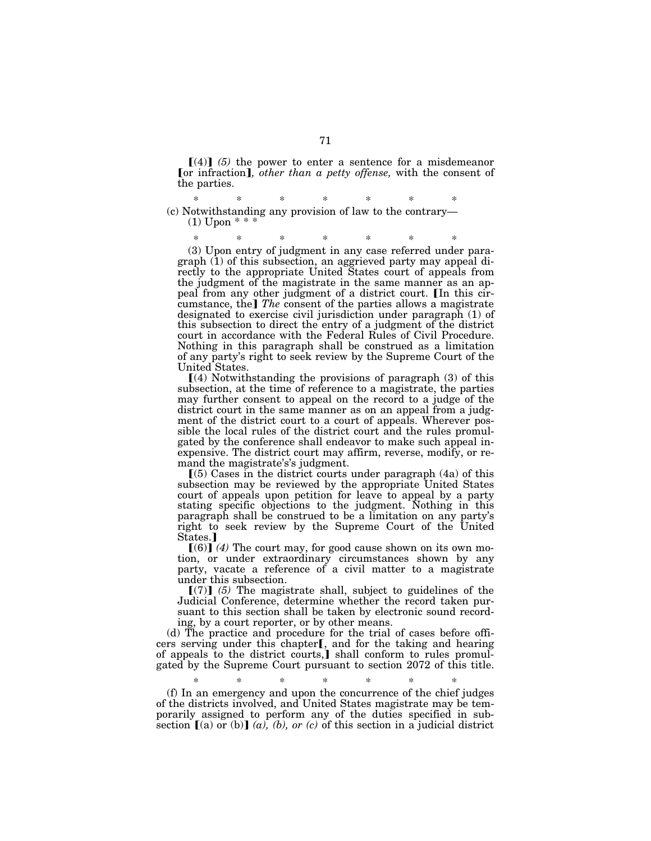$\llbracket (4) \rrbracket$  (5) the power to enter a sentence for a misdemeanor [or infraction], *other than a petty offense*, with the consent of the parties.

\* \* \* \* \* \* \* (c) Notwithstanding any provision of law to the contrary—  $(1)$  Upon  $***$ 

\* \* \* \* \* \* \*

(3) Upon entry of judgment in any case referred under paragraph (1) of this subsection, an aggrieved party may appeal directly to the appropriate United States court of appeals from the judgment of the magistrate in the same manner as an appeal from any other judgment of a district court. In this circumstance, the] The consent of the parties allows a magistrate designated to exercise civil jurisdiction under paragraph (1) of this subsection to direct the entry of a judgment of the district court in accordance with the Federal Rules of Civil Procedure. Nothing in this paragraph shall be construed as a limitation of any party's right to seek review by the Supreme Court of the United States.

 $(4)$  Notwithstanding the provisions of paragraph (3) of this subsection, at the time of reference to a magistrate, the parties may further consent to appeal on the record to a judge of the district court in the same manner as on an appeal from a judgment of the district court to a court of appeals. Wherever possible the local rules of the district court and the rules promulgated by the conference shall endeavor to make such appeal inexpensive. The district court may affirm, reverse, modify, or remand the magistrate's's judgment.

 $(5)$  Cases in the district courts under paragraph  $(4a)$  of this subsection may be reviewed by the appropriate United States court of appeals upon petition for leave to appeal by a party stating specific objections to the judgment. Nothing in this paragraph shall be construed to be a limitation on any party's right to seek review by the Supreme Court of the United States.]

 $(6)$  *(4)* The court may, for good cause shown on its own motion, or under extraordinary circumstances shown by any party, vacate a reference of a civil matter to a magistrate under this subsection.

 $[(7)]$  (5) The magistrate shall, subject to guidelines of the Judicial Conference, determine whether the record taken pursuant to this section shall be taken by electronic sound recording, by a court reporter, or by other means.

(d) The practice and procedure for the trial of cases before officers serving under this chapter[, and for the taking and hearing of appeals to the district courts, I shall conform to rules promulgated by the Supreme Court pursuant to section 2072 of this title.

\* \* \* \* \* \* \* (f) In an emergency and upon the concurrence of the chief judges of the districts involved, and United States magistrate may be temporarily assigned to perform any of the duties specified in subsection  $\lbrack (a)$  or (b)  $\lbrack (a), (b),$  or (c) of this section in a judicial district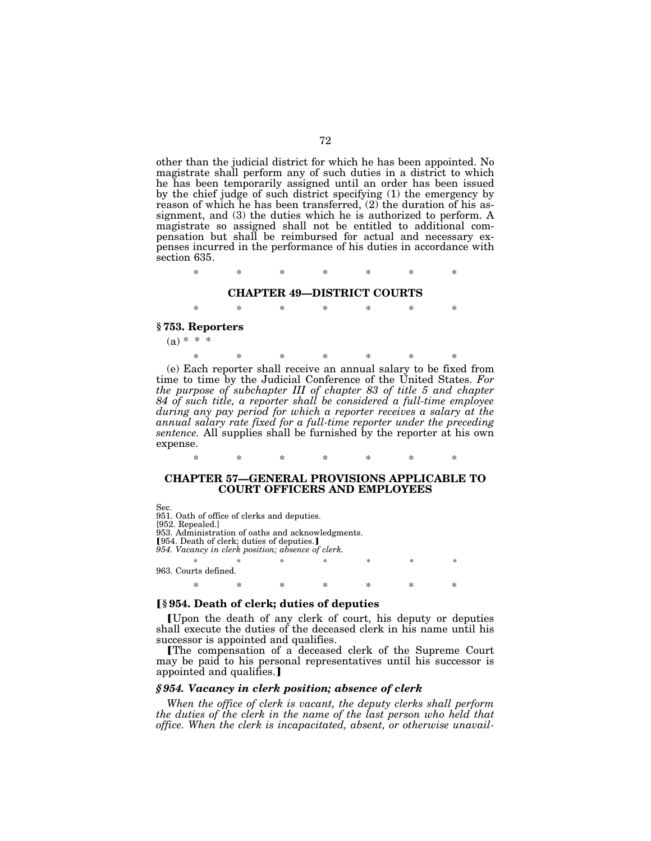other than the judicial district for which he has been appointed. No magistrate shall perform any of such duties in a district to which he has been temporarily assigned until an order has been issued by the chief judge of such district specifying (1) the emergency by reason of which he has been transferred, (2) the duration of his assignment, and (3) the duties which he is authorized to perform. A magistrate so assigned shall not be entitled to additional compensation but shall be reimbursed for actual and necessary expenses incurred in the performance of his duties in accordance with section 635.

\* \* \* \* \* \* \*

## **CHAPTER 49—DISTRICT COURTS**

\* \* \* \* \* \* \*

### **§ 753. Reporters**

 $(a) * * *$ 

\* \* \* \* \* \* \* (e) Each reporter shall receive an annual salary to be fixed from time to time by the Judicial Conference of the United States. *For the purpose of subchapter III of chapter 83 of title 5 and chapter 84 of such title, a reporter shall be considered a full-time employee during any pay period for which a reporter receives a salary at the annual salary rate fixed for a full-time reporter under the preceding sentence.* All supplies shall be furnished by the reporter at his own expense.

## **CHAPTER 57—GENERAL PROVISIONS APPLICABLE TO COURT OFFICERS AND EMPLOYEES**

\* \* \* \* \* \* \*

Sec.

951. Oath of office of clerks and deputies. [952. Repealed.] 953. Administration of oaths and acknowledgments. **[954. Death of clerk; duties of deputies.]** *954. Vacancy in clerk position; absence of clerk.* \* \* \* \* \* \* \* 963. Courts defined. \* \* \* \* \* \* \*

### ø**§ 954. Death of clerk; duties of deputies**

øUpon the death of any clerk of court, his deputy or deputies shall execute the duties of the deceased clerk in his name until his successor is appointed and qualifies.

øThe compensation of a deceased clerk of the Supreme Court may be paid to his personal representatives until his successor is appointed and qualifies.

## *§ 954. Vacancy in clerk position; absence of clerk*

*When the office of clerk is vacant, the deputy clerks shall perform the duties of the clerk in the name of the last person who held that office. When the clerk is incapacitated, absent, or otherwise unavail-*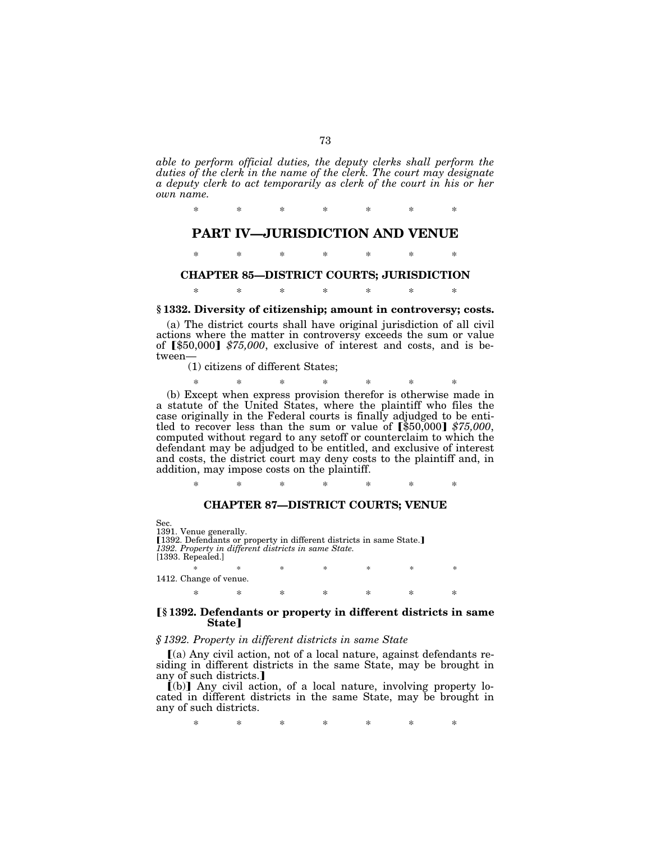*able to perform official duties, the deputy clerks shall perform the duties of the clerk in the name of the clerk. The court may designate a deputy clerk to act temporarily as clerk of the court in his or her own name.*

\* \* \* \* \* \* \*

## **PART IV—JURISDICTION AND VENUE**

\* \* \* \* \* \* \*

## **CHAPTER 85—DISTRICT COURTS; JURISDICTION**

\* \* \* \* \* \* \*

#### **§ 1332. Diversity of citizenship; amount in controversy; costs.**

(a) The district courts shall have original jurisdiction of all civil actions where the matter in controversy exceeds the sum or value of [\$50,000] \$75,000, exclusive of interest and costs, and is between—

(1) citizens of different States;

\* \* \* \* \* \* \*

(b) Except when express provision therefor is otherwise made in a statute of the United States, where the plaintiff who files the case originally in the Federal courts is finally adjudged to be entitled to recover less than the sum or value of  $\left[\frac{1}{5}50,000\right]$  \$75,000, computed without regard to any setoff or counterclaim to which the defendant may be adjudged to be entitled, and exclusive of interest and costs, the district court may deny costs to the plaintiff and, in addition, may impose costs on the plaintiff.

\* \* \* \* \* \* \*

#### **CHAPTER 87—DISTRICT COURTS; VENUE**

Sec. 1391. Venue generally. [1392. Defendants or property in different districts in same State.] *1392. Property in different districts in same State.* [1393. Repealed.] \* \* \* \* \* \* \* 1412. Change of venue.

#### ø**§ 1392. Defendants or property in different districts in same State**<sup>1</sup>

\* \* \* \* \* \* \*

#### *§ 1392. Property in different districts in same State*

 $(a)$  Any civil action, not of a local nature, against defendants residing in different districts in the same State, may be brought in any of such districts.

 $\dot{[b]}$  Any civil action, of a local nature, involving property located in different districts in the same State, may be brought in any of such districts.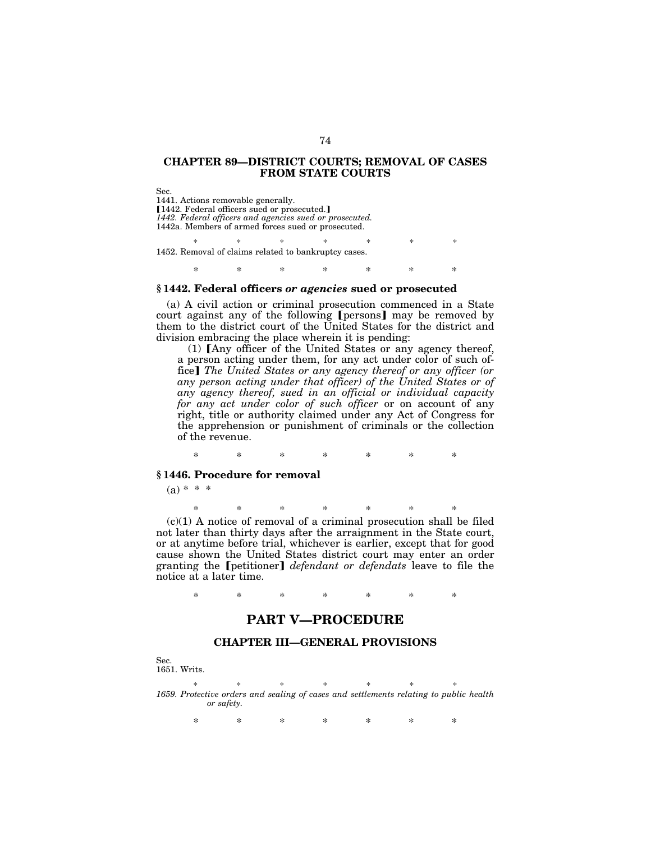#### **CHAPTER 89—DISTRICT COURTS; REMOVAL OF CASES FROM STATE COURTS**

Sec. 1441. Actions removable generally. [1442. Federal officers sued or prosecuted.] *1442. Federal officers and agencies sued or prosecuted.* 1442a. Members of armed forces sued or prosecuted.

\* \* \* \* \* \* \* 1452. Removal of claims related to bankruptcy cases.

\* \* \* \* \* \* \*

#### **§ 1442. Federal officers** *or agencies* **sued or prosecuted**

(a) A civil action or criminal prosecution commenced in a State court against any of the following [persons] may be removed by them to the district court of the United States for the district and division embracing the place wherein it is pending:

 $(1)$  [Any officer of the United States or any agency thereof, a person acting under them, for any act under color of such office] The United States or any agency thereof or any officer (or *any person acting under that officer) of the United States or of any agency thereof, sued in an official or individual capacity for any act under color of such officer* or on account of any right, title or authority claimed under any Act of Congress for the apprehension or punishment of criminals or the collection of the revenue.

\* \* \* \* \* \* \*

#### **§ 1446. Procedure for removal**

 $(a) * * *$ 

\* \* \* \* \* \* \*

 $(c)(1)$  A notice of removal of a criminal prosecution shall be filed not later than thirty days after the arraignment in the State court, or at anytime before trial, whichever is earlier, except that for good cause shown the United States district court may enter an order granting the [petitioner] *defendant or defendats* leave to file the notice at a later time.

\* \* \* \* \* \* \*

## **PART V—PROCEDURE**

#### **CHAPTER III—GENERAL PROVISIONS**

Sec.

1651. Writs.

\* \* \* \* \* \* \* *1659. Protective orders and sealing of cases and settlements relating to public health or safety.*

\* \* \* \* \* \* \*

#### 74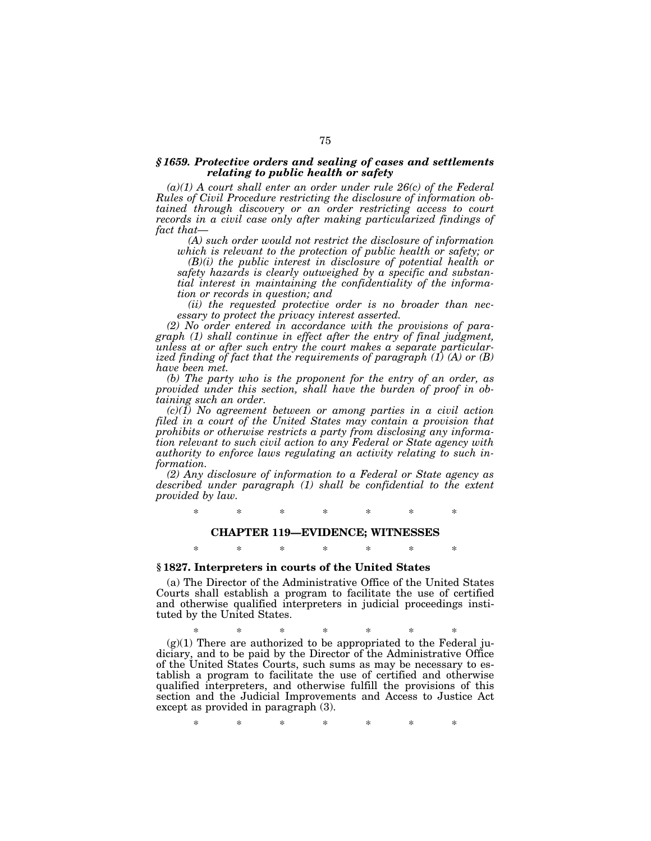#### *§ 1659. Protective orders and sealing of cases and settlements relating to public health or safety*

*(a)(1) A court shall enter an order under rule 26(c) of the Federal Rules of Civil Procedure restricting the disclosure of information obtained through discovery or an order restricting access to court records in a civil case only after making particularized findings of fact that—*

*(A) such order would not restrict the disclosure of information which is relevant to the protection of public health or safety; or*

*(B)(i) the public interest in disclosure of potential health or safety hazards is clearly outweighed by a specific and substantial interest in maintaining the confidentiality of the information or records in question; and*

*(ii) the requested protective order is no broader than necessary to protect the privacy interest asserted.*

*(2) No order entered in accordance with the provisions of paragraph (1) shall continue in effect after the entry of final judgment, unless at or after such entry the court makes a separate particularized finding of fact that the requirements of paragraph (1) (A) or (B) have been met.*

*(b) The party who is the proponent for the entry of an order, as provided under this section, shall have the burden of proof in obtaining such an order.*

*(c)(1) No agreement between or among parties in a civil action filed in a court of the United States may contain a provision that prohibits or otherwise restricts a party from disclosing any information relevant to such civil action to any Federal or State agency with authority to enforce laws regulating an activity relating to such information.*

*(2) Any disclosure of information to a Federal or State agency as described under paragraph (1) shall be confidential to the extent provided by law.*

\* \* \* \* \* \* \*

#### **CHAPTER 119—EVIDENCE; WITNESSES**

## \* \* \* \* \* \* \*

## **§ 1827. Interpreters in courts of the United States**

(a) The Director of the Administrative Office of the United States Courts shall establish a program to facilitate the use of certified and otherwise qualified interpreters in judicial proceedings instituted by the United States.

\* \* \* \* \* \* \*  $(g)(1)$  There are authorized to be appropriated to the Federal judiciary, and to be paid by the Director of the Administrative Office of the United States Courts, such sums as may be necessary to establish a program to facilitate the use of certified and otherwise qualified interpreters, and otherwise fulfill the provisions of this section and the Judicial Improvements and Access to Justice Act except as provided in paragraph (3).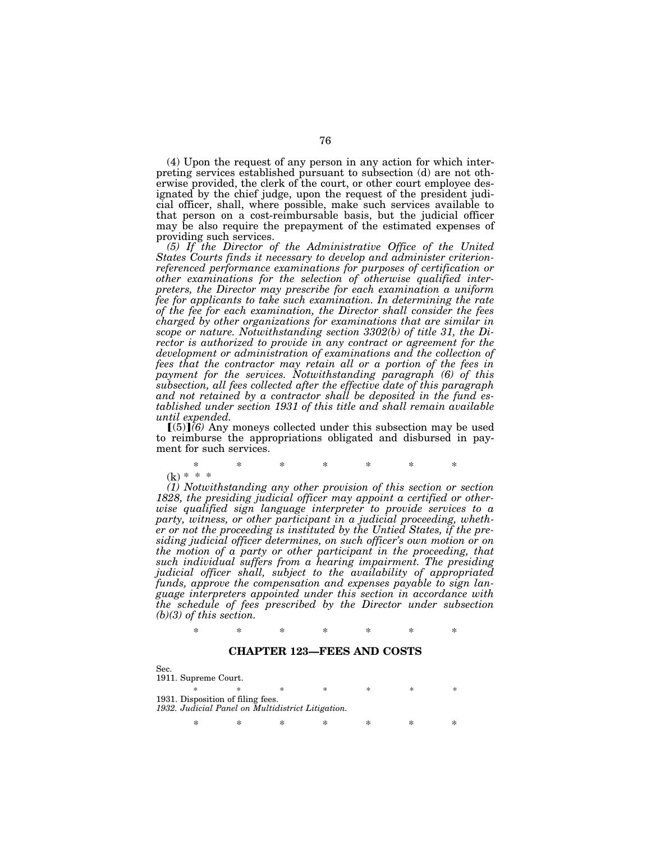(4) Upon the request of any person in any action for which interpreting services established pursuant to subsection (d) are not otherwise provided, the clerk of the court, or other court employee designated by the chief judge, upon the request of the president judicial officer, shall, where possible, make such services available to that person on a cost-reimbursable basis, but the judicial officer may be also require the prepayment of the estimated expenses of providing such services.

*(5) If the Director of the Administrative Office of the United States Courts finds it necessary to develop and administer criterionreferenced performance examinations for purposes of certification or other examinations for the selection of otherwise qualified interpreters, the Director may prescribe for each examination a uniform fee for applicants to take such examination. In determining the rate of the fee for each examination, the Director shall consider the fees charged by other organizations for examinations that are similar in scope or nature. Notwithstanding section 3302(b) of title 31, the Director is authorized to provide in any contract or agreement for the development or administration of examinations and the collection of fees that the contractor may retain all or a portion of the fees in payment for the services. Notwithstanding paragraph (6) of this subsection, all fees collected after the effective date of this paragraph and not retained by a contractor shall be deposited in the fund established under section 1931 of this title and shall remain available until expended.*

 $(5)$  $(6)$  Any moneys collected under this subsection may be used to reimburse the appropriations obligated and disbursed in payment for such services.

\* \* \* \* \* \* \*  $(k) * * *$ 

*(1) Notwithstanding any other provision of this section or section 1828, the presiding judicial officer may appoint a certified or otherwise qualified sign language interpreter to provide services to a party, witness, or other participant in a judicial proceeding, whether or not the proceeding is instituted by the Untied States, if the presiding judicial officer determines, on such officer's own motion or on the motion of a party or other participant in the proceeding, that such individual suffers from a hearing impairment. The presiding judicial officer shall, subject to the availability of appropriated funds, approve the compensation and expenses payable to sign language interpreters appointed under this section in accordance with the schedule of fees prescribed by the Director under subsection (b)(3) of this section.*

\* \* \* \* \* \* \*

#### **CHAPTER 123—FEES AND COSTS**

Sec. 1911. Supreme Court. \* \* \* \* \* \* \* 1931. Disposition of filing fees. *1932. Judicial Panel on Multidistrict Litigation.* \* \* \* \* \* \* \*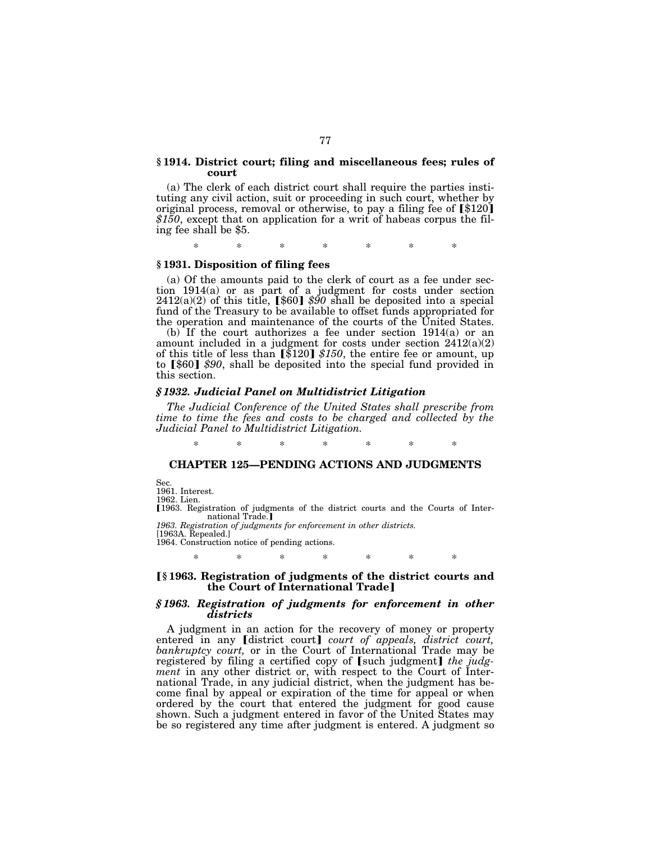#### **§ 1914. District court; filing and miscellaneous fees; rules of court**

(a) The clerk of each district court shall require the parties instituting any civil action, suit or proceeding in such court, whether by original process, removal or otherwise, to pay a filing fee of  $\lbrack $120]$ *\$150*, except that on application for a writ of habeas corpus the filing fee shall be \$5.

\* \* \* \* \* \* \*

#### **§ 1931. Disposition of filing fees**

(a) Of the amounts paid to the clerk of court as a fee under section 1914(a) or as part of a judgment for costs under section  $2412(a)(2)$  of this title,  $[\$60]$  \$90 shall be deposited into a special fund of the Treasury to be available to offset funds appropriated for the operation and maintenance of the courts of the United States.

(b) If the court authorizes a fee under section 1914(a) or an amount included in a judgment for costs under section 2412(a)(2) of this title of less than  $\left[\frac{120}{120}\right]$  \$150, the entire fee or amount, up to [\$60] \$90, shall be deposited into the special fund provided in this section.

#### *§ 1932. Judicial Panel on Multidistrict Litigation*

*The Judicial Conference of the United States shall prescribe from time to time the fees and costs to be charged and collected by the Judicial Panel to Multidistrict Litigation.*

#### \* \* \* \* \* \* \*

#### **CHAPTER 125—PENDING ACTIONS AND JUDGMENTS**

Sec.

1961. Interest.

1962. Lien.

ø1963. Registration of judgments of the district courts and the Courts of International Trade.]

*1963. Registration of judgments for enforcement in other districts.* [1963A. Repealed.]

1964. Construction notice of pending actions.

## \* \* \* \* \* \* \*

#### ø**§ 1963. Registration of judgments of the district courts and the Court of International Trade**¿

#### *§ 1963. Registration of judgments for enforcement in other districts*

A judgment in an action for the recovery of money or property entered in any *[district court] court of appeals, district court, bankruptcy court,* or in the Court of International Trade may be registered by filing a certified copy of [such judgment] the judg*ment* in any other district or, with respect to the Court of International Trade, in any judicial district, when the judgment has become final by appeal or expiration of the time for appeal or when ordered by the court that entered the judgment for good cause shown. Such a judgment entered in favor of the United States may be so registered any time after judgment is entered. A judgment so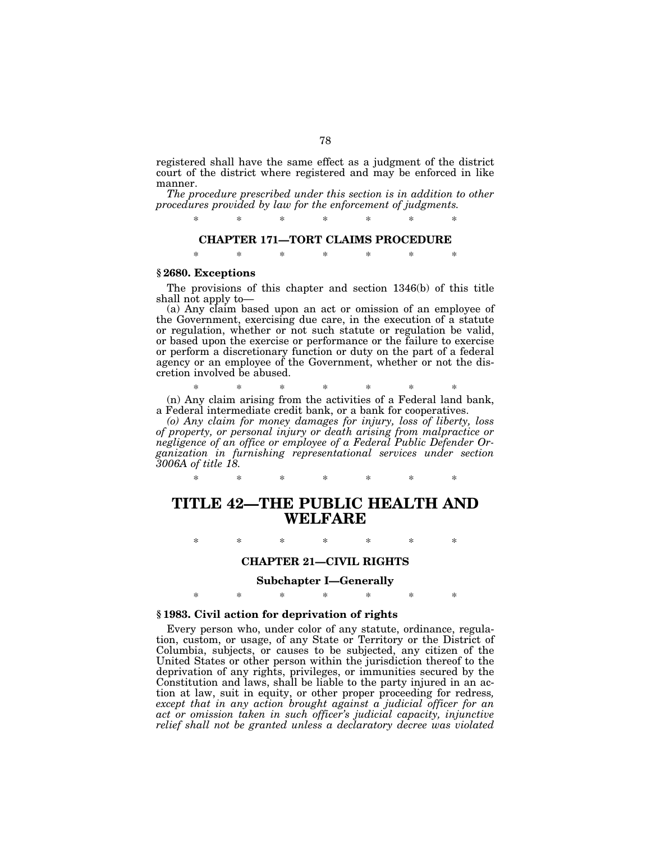registered shall have the same effect as a judgment of the district court of the district where registered and may be enforced in like manner.

*The procedure prescribed under this section is in addition to other procedures provided by law for the enforcement of judgments.*

\* \* \* \* \* \* \*

#### **CHAPTER 171—TORT CLAIMS PROCEDURE**

\* \* \* \* \* \* \*

#### **§ 2680. Exceptions**

The provisions of this chapter and section 1346(b) of this title shall not apply to—

(a) Any claim based upon an act or omission of an employee of the Government, exercising due care, in the execution of a statute or regulation, whether or not such statute or regulation be valid, or based upon the exercise or performance or the failure to exercise or perform a discretionary function or duty on the part of a federal agency or an employee of the Government, whether or not the discretion involved be abused.

\* \* \* \* \* \* \*

(n) Any claim arising from the activities of a Federal land bank, a Federal intermediate credit bank, or a bank for cooperatives.

*(o) Any claim for money damages for injury, loss of liberty, loss of property, or personal injury or death arising from malpractice or negligence of an office or employee of a Federal Public Defender Organization in furnishing representational services under section 3006A of title 18.*

#### \* \* \* \* \* \* \*

## **TITLE 42—THE PUBLIC HEALTH AND WELFARE**

\* \* \* \* \* \* \*

#### **CHAPTER 21—CIVIL RIGHTS**

## **Subchapter I—Generally**

\* \* \* \* \* \* \*

#### **§ 1983. Civil action for deprivation of rights**

Every person who, under color of any statute, ordinance, regulation, custom, or usage, of any State or Territory or the District of Columbia, subjects, or causes to be subjected, any citizen of the United States or other person within the jurisdiction thereof to the deprivation of any rights, privileges, or immunities secured by the Constitution and laws, shall be liable to the party injured in an action at law, suit in equity, or other proper proceeding for redress*, except that in any action brought against a judicial officer for an act or omission taken in such officer's judicial capacity, injunctive relief shall not be granted unless a declaratory decree was violated*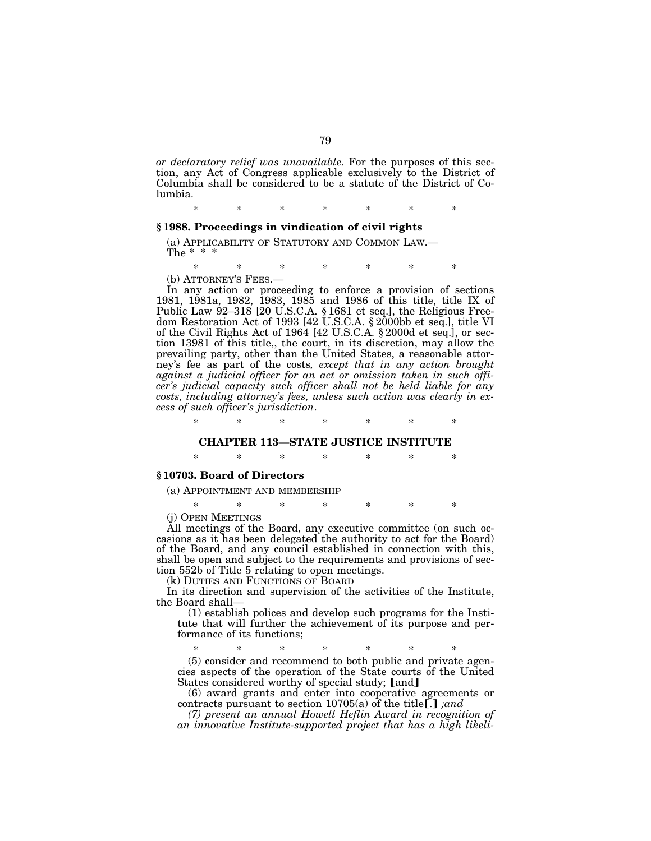*or declaratory relief was unavailable*. For the purposes of this section, any Act of Congress applicable exclusively to the District of Columbia shall be considered to be a statute of the District of Columbia.

## \* \* \* \* \* \* \* **§ 1988. Proceedings in vindication of civil rights**

# (a) APPLICABILITY OF STATUTORY AND COMMON LAW.— The \* \* \*

\* \* \* \* \* \* \*

(b) ATTORNEY'S FEES.—<br>In any action or proceeding to enforce a provision of sections 1981, 1981a, 1982, 1983, 1985 and 1986 of this title, title IX of Public Law 92-318 [20 U.S.C.A. § 1681 et seq.], the Religious Freedom Restoration Act of 1993 [42 U.S.C.A. § 2000bb et seq.], title VI of the Civil Rights Act of 1964 [42 U.S.C.A. § 2000d et seq.], or section 13981 of this title,, the court, in its discretion, may allow the prevailing party, other than the United States, a reasonable attorney's fee as part of the costs*, except that in any action brought against a judicial officer for an act or omission taken in such officer's judicial capacity such officer shall not be held liable for any costs, including attorney's fees, unless such action was clearly in excess of such officer's jurisdiction*.

## \* \* \* \* \* \* \* **CHAPTER 113—STATE JUSTICE INSTITUTE**

\* \* \* \* \* \* \*

#### **§ 10703. Board of Directors**

(a) APPOINTMENT AND MEMBERSHIP

\* \* \* \* \* \* \*

(j) OPEN MEETINGS

All meetings of the Board, any executive committee (on such occasions as it has been delegated the authority to act for the Board) of the Board, and any council established in connection with this, shall be open and subject to the requirements and provisions of section 552b of Title 5 relating to open meetings.

(k) DUTIES AND FUNCTIONS OF BOARD

In its direction and supervision of the activities of the Institute, the Board shall—

(1) establish polices and develop such programs for the Institute that will further the achievement of its purpose and performance of its functions;

\* \* \* \* \* \* \* (5) consider and recommend to both public and private agencies aspects of the operation of the State courts of the United States considered worthy of special study; [and]

(6) award grants and enter into cooperative agreements or contracts pursuant to section  $10705(a)$  of the title<sup>[1]</sup>, *and* 

*(7) present an annual Howell Heflin Award in recognition of an innovative Institute-supported project that has a high likeli-*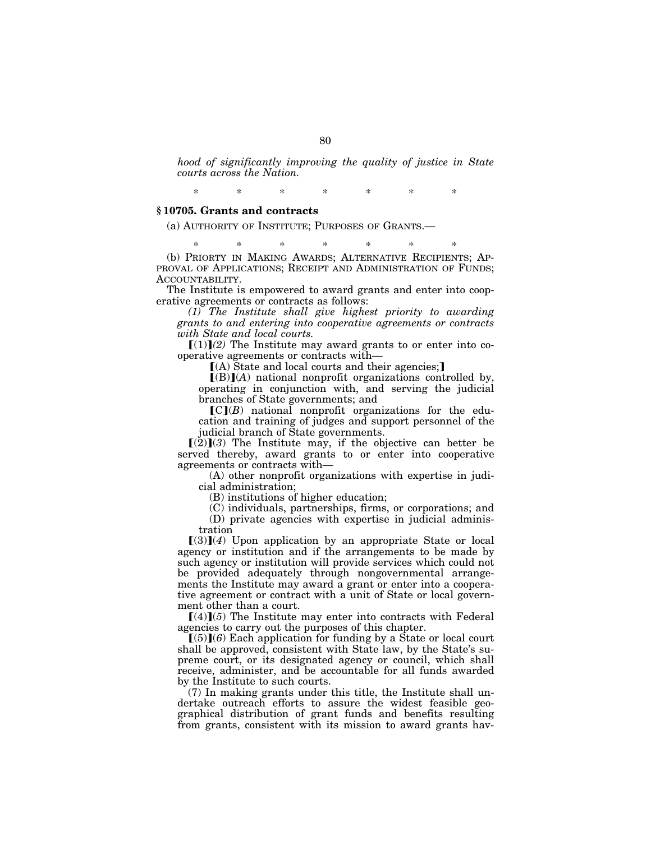*hood of significantly improving the quality of justice in State courts across the Nation.*

\* \* \* \* \* \* \*

#### **§ 10705. Grants and contracts**

(a) AUTHORITY OF INSTITUTE; PURPOSES OF GRANTS.—

\* \* \* \* \* \* \* (b) PRIORTY IN MAKING AWARDS; ALTERNATIVE RECIPIENTS; AP-PROVAL OF APPLICATIONS; RECEIPT AND ADMINISTRATION OF FUNDS; ACCOUNTABILITY.

The Institute is empowered to award grants and enter into cooperative agreements or contracts as follows:

*(1) The Institute shall give highest priority to awarding grants to and entering into cooperative agreements or contracts with State and local courts.*

 $[(1)](2)$  The Institute may award grants to or enter into cooperative agreements or contracts with—

 $(A)$  State and local courts and their agencies;

 $[(B)](A)$  national nonprofit organizations controlled by, operating in conjunction with, and serving the judicial branches of State governments; and

 $\llbracket C\rrbracket(B)$  national nonprofit organizations for the education and training of judges and support personnel of the judicial branch of State governments.

 $[(2)](3)$  The Institute may, if the objective can better be served thereby, award grants to or enter into cooperative agreements or contracts with—

(A) other nonprofit organizations with expertise in judicial administration;

(B) institutions of higher education;

(C) individuals, partnerships, firms, or corporations; and

(D) private agencies with expertise in judicial administration

 $\Gamma(3)$ (4) Upon application by an appropriate State or local agency or institution and if the arrangements to be made by such agency or institution will provide services which could not be provided adequately through nongovernmental arrangements the Institute may award a grant or enter into a cooperative agreement or contract with a unit of State or local government other than a court.

 $[(4)](5)$  The Institute may enter into contracts with Federal agencies to carry out the purposes of this chapter.

 $(5)(6)$  Each application for funding by a State or local court shall be approved, consistent with State law, by the State's supreme court, or its designated agency or council, which shall receive, administer, and be accountable for all funds awarded by the Institute to such courts.

(7) In making grants under this title, the Institute shall undertake outreach efforts to assure the widest feasible geographical distribution of grant funds and benefits resulting from grants, consistent with its mission to award grants hav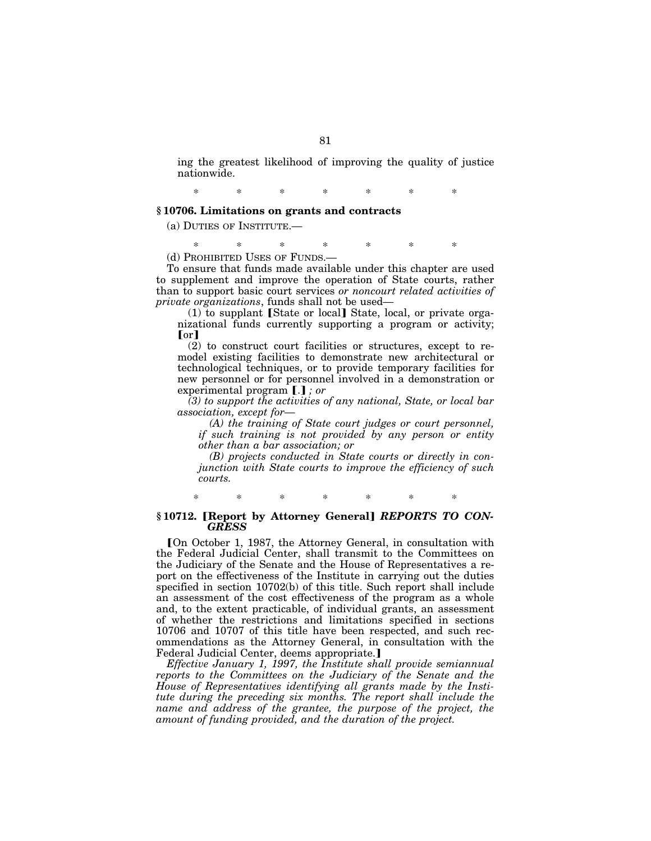ing the greatest likelihood of improving the quality of justice nationwide.

\* \* \* \* \* \* \*

#### **§ 10706. Limitations on grants and contracts**

(a) DUTIES OF INSTITUTE.—

\* \* \* \* \* \* \*

(d) PROHIBITED USES OF FUNDS.—

To ensure that funds made available under this chapter are used to supplement and improve the operation of State courts, rather than to support basic court services *or noncourt related activities of private organizations*, funds shall not be used—

 $(1)$  to supplant [State or local] State, local, or private organizational funds currently supporting a program or activity; or I

(2) to construct court facilities or structures, except to remodel existing facilities to demonstrate new architectural or technological techniques, or to provide temporary facilities for new personnel or for personnel involved in a demonstration or experimental program [.]; or

*(3) to support the activities of any national, State, or local bar association, except for—*

*(A) the training of State court judges or court personnel, if such training is not provided by any person or entity other than a bar association; or*

*(B) projects conducted in State courts or directly in conjunction with State courts to improve the efficiency of such courts.*

\* \* \* \* \* \* \*

#### §10712. [Report by Attorney General] *REPORTS TO CON-GRESS*

[On October 1, 1987, the Attorney General, in consultation with the Federal Judicial Center, shall transmit to the Committees on the Judiciary of the Senate and the House of Representatives a report on the effectiveness of the Institute in carrying out the duties specified in section 10702(b) of this title. Such report shall include an assessment of the cost effectiveness of the program as a whole and, to the extent practicable, of individual grants, an assessment of whether the restrictions and limitations specified in sections 10706 and 10707 of this title have been respected, and such recommendations as the Attorney General, in consultation with the Federal Judicial Center, deems appropriate.

*Effective January 1, 1997, the Institute shall provide semiannual reports to the Committees on the Judiciary of the Senate and the House of Representatives identifying all grants made by the Institute during the preceding six months. The report shall include the name and address of the grantee, the purpose of the project, the amount of funding provided, and the duration of the project.*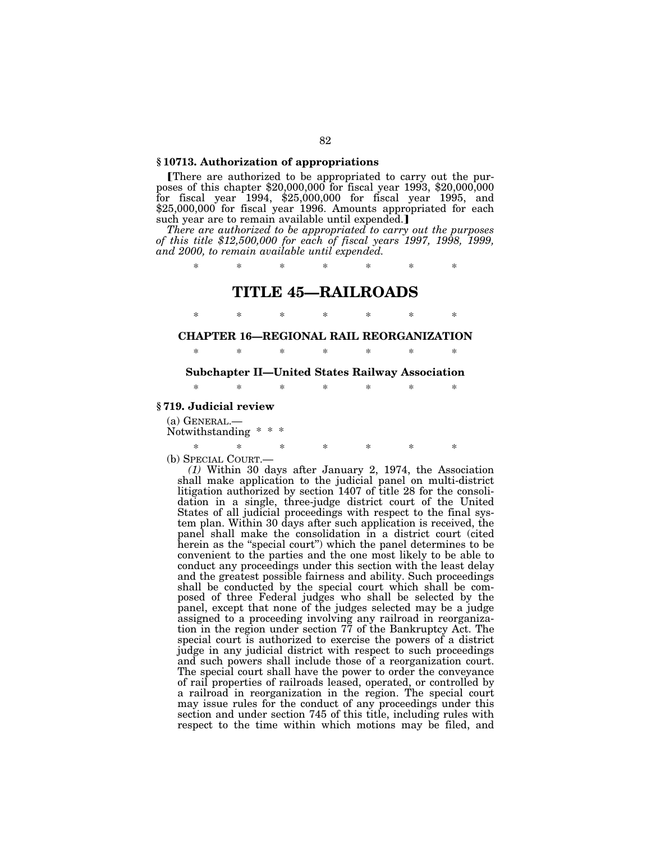#### **§ 10713. Authorization of appropriations**

øThere are authorized to be appropriated to carry out the purposes of this chapter \$20,000,000 for fiscal year 1993, \$20,000,000 for fiscal year 1994, \$25,000,000 for fiscal year 1995, and \$25,000,000 for fiscal year 1996. Amounts appropriated for each such year are to remain available until expended.]

*There are authorized to be appropriated to carry out the purposes of this title \$12,500,000 for each of fiscal years 1997, 1998, 1999, and 2000, to remain available until expended.*

\* \* \* \* \* \* \*

## **TITLE 45—RAILROADS**

\* \* \* \* \* \* \*

#### **CHAPTER 16—REGIONAL RAIL REORGANIZATION**

\* \* \* \* \* \* \*

#### **Subchapter II—United States Railway Association**

\* \* \* \* \* \* \*

#### **§ 719. Judicial review**

(a) GENERAL.— Notwithstanding \* \*

#### \* \* \* \* \* \* \*

(b) SPECIAL COURT.— *(1)* Within 30 days after January 2, 1974, the Association shall make application to the judicial panel on multi-district litigation authorized by section 1407 of title 28 for the consolidation in a single, three-judge district court of the United States of all judicial proceedings with respect to the final system plan. Within 30 days after such application is received, the panel shall make the consolidation in a district court (cited herein as the ''special court'') which the panel determines to be convenient to the parties and the one most likely to be able to conduct any proceedings under this section with the least delay and the greatest possible fairness and ability. Such proceedings shall be conducted by the special court which shall be composed of three Federal judges who shall be selected by the panel, except that none of the judges selected may be a judge assigned to a proceeding involving any railroad in reorganization in the region under section 77 of the Bankruptcy Act. The special court is authorized to exercise the powers of a district judge in any judicial district with respect to such proceedings and such powers shall include those of a reorganization court. The special court shall have the power to order the conveyance of rail properties of railroads leased, operated, or controlled by a railroad in reorganization in the region. The special court may issue rules for the conduct of any proceedings under this section and under section 745 of this title, including rules with respect to the time within which motions may be filed, and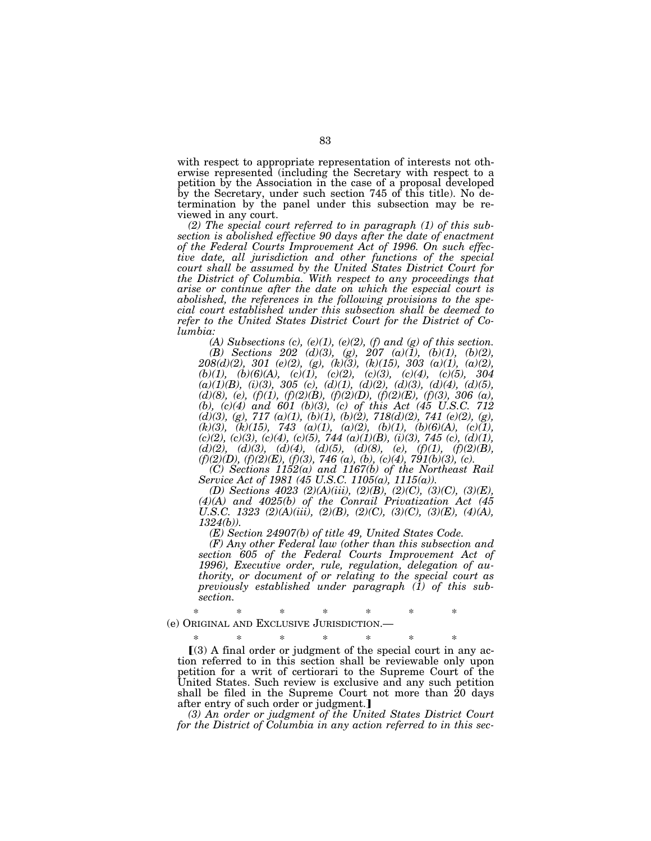with respect to appropriate representation of interests not otherwise represented (including the Secretary with respect to a petition by the Association in the case of a proposal developed by the Secretary, under such section 745 of this title). No determination by the panel under this subsection may be reviewed in any court.

*(2) The special court referred to in paragraph (1) of this subsection is abolished effective 90 days after the date of enactment of the Federal Courts Improvement Act of 1996. On such effective date, all jurisdiction and other functions of the special court shall be assumed by the United States District Court for the District of Columbia. With respect to any proceedings that arise or continue after the date on which the especial court is abolished, the references in the following provisions to the special court established under this subsection shall be deemed to refer to the United States District Court for the District of Columbia:*

*(A) Subsections (c), (e)(1), (e)(2), (f) and (g) of this section. (B) Sections 202 (d)(3), (g), 207 (a)(1), (b)(1), (b)(2), 208(d)(2), 301 (e)(2), (g), (k)(3), (k)(15), 303 (a)(1), (a)(2), (b)(1), (b)(6)(A), (c)(1), (c)(2), (c)(3), (c)(4), (c)(5), 304 (a)(1)(B), (i)(3), 305 (c), (d)(1), (d)(2), (d)(3), (d)(4), (d)(5), (d)(8), (e), (f)(1), (f)(2)(B), (f)(2)(D), (f)(2)(E), (f)(3), 306 (a), (b), (c)(4) and 601 (b)(3), (c) of this Act (45 U.S.C. 712 (d)(3), (g), 717 (a)(1), (b)(1), (b)(2), 718(d)(2), 741 (e)(2), (g), (k)(3), (k)(15), 743 (a)(1), (a)(2), (b)(1), (b)(6)(A), (c)(1), (c)(2), (c)(3), (c)(4), (c)(5), 744 (a)(1)(B), (i)(3), 745 (c), (d)(1), (d)(2), (d)(3), (d)(4), (d)(5), (d)(8), (e), (f)(1), (f)(2)(B), (f)(2)(D), (f)(2)(E), (f)(3), 746 (a), (b), (c)(4), 791(b)(3), (c).*

*(C) Sections 1152(a) and 1167(b) of the Northeast Rail Service Act of 1981 (45 U.S.C. 1105(a), 1115(a)).*

*(D) Sections 4023 (2)(A)(iii), (2)(B), (2)(C), (3)(C), (3)(E), (4)(A) and 4025(b) of the Conrail Privatization Act (45 U.S.C. 1323 (2)(A)(iii), (2)(B), (2)(C), (3)(C), (3)(E), (4)(A), 1324(b)).*

*(E) Section 24907(b) of title 49, United States Code.*

*(F) Any other Federal law (other than this subsection and section 605 of the Federal Courts Improvement Act of 1996), Executive order, rule, regulation, delegation of authority, or document of or relating to the special court as previously established under paragraph (1) of this subsection.*

\* \* \* \* \* \* \*

(e) ORIGINAL AND EXCLUSIVE JURISDICTION.—

\* \* \* \* \* \* \* ø(3) A final order or judgment of the special court in any action referred to in this section shall be reviewable only upon petition for a writ of certiorari to the Supreme Court of the United States. Such review is exclusive and any such petition shall be filed in the Supreme Court not more than 20 days after entry of such order or judgment.]

*(3) An order or judgment of the United States District Court for the District of Columbia in any action referred to in this sec-*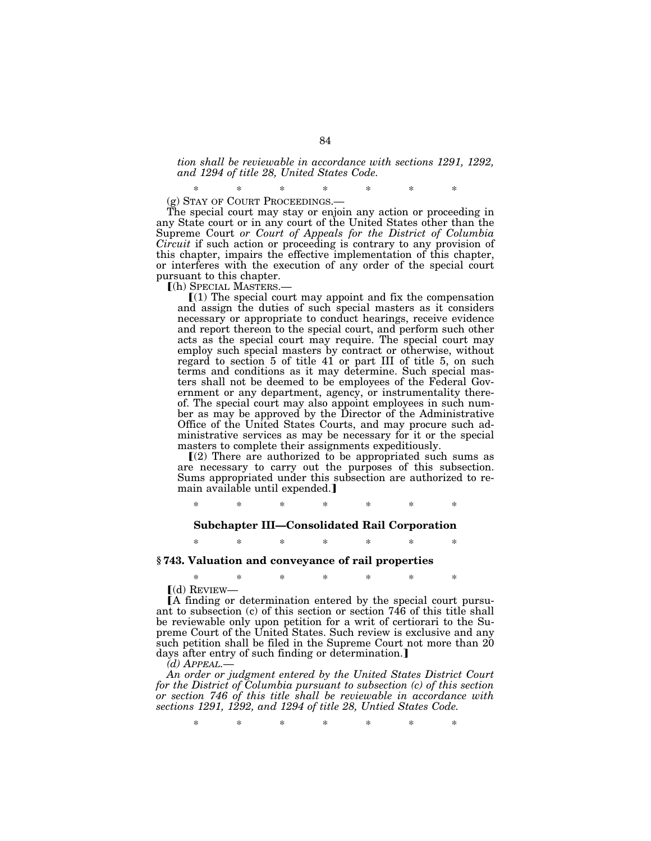#### *tion shall be reviewable in accordance with sections 1291, 1292, and 1294 of title 28, United States Code.*

\* \* \* \* \* \* \* (g) STAY OF COURT PROCEEDINGS.—

The special court may stay or enjoin any action or proceeding in any State court or in any court of the United States other than the Supreme Court *or Court of Appeals for the District of Columbia Circuit* if such action or proceeding is contrary to any provision of this chapter, impairs the effective implementation of this chapter, or interferes with the execution of any order of the special court pursuant to this chapter.

ø(h) SPECIAL MASTERS.—

 $(1)$  The special court may appoint and fix the compensation and assign the duties of such special masters as it considers necessary or appropriate to conduct hearings, receive evidence and report thereon to the special court, and perform such other acts as the special court may require. The special court may employ such special masters by contract or otherwise, without regard to section 5 of title 41 or part III of title 5, on such terms and conditions as it may determine. Such special masters shall not be deemed to be employees of the Federal Government or any department, agency, or instrumentality thereof. The special court may also appoint employees in such number as may be approved by the Director of the Administrative Office of the United States Courts, and may procure such administrative services as may be necessary for it or the special masters to complete their assignments expeditiously.

 $(2)$  There are authorized to be appropriated such sums as are necessary to carry out the purposes of this subsection. Sums appropriated under this subsection are authorized to remain available until expended.]

\* \* \* \* \* \* \*

#### **Subchapter III—Consolidated Rail Corporation**

\* \* \* \* \* \* \*

#### **§ 743. Valuation and conveyance of rail properties**

\* \* \* \* \* \* \*

 $(d)$  REVIEW—

øA finding or determination entered by the special court pursuant to subsection (c) of this section or section 746 of this title shall be reviewable only upon petition for a writ of certiorari to the Supreme Court of the United States. Such review is exclusive and any such petition shall be filed in the Supreme Court not more than 20 days after entry of such finding or determination.]

*(d) APPEAL.—*

*An order or judgment entered by the United States District Court for the District of Columbia pursuant to subsection (c) of this section or section 746 of this title shall be reviewable in accordance with sections 1291, 1292, and 1294 of title 28, Untied States Code.*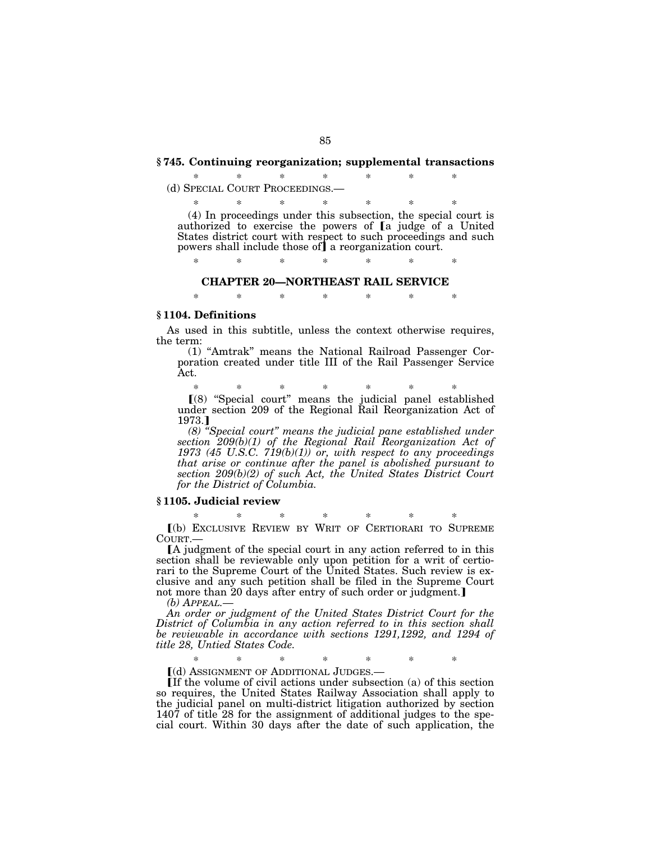#### **§ 745. Continuing reorganization; supplemental transactions**

#### \* \* \* \* \* \* \* (d) SPECIAL COURT PROCEEDINGS.—

\* \* \* \* \* \* \*

(4) In proceedings under this subsection, the special court is authorized to exercise the powers of [a judge of a United States district court with respect to such proceedings and such powers shall include those of a reorganization court.

\* \* \* \* \* \* \*

#### **CHAPTER 20—NORTHEAST RAIL SERVICE**

\* \* \* \* \* \* \*

#### **§ 1104. Definitions**

As used in this subtitle, unless the context otherwise requires, the term:

(1) ''Amtrak'' means the National Railroad Passenger Corporation created under title III of the Rail Passenger Service Act.

\* \* \* \* \* \* \* ø(8) ''Special court'' means the judicial panel established under section 209 of the Regional Rail Reorganization Act of 1973.]

*(8) ''Special court'' means the judicial pane established under section 209(b)(1) of the Regional Rail Reorganization Act of 1973 (45 U.S.C. 719(b)(1)) or, with respect to any proceedings that arise or continue after the panel is abolished pursuant to section 209(b)(2) of such Act, the United States District Court for the District of Columbia.*

#### **§ 1105. Judicial review**

\* \* \* \* \* \* \* ø(b) EXCLUSIVE REVIEW BY WRIT OF CERTIORARI TO SUPREME COURT.—

øA judgment of the special court in any action referred to in this section shall be reviewable only upon petition for a writ of certiorari to the Supreme Court of the United States. Such review is exclusive and any such petition shall be filed in the Supreme Court not more than 20 days after entry of such order or judgment.]

*(b) APPEAL.—*

*An order or judgment of the United States District Court for the District of Columbia in any action referred to in this section shall be reviewable in accordance with sections 1291,1292, and 1294 of title 28, Untied States Code.*

\* \* \* \* \* \* \*

[(d) ASSIGNMENT OF ADDITIONAL JUDGES.

 $\overline{\text{If}}$  the volume of civil actions under subsection (a) of this section so requires, the United States Railway Association shall apply to the judicial panel on multi-district litigation authorized by section 1407 of title 28 for the assignment of additional judges to the special court. Within 30 days after the date of such application, the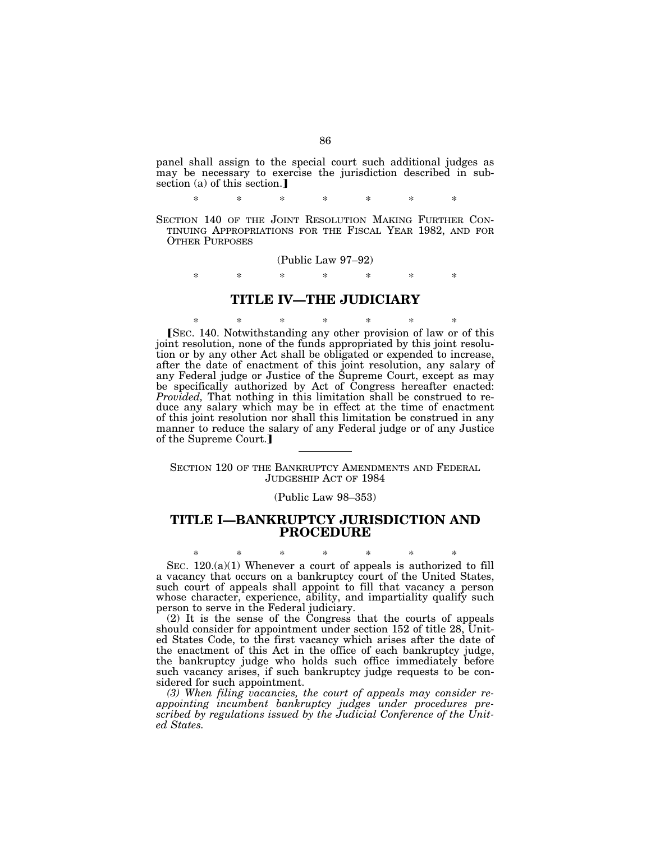panel shall assign to the special court such additional judges as may be necessary to exercise the jurisdiction described in subsection (a) of this section.

\* \* \* \* \* \* \*

SECTION 140 OF THE JOINT RESOLUTION MAKING FURTHER CON-TINUING APPROPRIATIONS FOR THE FISCAL YEAR 1982, AND FOR OTHER PURPOSES

(Public Law 97–92)

\* \* \* \* \* \* \*

## **TITLE IV—THE JUDICIARY**

\* \* \* \* \* \* \* [SEC. 140. Notwithstanding any other provision of law or of this joint resolution, none of the funds appropriated by this joint resolution or by any other Act shall be obligated or expended to increase, after the date of enactment of this joint resolution, any salary of any Federal judge or Justice of the Supreme Court, except as may be specifically authorized by Act of Congress hereafter enacted: *Provided,* That nothing in this limitation shall be construed to reduce any salary which may be in effect at the time of enactment of this joint resolution nor shall this limitation be construed in any manner to reduce the salary of any Federal judge or of any Justice of the Supreme Court.

SECTION 120 OF THE BANKRUPTCY AMENDMENTS AND FEDERAL JUDGESHIP ACT OF 1984

(Public Law 98–353)

## **TITLE I—BANKRUPTCY JURISDICTION AND PROCEDURE**

\* \* \* \* \* \* \* SEC. 120.(a)(1) Whenever a court of appeals is authorized to fill a vacancy that occurs on a bankruptcy court of the United States, such court of appeals shall appoint to fill that vacancy a person whose character, experience, ability, and impartiality qualify such person to serve in the Federal judiciary.

(2) It is the sense of the Congress that the courts of appeals should consider for appointment under section 152 of title 28, United States Code, to the first vacancy which arises after the date of the enactment of this Act in the office of each bankruptcy judge, the bankruptcy judge who holds such office immediately before such vacancy arises, if such bankruptcy judge requests to be considered for such appointment.

*(3) When filing vacancies, the court of appeals may consider reappointing incumbent bankruptcy judges under procedures prescribed by regulations issued by the Judicial Conference of the United States.*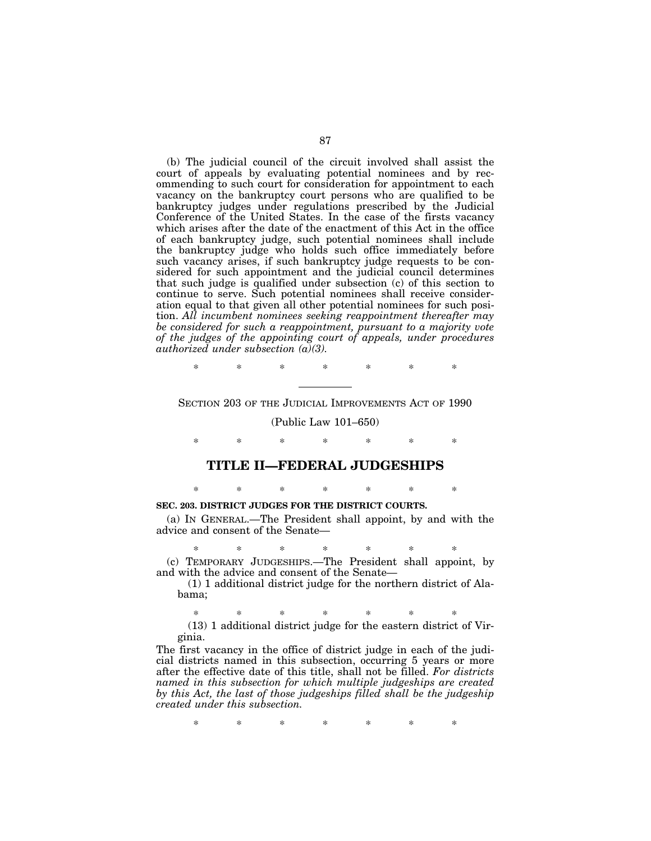(b) The judicial council of the circuit involved shall assist the court of appeals by evaluating potential nominees and by recommending to such court for consideration for appointment to each vacancy on the bankruptcy court persons who are qualified to be bankruptcy judges under regulations prescribed by the Judicial Conference of the United States. In the case of the firsts vacancy which arises after the date of the enactment of this Act in the office of each bankruptcy judge, such potential nominees shall include the bankruptcy judge who holds such office immediately before such vacancy arises, if such bankruptcy judge requests to be considered for such appointment and the judicial council determines that such judge is qualified under subsection (c) of this section to continue to serve. Such potential nominees shall receive consideration equal to that given all other potential nominees for such position. *All incumbent nominees seeking reappointment thereafter may be considered for such a reappointment, pursuant to a majority vote of the judges of the appointing court of appeals, under procedures authorized under subsection (a)(3).*

\* \* \* \* \* \* \*

SECTION 203 OF THE JUDICIAL IMPROVEMENTS ACT OF 1990

(Public Law 101–650)

\* \* \* \* \* \* \*

#### **TITLE II—FEDERAL JUDGESHIPS**

### \* \* \* \* \* \* \* **SEC. 203. DISTRICT JUDGES FOR THE DISTRICT COURTS.**

(a) IN GENERAL.—The President shall appoint, by and with the advice and consent of the Senate—

\* \* \* \* \* \* \* (c) TEMPORARY JUDGESHIPS.—The President shall appoint, by and with the advice and consent of the Senate—

(1) 1 additional district judge for the northern district of Alabama;

\* \* \* \* \* \* \* (13) 1 additional district judge for the eastern district of Virginia.

The first vacancy in the office of district judge in each of the judicial districts named in this subsection, occurring 5 years or more after the effective date of this title, shall not be filled. *For districts named in this subsection for which multiple judgeships are created by this Act, the last of those judgeships filled shall be the judgeship created under this subsection.*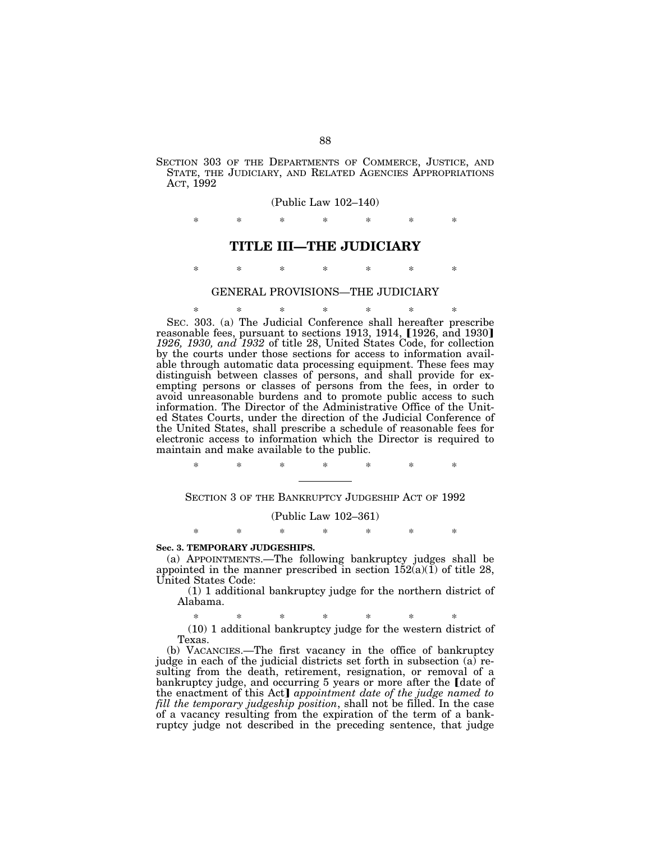SECTION 303 OF THE DEPARTMENTS OF COMMERCE, JUSTICE, AND STATE, THE JUDICIARY, AND RELATED AGENCIES APPROPRIATIONS ACT, 1992

#### (Public Law 102–140)

\* \* \* \* \* \* \*

#### **TITLE III—THE JUDICIARY**

\* \* \* \* \* \* \*

## GENERAL PROVISIONS—THE JUDICIARY

\* \* \* \* \* \* \* SEC. 303. (a) The Judicial Conference shall hereafter prescribe reasonable fees, pursuant to sections 1913, 1914,  $[1926, \text{ and } 1930]$ *1926, 1930, and 1932* of title 28, United States Code, for collection by the courts under those sections for access to information available through automatic data processing equipment. These fees may distinguish between classes of persons, and shall provide for exempting persons or classes of persons from the fees, in order to avoid unreasonable burdens and to promote public access to such information. The Director of the Administrative Office of the United States Courts, under the direction of the Judicial Conference of the United States, shall prescribe a schedule of reasonable fees for electronic access to information which the Director is required to maintain and make available to the public.

\* \* \* \* \* \* \*

SECTION 3 OF THE BANKRUPTCY JUDGESHIP ACT OF 1992

#### (Public Law 102–361)

\* \* \* \* \* \* \*

#### **Sec. 3. TEMPORARY JUDGESHIPS.**

(a) APPOINTMENTS.—The following bankruptcy judges shall be appointed in the manner prescribed in section  $152(a)(1)$  of title 28, United States Code:

(1) 1 additional bankruptcy judge for the northern district of Alabama.

\* \* \* \* \* \* \* (10) 1 additional bankruptcy judge for the western district of Texas.

(b) VACANCIES.—The first vacancy in the office of bankruptcy judge in each of the judicial districts set forth in subsection (a) resulting from the death, retirement, resignation, or removal of a bankruptcy judge, and occurring 5 years or more after the *[date of* the enactment of this Act] *appointment date of the judge named to fill the temporary judgeship position*, shall not be filled. In the case of a vacancy resulting from the expiration of the term of a bankruptcy judge not described in the preceding sentence, that judge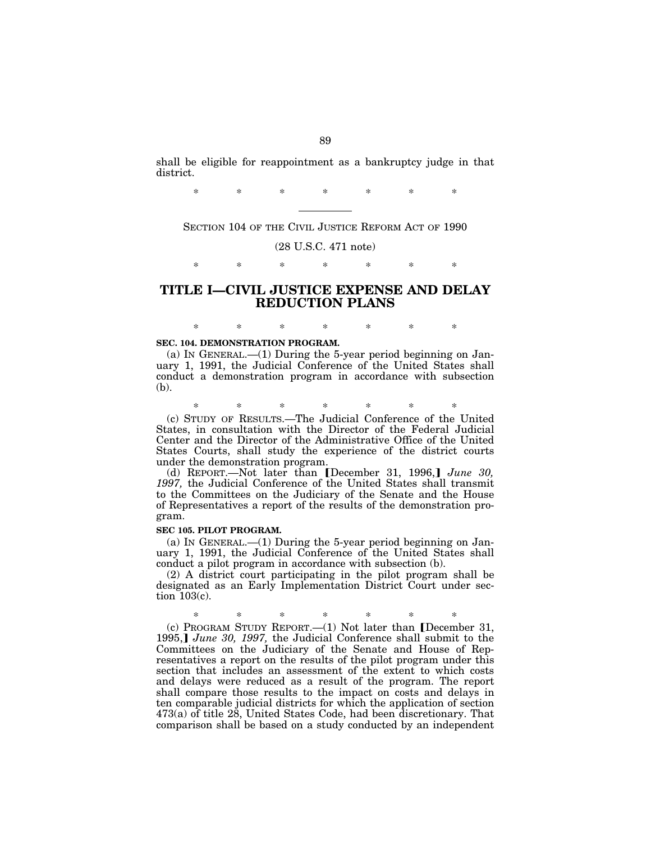shall be eligible for reappointment as a bankruptcy judge in that district.

\* \* \* \* \* \* \*

SECTION 104 OF THE CIVIL JUSTICE REFORM ACT OF 1990

(28 U.S.C. 471 note)

\* \* \* \* \* \* \*

## **TITLE I—CIVIL JUSTICE EXPENSE AND DELAY REDUCTION PLANS**

\* \* \* \* \* \* \*

## **SEC. 104. DEMONSTRATION PROGRAM.**

(a) IN GENERAL.—(1) During the 5-year period beginning on January 1, 1991, the Judicial Conference of the United States shall conduct a demonstration program in accordance with subsection (b).

\* \* \* \* \* \* \* (c) STUDY OF RESULTS.—The Judicial Conference of the United States, in consultation with the Director of the Federal Judicial Center and the Director of the Administrative Office of the United States Courts, shall study the experience of the district courts under the demonstration program.

(d) REPORT.—Not later than [December 31, 1996,] June 30, *1997,* the Judicial Conference of the United States shall transmit to the Committees on the Judiciary of the Senate and the House of Representatives a report of the results of the demonstration program.

#### **SEC 105. PILOT PROGRAM.**

(a) IN GENERAL.— $(1)$  During the 5-year period beginning on January 1, 1991, the Judicial Conference of the United States shall conduct a pilot program in accordance with subsection (b).

(2) A district court participating in the pilot program shall be designated as an Early Implementation District Court under section 103(c).

\* \* \* \* \* \* \* (c) PROGRAM STUDY REPORT.—(1) Not later than [December 31, 1995, *June 30, 1997*, the Judicial Conference shall submit to the Committees on the Judiciary of the Senate and House of Representatives a report on the results of the pilot program under this section that includes an assessment of the extent to which costs and delays were reduced as a result of the program. The report shall compare those results to the impact on costs and delays in ten comparable judicial districts for which the application of section 473(a) of title 28, United States Code, had been discretionary. That comparison shall be based on a study conducted by an independent